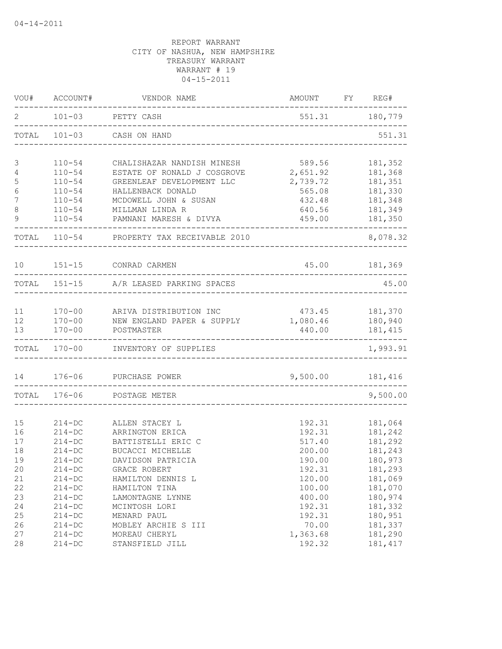|                  | VOU# ACCOUNT# | VENDOR NAME                            | AMOUNT FY REG# |                |
|------------------|---------------|----------------------------------------|----------------|----------------|
| 2                | $101 - 03$    | PETTY CASH                             |                | 551.31 180,779 |
| TOTAL            | $101 - 03$    | CASH ON HAND                           |                | 551.31         |
| 3                | $110 - 54$    | CHALISHAZAR NANDISH MINESH             | 589.56         | 181,352        |
| 4                | $110 - 54$    | ESTATE OF RONALD J COSGROVE            | 2,651.92       | 181,368        |
| $\mathsf S$      | $110 - 54$    | GREENLEAF DEVELOPMENT LLC              | 2,739.72       | 181,351        |
| $\sqrt{6}$       | $110 - 54$    | HALLENBACK DONALD                      | 565.08         | 181,330        |
| $\boldsymbol{7}$ | $110 - 54$    | MCDOWELL JOHN & SUSAN                  | 432.48         | 181,348        |
| $\,8\,$          | $110 - 54$    | MILLMAN LINDA R                        | 640.56         | 181,349        |
| 9                | $110 - 54$    | PAMNANI MARESH & DIVYA                 | 459.00         | 181,350        |
| TOTAL            |               | 110-54 PROPERTY TAX RECEIVABLE 2010    |                | 8,078.32       |
|                  |               | 10 151-15 CONRAD CARMEN                |                | 45.00 181,369  |
|                  |               | TOTAL 151-15 A/R LEASED PARKING SPACES |                | 45.00          |
|                  |               |                                        |                |                |
| 11               | $170 - 00$    | ARIVA DISTRIBUTION INC                 | 473.45 181,370 |                |
| 12               | $170 - 00$    | NEW ENGLAND PAPER & SUPPLY             | 1,080.46       | 180,940        |
| 13               | $170 - 00$    | POSTMASTER                             | 440.00         | 181,415        |
|                  | TOTAL 170-00  | INVENTORY OF SUPPLIES                  |                | 1,993.91       |
|                  |               |                                        |                |                |
| 14               | $176 - 06$    | PURCHASE POWER                         | 9,500.00       | 181,416        |
| TOTAL            | 176-06        | POSTAGE METER                          |                | 9,500.00       |
|                  |               |                                        |                |                |
| 15               | $214 - DC$    | ALLEN STACEY L                         | 192.31         | 181,064        |
| 16               | $214 - DC$    | ARRINGTON ERICA                        | 192.31         | 181,242        |
| 17               | $214 - DC$    | BATTISTELLI ERIC C                     | 517.40         | 181,292        |
| 18               | $214-DC$      | <b>BUCACCI MICHELLE</b>                | 200.00         | 181,243        |
| 19               | $214 - DC$    | DAVIDSON PATRICIA                      | 190.00         | 180,973        |
| 20               | $214-DC$      | GRACE ROBERT                           | 192.31         | 181,293        |
| 21               | $214 - DC$    | HAMILTON DENNIS L                      | 120.00         | 181,069        |
| 22               | $214 - DC$    | HAMILTON TINA                          | 100.00         | 181,070        |
| 23               | $214 - DC$    | LAMONTAGNE LYNNE                       | 400.00         | 180,974        |
| 24               | $214 - DC$    | MCINTOSH LORI                          | 192.31         | 181,332        |
| 25               | $214 - DC$    | MENARD PAUL                            | 192.31         | 180,951        |
| 26               | $214-DC$      | MOBLEY ARCHIE S III                    | 70.00          | 181,337        |
| 27               | $214 - DC$    | MOREAU CHERYL                          | 1,363.68       | 181,290        |
| 28               | $214-DC$      | STANSFIELD JILL                        | 192.32         | 181, 417       |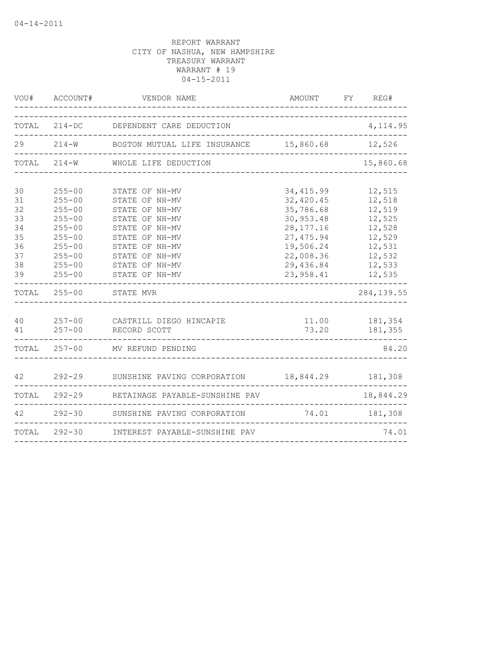|                                                          | VOU# ACCOUNT#                                                                                                                            | VENDOR NAME<br>________________                                                                                                                                                  | AMOUNT<br>__________________                                                                                                         | REG#<br>FY                                                                                       |
|----------------------------------------------------------|------------------------------------------------------------------------------------------------------------------------------------------|----------------------------------------------------------------------------------------------------------------------------------------------------------------------------------|--------------------------------------------------------------------------------------------------------------------------------------|--------------------------------------------------------------------------------------------------|
| TOTAL                                                    | $214 - DC$                                                                                                                               | DEPENDENT CARE DEDUCTION                                                                                                                                                         | _______________                                                                                                                      | 4, 114.95                                                                                        |
| 29                                                       | $214 - W$                                                                                                                                | BOSTON MUTUAL LIFE INSURANCE 15,860.68 12,526                                                                                                                                    |                                                                                                                                      |                                                                                                  |
| TOTAL                                                    | $214-W$                                                                                                                                  | WHOLE LIFE DEDUCTION                                                                                                                                                             |                                                                                                                                      | 15,860.68                                                                                        |
| 30<br>31<br>32<br>33<br>34<br>35<br>36<br>37<br>38<br>39 | $255 - 00$<br>$255 - 00$<br>$255 - 00$<br>$255 - 00$<br>$255 - 00$<br>$255 - 00$<br>$255 - 00$<br>$255 - 00$<br>$255 - 00$<br>$255 - 00$ | STATE OF NH-MV<br>STATE OF NH-MV<br>STATE OF NH-MV<br>STATE OF NH-MV<br>STATE OF NH-MV<br>STATE OF NH-MV<br>STATE OF NH-MV<br>STATE OF NH-MV<br>STATE OF NH-MV<br>STATE OF NH-MV | 34, 415.99<br>32,420.45<br>35,786.68<br>30, 953.48<br>28, 177. 16<br>27, 475.94<br>19,506.24<br>22,008.36<br>29,436.84<br>23, 958.41 | 12,515<br>12,518<br>12,519<br>12,525<br>12,528<br>12,529<br>12,531<br>12,532<br>12,533<br>12,535 |
| TOTAL                                                    | $255 - 00$                                                                                                                               | STATE MVR                                                                                                                                                                        |                                                                                                                                      | 284, 139.55                                                                                      |
| 40<br>41                                                 | $257 - 00$<br>$257 - 00$                                                                                                                 | CASTRILL DIEGO HINCAPIE<br>RECORD SCOTT                                                                                                                                          | 11.00<br>73.20                                                                                                                       | 181,354<br>181,355                                                                               |
| TOTAL                                                    | $257 - 00$                                                                                                                               | MV REFUND PENDING                                                                                                                                                                |                                                                                                                                      | 84.20                                                                                            |
| 42                                                       | $292 - 29$                                                                                                                               | SUNSHINE PAVING CORPORATION                                                                                                                                                      | 18,844.29                                                                                                                            | 181,308                                                                                          |
| TOTAL                                                    |                                                                                                                                          | 292-29 RETAINAGE PAYABLE-SUNSHINE PAV                                                                                                                                            |                                                                                                                                      | 18,844.29                                                                                        |
| 42                                                       | $292 - 30$                                                                                                                               | SUNSHINE PAVING CORPORATION                                                                                                                                                      | 74.01                                                                                                                                | 181,308                                                                                          |
| TOTAL                                                    | $292 - 30$                                                                                                                               | INTEREST PAYABLE-SUNSHINE PAV                                                                                                                                                    | ________________________________                                                                                                     | 74.01                                                                                            |
|                                                          |                                                                                                                                          |                                                                                                                                                                                  |                                                                                                                                      |                                                                                                  |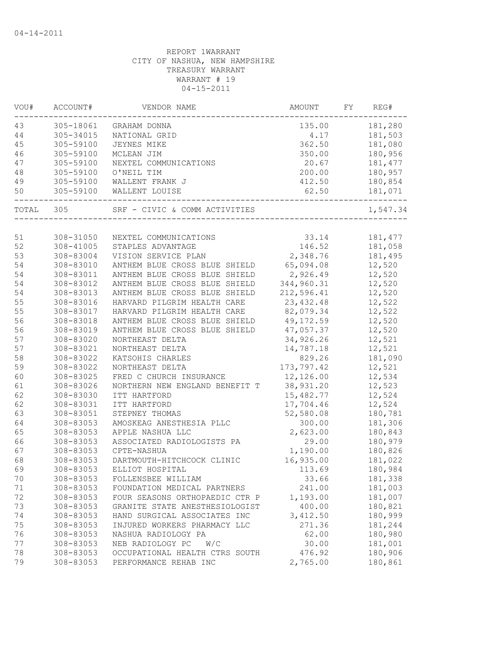| VOU#  | ACCOUNT#  | VENDOR NAME                    | AMOUNT     | FY. | REG#     |
|-------|-----------|--------------------------------|------------|-----|----------|
| 43    | 305-18061 | GRAHAM DONNA                   | 135.00     |     | 181,280  |
| 44    | 305-34015 | NATIONAL GRID                  | 4.17       |     | 181,503  |
| 45    | 305-59100 | JEYNES MIKE                    | 362.50     |     | 181,080  |
| 46    | 305-59100 | MCLEAN JIM                     | 350.00     |     | 180,956  |
| 47    | 305-59100 | NEXTEL COMMUNICATIONS          | 20.67      |     | 181, 477 |
| 48    | 305-59100 | O'NEIL TIM                     | 200.00     |     | 180,957  |
| 49    | 305-59100 | WALLENT FRANK J                | 412.50     |     | 180,854  |
| 50    | 305-59100 | WALLENT LOUISE                 | 62.50      |     | 181,071  |
| TOTAL | 305       | SRF - CIVIC & COMM ACTIVITIES  |            |     | 1,547.34 |
|       |           |                                |            |     |          |
| 51    | 308-31050 | NEXTEL COMMUNICATIONS          | 33.14      |     | 181, 477 |
| 52    | 308-41005 | STAPLES ADVANTAGE              | 146.52     |     | 181,058  |
| 53    | 308-83004 | VISION SERVICE PLAN            | 2,348.76   |     | 181,495  |
| 54    | 308-83010 | ANTHEM BLUE CROSS BLUE SHIELD  | 65,094.08  |     | 12,520   |
| 54    | 308-83011 | ANTHEM BLUE CROSS BLUE SHIELD  | 2,926.49   |     | 12,520   |
| 54    | 308-83012 | ANTHEM BLUE CROSS BLUE SHIELD  | 344,960.31 |     | 12,520   |
| 54    | 308-83013 | ANTHEM BLUE CROSS BLUE SHIELD  | 212,596.41 |     | 12,520   |
| 55    | 308-83016 | HARVARD PILGRIM HEALTH CARE    | 23, 432.48 |     | 12,522   |
| 55    | 308-83017 | HARVARD PILGRIM HEALTH CARE    | 82,079.34  |     | 12,522   |
| 56    | 308-83018 | ANTHEM BLUE CROSS BLUE SHIELD  | 49, 172.59 |     | 12,520   |
| 56    | 308-83019 | ANTHEM BLUE CROSS BLUE SHIELD  | 47,057.37  |     | 12,520   |
| 57    | 308-83020 | NORTHEAST DELTA                | 34,926.26  |     | 12,521   |
| 57    | 308-83021 | NORTHEAST DELTA                | 14,787.18  |     | 12,521   |
| 58    | 308-83022 | KATSOHIS CHARLES               | 829.26     |     | 181,090  |
| 59    | 308-83022 | NORTHEAST DELTA                | 173,797.42 |     | 12,521   |
| 60    | 308-83025 | FRED C CHURCH INSURANCE        | 12,126.00  |     | 12,534   |
| 61    | 308-83026 | NORTHERN NEW ENGLAND BENEFIT T | 38,931.20  |     | 12,523   |
| 62    | 308-83030 | ITT HARTFORD                   | 15,482.77  |     | 12,524   |
| 62    | 308-83031 | ITT HARTFORD                   | 17,704.46  |     | 12,524   |
| 63    | 308-83051 | STEPNEY THOMAS                 | 52,580.08  |     | 180,781  |
| 64    | 308-83053 | AMOSKEAG ANESTHESIA PLLC       | 300.00     |     | 181,306  |
| 65    | 308-83053 | APPLE NASHUA LLC               | 2,623.00   |     | 180,843  |
| 66    | 308-83053 | ASSOCIATED RADIOLOGISTS PA     | 29.00      |     | 180,979  |
| 67    | 308-83053 | CPTE-NASHUA                    | 1,190.00   |     | 180,826  |
| 68    | 308-83053 | DARTMOUTH-HITCHCOCK CLINIC     | 16,935.00  |     | 181,022  |
| 69    | 308-83053 | ELLIOT HOSPITAL                | 113.69     |     | 180,984  |
| 70    | 308-83053 | FOLLENSBEE WILLIAM             | 33.66      |     | 181,338  |
| 71    | 308-83053 | FOUNDATION MEDICAL PARTNERS    | 241.00     |     | 181,003  |
| 72    | 308-83053 | FOUR SEASONS ORTHOPAEDIC CTR P | 1,193.00   |     | 181,007  |
| 73    | 308-83053 | GRANITE STATE ANESTHESIOLOGIST | 400.00     |     | 180,821  |
| 74    | 308-83053 | HAND SURGICAL ASSOCIATES INC   | 3,412.50   |     | 180,999  |
| 75    | 308-83053 | INJURED WORKERS PHARMACY LLC   | 271.36     |     | 181,244  |
| 76    | 308-83053 | NASHUA RADIOLOGY PA            | 62.00      |     | 180,980  |
| 77    | 308-83053 | NEB RADIOLOGY PC<br>W/C        | 30.00      |     | 181,001  |
| 78    | 308-83053 | OCCUPATIONAL HEALTH CTRS SOUTH | 476.92     |     | 180,906  |
| 79    | 308-83053 | PERFORMANCE REHAB INC          | 2,765.00   |     | 180,861  |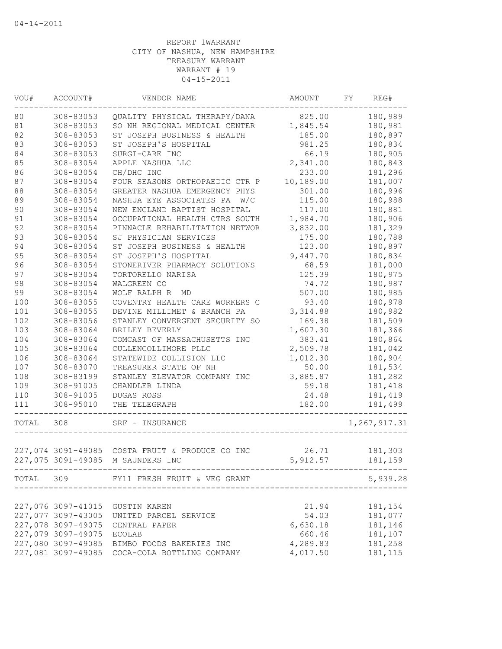| 180,989<br>308-83053<br>825.00<br>QUALITY PHYSICAL THERAPY/DANA<br>180,981<br>308-83053<br>SO NH REGIONAL MEDICAL CENTER<br>1,845.54<br>180,897<br>ST JOSEPH BUSINESS & HEALTH<br>185.00<br>308-83053<br>981.25<br>180,834<br>308-83053<br>ST JOSEPH'S HOSPITAL<br>66.19<br>180,905<br>308-83053<br>SURGI-CARE INC<br>308-83054<br>APPLE NASHUA LLC<br>2,341.00<br>180,843<br>181,296<br>308-83054<br>CH/DHC INC<br>233.00<br>10,189.00<br>308-83054<br>FOUR SEASONS ORTHOPAEDIC CTR P<br>181,007<br>180,996<br>308-83054<br>GREATER NASHUA EMERGENCY PHYS<br>301.00<br>308-83054<br>115.00<br>180,988<br>NASHUA EYE ASSOCIATES PA<br>W/C<br>180,881<br>308-83054<br>NEW ENGLAND BAPTIST HOSPITAL<br>117.00<br>OCCUPATIONAL HEALTH CTRS SOUTH<br>1,984.70<br>180,906<br>308-83054<br>3,832.00<br>308-83054<br>PINNACLE REHABILITATION NETWOR<br>181,329<br>308-83054<br>SJ PHYSICIAN SERVICES<br>175.00<br>180,788<br>180,897<br>94<br>308-83054<br>ST JOSEPH BUSINESS & HEALTH<br>123.00<br>95<br>180,834<br>308-83054<br>ST JOSEPH'S HOSPITAL<br>9,447.70<br>96<br>308-83054<br>68.59<br>181,000<br>STONERIVER PHARMACY SOLUTIONS<br>97<br>125.39<br>180,975<br>308-83054<br>TORTORELLO NARISA<br>98<br>308-83054<br>WALGREEN CO<br>74.72<br>180,987<br>99<br>507.00<br>180,985<br>308-83054<br>WOLF RALPH R MD<br>100<br>COVENTRY HEALTH CARE WORKERS C<br>93.40<br>180,978<br>308-83055<br>101<br>DEVINE MILLIMET & BRANCH PA<br>180,982<br>308-83055<br>3, 314.88<br>102<br>STANLEY CONVERGENT SECURITY SO<br>308-83056<br>169.38<br>181,509<br>103<br>308-83064<br>1,607.30<br>181,366<br>BRILEY BEVERLY<br>104<br>308-83064<br>383.41<br>180,864<br>COMCAST OF MASSACHUSETTS INC<br>105<br>2,509.78<br>308-83064<br>181,042<br>CULLENCOLLIMORE PLLC<br>106<br>1,012.30<br>180,904<br>308-83064<br>STATEWIDE COLLISION LLC<br>107<br>308-83070<br>TREASURER STATE OF NH<br>50.00<br>181,534<br>108<br>308-83199<br>3,885.87<br>181,282<br>STANLEY ELEVATOR COMPANY INC<br>109<br>308-91005<br>CHANDLER LINDA<br>59.18<br>181,418<br>$110$<br>308-91005<br>DUGAS ROSS<br>24.48<br>181,419<br>111<br>182.00<br>181,499<br>308-95010<br>THE TELEGRAPH<br>1,267,917.31<br>308<br>SRF - INSURANCE<br>227,074 3091-49085 COSTA FRUIT & PRODUCE CO INC<br>26.71<br>181,303<br>5,912.57<br>227,075 3091-49085 M SAUNDERS INC<br>181,159<br>TOTAL 309 FY11 FRESH FRUIT & VEG GRANT<br>5,939.28<br>21.94<br>227,076 3097-41015<br>181,154<br>GUSTIN KAREN<br>227,077 3097-43005<br>54.03<br>181,077<br>UNITED PARCEL SERVICE<br>227,078 3097-49075<br>6,630.18<br>181,146<br>CENTRAL PAPER<br>227,079 3097-49075<br>660.46<br>181,107<br>ECOLAB<br>227,080 3097-49085<br>4,289.83<br>181,258<br>BIMBO FOODS BAKERIES INC<br>227,081 3097-49085<br>4,017.50<br>181, 115<br>COCA-COLA BOTTLING COMPANY | VOU#  | ACCOUNT# | VENDOR NAME | AMOUNT | FY. | REG# |
|--------------------------------------------------------------------------------------------------------------------------------------------------------------------------------------------------------------------------------------------------------------------------------------------------------------------------------------------------------------------------------------------------------------------------------------------------------------------------------------------------------------------------------------------------------------------------------------------------------------------------------------------------------------------------------------------------------------------------------------------------------------------------------------------------------------------------------------------------------------------------------------------------------------------------------------------------------------------------------------------------------------------------------------------------------------------------------------------------------------------------------------------------------------------------------------------------------------------------------------------------------------------------------------------------------------------------------------------------------------------------------------------------------------------------------------------------------------------------------------------------------------------------------------------------------------------------------------------------------------------------------------------------------------------------------------------------------------------------------------------------------------------------------------------------------------------------------------------------------------------------------------------------------------------------------------------------------------------------------------------------------------------------------------------------------------------------------------------------------------------------------------------------------------------------------------------------------------------------------------------------------------------------------------------------------------------------------------------------------------------------------------------------------------------------------------------------------------------------------------------------------------------------------------------------------------------------------------------------------------------------------------------------------------------------------------------------------------------------------------------------------------------------------------------------|-------|----------|-------------|--------|-----|------|
|                                                                                                                                                                                                                                                                                                                                                                                                                                                                                                                                                                                                                                                                                                                                                                                                                                                                                                                                                                                                                                                                                                                                                                                                                                                                                                                                                                                                                                                                                                                                                                                                                                                                                                                                                                                                                                                                                                                                                                                                                                                                                                                                                                                                                                                                                                                                                                                                                                                                                                                                                                                                                                                                                                                                                                                                  | 80    |          |             |        |     |      |
|                                                                                                                                                                                                                                                                                                                                                                                                                                                                                                                                                                                                                                                                                                                                                                                                                                                                                                                                                                                                                                                                                                                                                                                                                                                                                                                                                                                                                                                                                                                                                                                                                                                                                                                                                                                                                                                                                                                                                                                                                                                                                                                                                                                                                                                                                                                                                                                                                                                                                                                                                                                                                                                                                                                                                                                                  | 81    |          |             |        |     |      |
|                                                                                                                                                                                                                                                                                                                                                                                                                                                                                                                                                                                                                                                                                                                                                                                                                                                                                                                                                                                                                                                                                                                                                                                                                                                                                                                                                                                                                                                                                                                                                                                                                                                                                                                                                                                                                                                                                                                                                                                                                                                                                                                                                                                                                                                                                                                                                                                                                                                                                                                                                                                                                                                                                                                                                                                                  | 82    |          |             |        |     |      |
|                                                                                                                                                                                                                                                                                                                                                                                                                                                                                                                                                                                                                                                                                                                                                                                                                                                                                                                                                                                                                                                                                                                                                                                                                                                                                                                                                                                                                                                                                                                                                                                                                                                                                                                                                                                                                                                                                                                                                                                                                                                                                                                                                                                                                                                                                                                                                                                                                                                                                                                                                                                                                                                                                                                                                                                                  | 83    |          |             |        |     |      |
|                                                                                                                                                                                                                                                                                                                                                                                                                                                                                                                                                                                                                                                                                                                                                                                                                                                                                                                                                                                                                                                                                                                                                                                                                                                                                                                                                                                                                                                                                                                                                                                                                                                                                                                                                                                                                                                                                                                                                                                                                                                                                                                                                                                                                                                                                                                                                                                                                                                                                                                                                                                                                                                                                                                                                                                                  | 84    |          |             |        |     |      |
|                                                                                                                                                                                                                                                                                                                                                                                                                                                                                                                                                                                                                                                                                                                                                                                                                                                                                                                                                                                                                                                                                                                                                                                                                                                                                                                                                                                                                                                                                                                                                                                                                                                                                                                                                                                                                                                                                                                                                                                                                                                                                                                                                                                                                                                                                                                                                                                                                                                                                                                                                                                                                                                                                                                                                                                                  | 85    |          |             |        |     |      |
|                                                                                                                                                                                                                                                                                                                                                                                                                                                                                                                                                                                                                                                                                                                                                                                                                                                                                                                                                                                                                                                                                                                                                                                                                                                                                                                                                                                                                                                                                                                                                                                                                                                                                                                                                                                                                                                                                                                                                                                                                                                                                                                                                                                                                                                                                                                                                                                                                                                                                                                                                                                                                                                                                                                                                                                                  | 86    |          |             |        |     |      |
|                                                                                                                                                                                                                                                                                                                                                                                                                                                                                                                                                                                                                                                                                                                                                                                                                                                                                                                                                                                                                                                                                                                                                                                                                                                                                                                                                                                                                                                                                                                                                                                                                                                                                                                                                                                                                                                                                                                                                                                                                                                                                                                                                                                                                                                                                                                                                                                                                                                                                                                                                                                                                                                                                                                                                                                                  | 87    |          |             |        |     |      |
|                                                                                                                                                                                                                                                                                                                                                                                                                                                                                                                                                                                                                                                                                                                                                                                                                                                                                                                                                                                                                                                                                                                                                                                                                                                                                                                                                                                                                                                                                                                                                                                                                                                                                                                                                                                                                                                                                                                                                                                                                                                                                                                                                                                                                                                                                                                                                                                                                                                                                                                                                                                                                                                                                                                                                                                                  | 88    |          |             |        |     |      |
|                                                                                                                                                                                                                                                                                                                                                                                                                                                                                                                                                                                                                                                                                                                                                                                                                                                                                                                                                                                                                                                                                                                                                                                                                                                                                                                                                                                                                                                                                                                                                                                                                                                                                                                                                                                                                                                                                                                                                                                                                                                                                                                                                                                                                                                                                                                                                                                                                                                                                                                                                                                                                                                                                                                                                                                                  | 89    |          |             |        |     |      |
|                                                                                                                                                                                                                                                                                                                                                                                                                                                                                                                                                                                                                                                                                                                                                                                                                                                                                                                                                                                                                                                                                                                                                                                                                                                                                                                                                                                                                                                                                                                                                                                                                                                                                                                                                                                                                                                                                                                                                                                                                                                                                                                                                                                                                                                                                                                                                                                                                                                                                                                                                                                                                                                                                                                                                                                                  | 90    |          |             |        |     |      |
|                                                                                                                                                                                                                                                                                                                                                                                                                                                                                                                                                                                                                                                                                                                                                                                                                                                                                                                                                                                                                                                                                                                                                                                                                                                                                                                                                                                                                                                                                                                                                                                                                                                                                                                                                                                                                                                                                                                                                                                                                                                                                                                                                                                                                                                                                                                                                                                                                                                                                                                                                                                                                                                                                                                                                                                                  | 91    |          |             |        |     |      |
|                                                                                                                                                                                                                                                                                                                                                                                                                                                                                                                                                                                                                                                                                                                                                                                                                                                                                                                                                                                                                                                                                                                                                                                                                                                                                                                                                                                                                                                                                                                                                                                                                                                                                                                                                                                                                                                                                                                                                                                                                                                                                                                                                                                                                                                                                                                                                                                                                                                                                                                                                                                                                                                                                                                                                                                                  | 92    |          |             |        |     |      |
|                                                                                                                                                                                                                                                                                                                                                                                                                                                                                                                                                                                                                                                                                                                                                                                                                                                                                                                                                                                                                                                                                                                                                                                                                                                                                                                                                                                                                                                                                                                                                                                                                                                                                                                                                                                                                                                                                                                                                                                                                                                                                                                                                                                                                                                                                                                                                                                                                                                                                                                                                                                                                                                                                                                                                                                                  | 93    |          |             |        |     |      |
|                                                                                                                                                                                                                                                                                                                                                                                                                                                                                                                                                                                                                                                                                                                                                                                                                                                                                                                                                                                                                                                                                                                                                                                                                                                                                                                                                                                                                                                                                                                                                                                                                                                                                                                                                                                                                                                                                                                                                                                                                                                                                                                                                                                                                                                                                                                                                                                                                                                                                                                                                                                                                                                                                                                                                                                                  |       |          |             |        |     |      |
|                                                                                                                                                                                                                                                                                                                                                                                                                                                                                                                                                                                                                                                                                                                                                                                                                                                                                                                                                                                                                                                                                                                                                                                                                                                                                                                                                                                                                                                                                                                                                                                                                                                                                                                                                                                                                                                                                                                                                                                                                                                                                                                                                                                                                                                                                                                                                                                                                                                                                                                                                                                                                                                                                                                                                                                                  |       |          |             |        |     |      |
|                                                                                                                                                                                                                                                                                                                                                                                                                                                                                                                                                                                                                                                                                                                                                                                                                                                                                                                                                                                                                                                                                                                                                                                                                                                                                                                                                                                                                                                                                                                                                                                                                                                                                                                                                                                                                                                                                                                                                                                                                                                                                                                                                                                                                                                                                                                                                                                                                                                                                                                                                                                                                                                                                                                                                                                                  |       |          |             |        |     |      |
|                                                                                                                                                                                                                                                                                                                                                                                                                                                                                                                                                                                                                                                                                                                                                                                                                                                                                                                                                                                                                                                                                                                                                                                                                                                                                                                                                                                                                                                                                                                                                                                                                                                                                                                                                                                                                                                                                                                                                                                                                                                                                                                                                                                                                                                                                                                                                                                                                                                                                                                                                                                                                                                                                                                                                                                                  |       |          |             |        |     |      |
|                                                                                                                                                                                                                                                                                                                                                                                                                                                                                                                                                                                                                                                                                                                                                                                                                                                                                                                                                                                                                                                                                                                                                                                                                                                                                                                                                                                                                                                                                                                                                                                                                                                                                                                                                                                                                                                                                                                                                                                                                                                                                                                                                                                                                                                                                                                                                                                                                                                                                                                                                                                                                                                                                                                                                                                                  |       |          |             |        |     |      |
|                                                                                                                                                                                                                                                                                                                                                                                                                                                                                                                                                                                                                                                                                                                                                                                                                                                                                                                                                                                                                                                                                                                                                                                                                                                                                                                                                                                                                                                                                                                                                                                                                                                                                                                                                                                                                                                                                                                                                                                                                                                                                                                                                                                                                                                                                                                                                                                                                                                                                                                                                                                                                                                                                                                                                                                                  |       |          |             |        |     |      |
|                                                                                                                                                                                                                                                                                                                                                                                                                                                                                                                                                                                                                                                                                                                                                                                                                                                                                                                                                                                                                                                                                                                                                                                                                                                                                                                                                                                                                                                                                                                                                                                                                                                                                                                                                                                                                                                                                                                                                                                                                                                                                                                                                                                                                                                                                                                                                                                                                                                                                                                                                                                                                                                                                                                                                                                                  |       |          |             |        |     |      |
|                                                                                                                                                                                                                                                                                                                                                                                                                                                                                                                                                                                                                                                                                                                                                                                                                                                                                                                                                                                                                                                                                                                                                                                                                                                                                                                                                                                                                                                                                                                                                                                                                                                                                                                                                                                                                                                                                                                                                                                                                                                                                                                                                                                                                                                                                                                                                                                                                                                                                                                                                                                                                                                                                                                                                                                                  |       |          |             |        |     |      |
|                                                                                                                                                                                                                                                                                                                                                                                                                                                                                                                                                                                                                                                                                                                                                                                                                                                                                                                                                                                                                                                                                                                                                                                                                                                                                                                                                                                                                                                                                                                                                                                                                                                                                                                                                                                                                                                                                                                                                                                                                                                                                                                                                                                                                                                                                                                                                                                                                                                                                                                                                                                                                                                                                                                                                                                                  |       |          |             |        |     |      |
|                                                                                                                                                                                                                                                                                                                                                                                                                                                                                                                                                                                                                                                                                                                                                                                                                                                                                                                                                                                                                                                                                                                                                                                                                                                                                                                                                                                                                                                                                                                                                                                                                                                                                                                                                                                                                                                                                                                                                                                                                                                                                                                                                                                                                                                                                                                                                                                                                                                                                                                                                                                                                                                                                                                                                                                                  |       |          |             |        |     |      |
|                                                                                                                                                                                                                                                                                                                                                                                                                                                                                                                                                                                                                                                                                                                                                                                                                                                                                                                                                                                                                                                                                                                                                                                                                                                                                                                                                                                                                                                                                                                                                                                                                                                                                                                                                                                                                                                                                                                                                                                                                                                                                                                                                                                                                                                                                                                                                                                                                                                                                                                                                                                                                                                                                                                                                                                                  |       |          |             |        |     |      |
|                                                                                                                                                                                                                                                                                                                                                                                                                                                                                                                                                                                                                                                                                                                                                                                                                                                                                                                                                                                                                                                                                                                                                                                                                                                                                                                                                                                                                                                                                                                                                                                                                                                                                                                                                                                                                                                                                                                                                                                                                                                                                                                                                                                                                                                                                                                                                                                                                                                                                                                                                                                                                                                                                                                                                                                                  |       |          |             |        |     |      |
|                                                                                                                                                                                                                                                                                                                                                                                                                                                                                                                                                                                                                                                                                                                                                                                                                                                                                                                                                                                                                                                                                                                                                                                                                                                                                                                                                                                                                                                                                                                                                                                                                                                                                                                                                                                                                                                                                                                                                                                                                                                                                                                                                                                                                                                                                                                                                                                                                                                                                                                                                                                                                                                                                                                                                                                                  |       |          |             |        |     |      |
|                                                                                                                                                                                                                                                                                                                                                                                                                                                                                                                                                                                                                                                                                                                                                                                                                                                                                                                                                                                                                                                                                                                                                                                                                                                                                                                                                                                                                                                                                                                                                                                                                                                                                                                                                                                                                                                                                                                                                                                                                                                                                                                                                                                                                                                                                                                                                                                                                                                                                                                                                                                                                                                                                                                                                                                                  |       |          |             |        |     |      |
|                                                                                                                                                                                                                                                                                                                                                                                                                                                                                                                                                                                                                                                                                                                                                                                                                                                                                                                                                                                                                                                                                                                                                                                                                                                                                                                                                                                                                                                                                                                                                                                                                                                                                                                                                                                                                                                                                                                                                                                                                                                                                                                                                                                                                                                                                                                                                                                                                                                                                                                                                                                                                                                                                                                                                                                                  |       |          |             |        |     |      |
|                                                                                                                                                                                                                                                                                                                                                                                                                                                                                                                                                                                                                                                                                                                                                                                                                                                                                                                                                                                                                                                                                                                                                                                                                                                                                                                                                                                                                                                                                                                                                                                                                                                                                                                                                                                                                                                                                                                                                                                                                                                                                                                                                                                                                                                                                                                                                                                                                                                                                                                                                                                                                                                                                                                                                                                                  |       |          |             |        |     |      |
|                                                                                                                                                                                                                                                                                                                                                                                                                                                                                                                                                                                                                                                                                                                                                                                                                                                                                                                                                                                                                                                                                                                                                                                                                                                                                                                                                                                                                                                                                                                                                                                                                                                                                                                                                                                                                                                                                                                                                                                                                                                                                                                                                                                                                                                                                                                                                                                                                                                                                                                                                                                                                                                                                                                                                                                                  |       |          |             |        |     |      |
|                                                                                                                                                                                                                                                                                                                                                                                                                                                                                                                                                                                                                                                                                                                                                                                                                                                                                                                                                                                                                                                                                                                                                                                                                                                                                                                                                                                                                                                                                                                                                                                                                                                                                                                                                                                                                                                                                                                                                                                                                                                                                                                                                                                                                                                                                                                                                                                                                                                                                                                                                                                                                                                                                                                                                                                                  |       |          |             |        |     |      |
|                                                                                                                                                                                                                                                                                                                                                                                                                                                                                                                                                                                                                                                                                                                                                                                                                                                                                                                                                                                                                                                                                                                                                                                                                                                                                                                                                                                                                                                                                                                                                                                                                                                                                                                                                                                                                                                                                                                                                                                                                                                                                                                                                                                                                                                                                                                                                                                                                                                                                                                                                                                                                                                                                                                                                                                                  |       |          |             |        |     |      |
|                                                                                                                                                                                                                                                                                                                                                                                                                                                                                                                                                                                                                                                                                                                                                                                                                                                                                                                                                                                                                                                                                                                                                                                                                                                                                                                                                                                                                                                                                                                                                                                                                                                                                                                                                                                                                                                                                                                                                                                                                                                                                                                                                                                                                                                                                                                                                                                                                                                                                                                                                                                                                                                                                                                                                                                                  | TOTAL |          |             |        |     |      |
|                                                                                                                                                                                                                                                                                                                                                                                                                                                                                                                                                                                                                                                                                                                                                                                                                                                                                                                                                                                                                                                                                                                                                                                                                                                                                                                                                                                                                                                                                                                                                                                                                                                                                                                                                                                                                                                                                                                                                                                                                                                                                                                                                                                                                                                                                                                                                                                                                                                                                                                                                                                                                                                                                                                                                                                                  |       |          |             |        |     |      |
|                                                                                                                                                                                                                                                                                                                                                                                                                                                                                                                                                                                                                                                                                                                                                                                                                                                                                                                                                                                                                                                                                                                                                                                                                                                                                                                                                                                                                                                                                                                                                                                                                                                                                                                                                                                                                                                                                                                                                                                                                                                                                                                                                                                                                                                                                                                                                                                                                                                                                                                                                                                                                                                                                                                                                                                                  |       |          |             |        |     |      |
|                                                                                                                                                                                                                                                                                                                                                                                                                                                                                                                                                                                                                                                                                                                                                                                                                                                                                                                                                                                                                                                                                                                                                                                                                                                                                                                                                                                                                                                                                                                                                                                                                                                                                                                                                                                                                                                                                                                                                                                                                                                                                                                                                                                                                                                                                                                                                                                                                                                                                                                                                                                                                                                                                                                                                                                                  |       |          |             |        |     |      |
|                                                                                                                                                                                                                                                                                                                                                                                                                                                                                                                                                                                                                                                                                                                                                                                                                                                                                                                                                                                                                                                                                                                                                                                                                                                                                                                                                                                                                                                                                                                                                                                                                                                                                                                                                                                                                                                                                                                                                                                                                                                                                                                                                                                                                                                                                                                                                                                                                                                                                                                                                                                                                                                                                                                                                                                                  |       |          |             |        |     |      |
|                                                                                                                                                                                                                                                                                                                                                                                                                                                                                                                                                                                                                                                                                                                                                                                                                                                                                                                                                                                                                                                                                                                                                                                                                                                                                                                                                                                                                                                                                                                                                                                                                                                                                                                                                                                                                                                                                                                                                                                                                                                                                                                                                                                                                                                                                                                                                                                                                                                                                                                                                                                                                                                                                                                                                                                                  |       |          |             |        |     |      |
|                                                                                                                                                                                                                                                                                                                                                                                                                                                                                                                                                                                                                                                                                                                                                                                                                                                                                                                                                                                                                                                                                                                                                                                                                                                                                                                                                                                                                                                                                                                                                                                                                                                                                                                                                                                                                                                                                                                                                                                                                                                                                                                                                                                                                                                                                                                                                                                                                                                                                                                                                                                                                                                                                                                                                                                                  |       |          |             |        |     |      |
|                                                                                                                                                                                                                                                                                                                                                                                                                                                                                                                                                                                                                                                                                                                                                                                                                                                                                                                                                                                                                                                                                                                                                                                                                                                                                                                                                                                                                                                                                                                                                                                                                                                                                                                                                                                                                                                                                                                                                                                                                                                                                                                                                                                                                                                                                                                                                                                                                                                                                                                                                                                                                                                                                                                                                                                                  |       |          |             |        |     |      |
|                                                                                                                                                                                                                                                                                                                                                                                                                                                                                                                                                                                                                                                                                                                                                                                                                                                                                                                                                                                                                                                                                                                                                                                                                                                                                                                                                                                                                                                                                                                                                                                                                                                                                                                                                                                                                                                                                                                                                                                                                                                                                                                                                                                                                                                                                                                                                                                                                                                                                                                                                                                                                                                                                                                                                                                                  |       |          |             |        |     |      |
|                                                                                                                                                                                                                                                                                                                                                                                                                                                                                                                                                                                                                                                                                                                                                                                                                                                                                                                                                                                                                                                                                                                                                                                                                                                                                                                                                                                                                                                                                                                                                                                                                                                                                                                                                                                                                                                                                                                                                                                                                                                                                                                                                                                                                                                                                                                                                                                                                                                                                                                                                                                                                                                                                                                                                                                                  |       |          |             |        |     |      |
|                                                                                                                                                                                                                                                                                                                                                                                                                                                                                                                                                                                                                                                                                                                                                                                                                                                                                                                                                                                                                                                                                                                                                                                                                                                                                                                                                                                                                                                                                                                                                                                                                                                                                                                                                                                                                                                                                                                                                                                                                                                                                                                                                                                                                                                                                                                                                                                                                                                                                                                                                                                                                                                                                                                                                                                                  |       |          |             |        |     |      |
|                                                                                                                                                                                                                                                                                                                                                                                                                                                                                                                                                                                                                                                                                                                                                                                                                                                                                                                                                                                                                                                                                                                                                                                                                                                                                                                                                                                                                                                                                                                                                                                                                                                                                                                                                                                                                                                                                                                                                                                                                                                                                                                                                                                                                                                                                                                                                                                                                                                                                                                                                                                                                                                                                                                                                                                                  |       |          |             |        |     |      |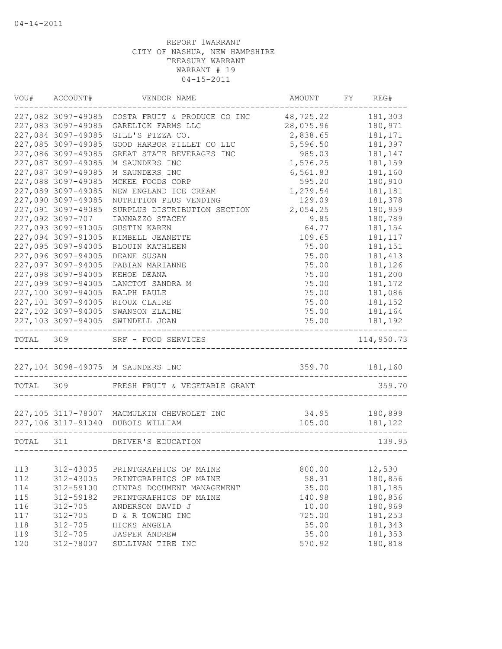| VOU#      | ACCOUNT#           | VENDOR NAME                                | AMOUNT         | FY | REG#       |
|-----------|--------------------|--------------------------------------------|----------------|----|------------|
|           | 227,082 3097-49085 | COSTA FRUIT & PRODUCE CO INC               | 48,725.22      |    | 181,303    |
|           | 227,083 3097-49085 | GARELICK FARMS LLC                         | 28,075.96      |    | 180,971    |
|           | 227,084 3097-49085 | GILL'S PIZZA CO.                           | 2,838.65       |    | 181,171    |
|           | 227,085 3097-49085 | GOOD HARBOR FILLET CO LLC                  | 5,596.50       |    | 181,397    |
|           | 227,086 3097-49085 | GREAT STATE BEVERAGES INC                  | 985.03         |    | 181,147    |
|           | 227,087 3097-49085 | M SAUNDERS INC                             | 1,576.25       |    | 181,159    |
|           | 227,087 3097-49085 | M SAUNDERS INC                             | 6,561.83       |    | 181,160    |
|           | 227,088 3097-49085 | MCKEE FOODS CORP                           | 595.20         |    | 180,910    |
|           | 227,089 3097-49085 | NEW ENGLAND ICE CREAM                      | 1,279.54       |    | 181,181    |
|           | 227,090 3097-49085 | NUTRITION PLUS VENDING                     | 129.09         |    | 181,378    |
|           | 227,091 3097-49085 | SURPLUS DISTRIBUTION SECTION               | 2,054.25       |    | 180,959    |
|           | 227,092 3097-707   | IANNAZZO STACEY                            | 9.85           |    | 180,789    |
|           | 227,093 3097-91005 | <b>GUSTIN KAREN</b>                        | 64.77          |    | 181,154    |
|           | 227,094 3097-91005 | KIMBELL JEANETTE                           | 109.65         |    | 181, 117   |
|           | 227,095 3097-94005 | BLOUIN KATHLEEN                            | 75.00          |    | 181,151    |
|           | 227,096 3097-94005 | DEANE SUSAN                                | 75.00          |    | 181, 413   |
|           | 227,097 3097-94005 | FABIAN MARIANNE                            | 75.00          |    | 181,126    |
|           | 227,098 3097-94005 | KEHOE DEANA                                | 75.00          |    | 181,200    |
|           | 227,099 3097-94005 | LANCTOT SANDRA M                           | 75.00          |    | 181,172    |
|           | 227,100 3097-94005 | RALPH PAULE                                | 75.00          |    | 181,086    |
|           | 227,101 3097-94005 | RIOUX CLAIRE                               | 75.00          |    | 181,152    |
|           | 227,102 3097-94005 | SWANSON ELAINE                             | 75.00          |    | 181,164    |
|           | 227,103 3097-94005 | SWINDELL JOAN                              | 75.00          |    | 181,192    |
| TOTAL     | 309                | SRF - FOOD SERVICES                        |                |    | 114,950.73 |
|           |                    | 227,104 3098-49075 M SAUNDERS INC          | 359.70 181,160 |    |            |
| TOTAL 309 |                    | FRESH FRUIT & VEGETABLE GRANT              |                |    | 359.70     |
|           |                    |                                            |                |    |            |
|           |                    | 227,105 3117-78007 MACMULKIN CHEVROLET INC | 34.95          |    | 180,899    |
|           |                    | 227,106 3117-91040 DUBOIS WILLIAM          | 105.00         |    | 181,122    |
| TOTAL 311 |                    | DRIVER'S EDUCATION                         |                |    | 139.95     |
|           |                    |                                            |                |    |            |
| 113       | 312-43005          | PRINTGRAPHICS OF MAINE                     | 800.00         |    | 12,530     |
| 112       | 312-43005          | PRINTGRAPHICS OF MAINE                     | 58.31          |    | 180,856    |
| 114       | 312-59100          | CINTAS DOCUMENT MANAGEMENT                 | 35.00          |    | 181,185    |
| 115       | 312-59182          | PRINTGRAPHICS OF MAINE                     | 140.98         |    | 180,856    |
| 116       | $312 - 705$        | ANDERSON DAVID J                           | 10.00          |    | 180,969    |
| 117       | $312 - 705$        | D & R TOWING INC                           | 725.00         |    | 181,253    |
| 118       | $312 - 705$        | HICKS ANGELA                               | 35.00          |    | 181,343    |
| 119       | $312 - 705$        | JASPER ANDREW                              | 35.00          |    | 181,353    |
| 120       | 312-78007          | SULLIVAN TIRE INC                          | 570.92         |    | 180,818    |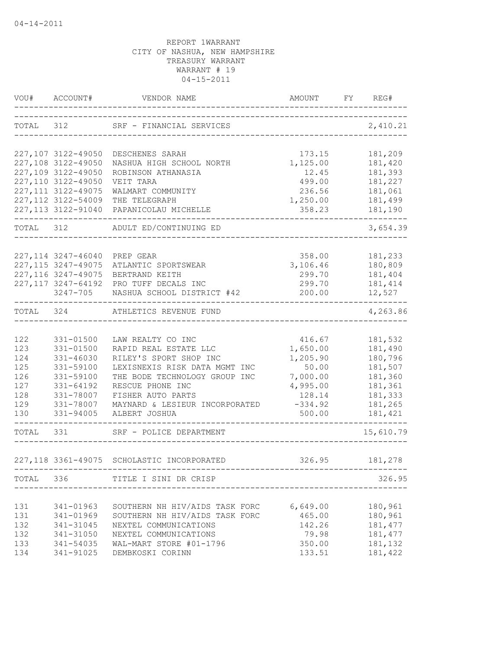|            | VOU# ACCOUNT#                              | VENDOR NAME                                                 | AMOUNT<br>------------------------ | FY REG#            |
|------------|--------------------------------------------|-------------------------------------------------------------|------------------------------------|--------------------|
| TOTAL 312  |                                            | SRF - FINANCIAL SERVICES                                    |                                    | 2,410.21           |
|            |                                            |                                                             |                                    |                    |
|            | 227,107 3122-49050                         | DESCHENES SARAH                                             | 173.15                             | 181,209            |
|            | 227,108 3122-49050<br>227,109 3122-49050   | NASHUA HIGH SCHOOL NORTH<br>ROBINSON ATHANASIA              | 1,125.00<br>12.45                  | 181,420<br>181,393 |
|            | 227,110 3122-49050                         | VEIT TARA                                                   | 499.00                             | 181,227            |
|            | 227, 111 3122-49075                        | WALMART COMMUNITY                                           | 236.56                             | 181,061            |
|            | 227, 112 3122-54009                        | THE TELEGRAPH                                               | 1,250.00                           | 181,499            |
|            | 227, 113 3122-91040                        | PAPANICOLAU MICHELLE                                        | 358.23                             | 181,190            |
| TOTAL      | 312                                        | ADULT ED/CONTINUING ED                                      |                                    | 3,654.39           |
|            |                                            |                                                             |                                    |                    |
|            | 227, 114 3247-46040<br>227, 115 3247-49075 | PREP GEAR<br>ATLANTIC SPORTSWEAR                            | 358.00<br>3,106.46                 | 181,233<br>180,809 |
|            | 227, 116 3247-49075                        | BERTRAND KEITH                                              | 299.70                             | 181,404            |
|            | 227, 117 3247-64192                        | PRO TUFF DECALS INC                                         | 299.70                             | 181, 414           |
|            | 3247-705                                   | NASHUA SCHOOL DISTRICT #42                                  | 200.00                             | 12,527             |
| TOTAL 324  |                                            | ---------------------------------<br>ATHLETICS REVENUE FUND |                                    | 4,263.86           |
|            |                                            |                                                             |                                    |                    |
| 122        | 331-01500                                  | LAW REALTY CO INC                                           | 416.67                             | 181,532            |
| 123        | 331-01500                                  | RAPID REAL ESTATE LLC                                       | 1,650.00                           | 181,490            |
| 124        | 331-46030                                  | RILEY'S SPORT SHOP INC                                      | 1,205.90                           | 180,796            |
| 125        | 331-59100                                  | LEXISNEXIS RISK DATA MGMT INC                               | 50.00                              | 181,507            |
| 126        | 331-59100                                  | THE BODE TECHNOLOGY GROUP INC                               | 7,000.00                           | 181,360            |
| 127        | 331-64192                                  | RESCUE PHONE INC                                            | 4,995.00                           | 181,361            |
| 128        | 331-78007                                  | FISHER AUTO PARTS                                           | 128.14                             | 181,333            |
| 129<br>130 | 331-78007<br>331-94005                     | MAYNARD & LESIEUR INCORPORATED<br>ALBERT JOSHUA             | $-334.92$<br>500.00                | 181,265<br>181,421 |
| TOTAL 331  |                                            |                                                             |                                    |                    |
|            |                                            | SRF - POLICE DEPARTMENT                                     |                                    | 15,610.79          |
|            |                                            | 227,118 3361-49075 SCHOLASTIC INCORPORATED                  | 326.95                             | 181,278            |
|            |                                            | TOTAL 336 TITLE I SINI DR CRISP                             |                                    | 326.95             |
|            |                                            |                                                             |                                    |                    |
| 131        | 341-01963                                  | SOUTHERN NH HIV/AIDS TASK FORC                              | 6,649.00                           | 180,961            |
| 131        | 341-01969                                  | SOUTHERN NH HIV/AIDS TASK FORC                              | 465.00                             | 180,961            |
| 132        | 341-31045                                  | NEXTEL COMMUNICATIONS                                       | 142.26                             | 181, 477           |
| 132        | 341-31050                                  | NEXTEL COMMUNICATIONS                                       | 79.98                              | 181, 477           |
| 133        | 341-54035                                  | WAL-MART STORE #01-1796                                     | 350.00                             | 181,132            |
| 134        | 341-91025                                  | DEMBKOSKI CORINN                                            | 133.51                             | 181,422            |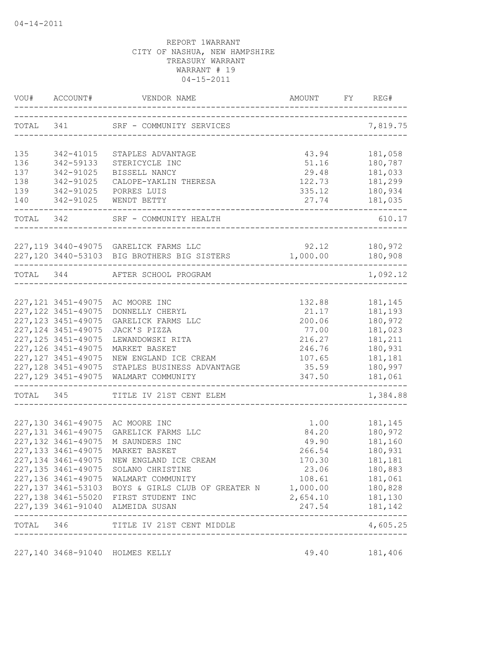|           | VOU# ACCOUNT#                              |                                                                                                            |                                      | FY FY | REG#                        |
|-----------|--------------------------------------------|------------------------------------------------------------------------------------------------------------|--------------------------------------|-------|-----------------------------|
|           |                                            | TOTAL 341 SRF - COMMUNITY SERVICES                                                                         | _________________________________    |       | 7,819.75                    |
| 135       | 342-41015                                  | STAPLES ADVANTAGE                                                                                          | 43.94                                |       | 181,058                     |
| 136       | 342-59133                                  | STERICYCLE INC                                                                                             | 51.16                                |       | 180,787                     |
| 137       | 342-91025                                  | BISSELL NANCY                                                                                              | 29.48                                |       | 181,033                     |
| 138       | 342-91025                                  | CALOPE-YAKLIN THERESA                                                                                      | 122.73                               |       | 181,299                     |
| 139       | 342-91025                                  | PORRES LUIS                                                                                                | 335.12                               |       | 180,934                     |
| 140       | 342-91025                                  | WENDT BETTY                                                                                                | 27.74<br>--------------------------- |       | 181,035                     |
|           |                                            | TOTAL 342 SRF - COMMUNITY HEALTH                                                                           |                                      |       | 610.17                      |
|           |                                            | 227,119 3440-49075 GARELICK FARMS LLC                                                                      | 92.12                                |       | 180,972                     |
|           |                                            | 227,120 3440-53103 BIG BROTHERS BIG SISTERS                                                                | 1,000.00                             |       | 180,908                     |
| TOTAL 344 |                                            | AFTER SCHOOL PROGRAM                                                                                       |                                      |       | --------<br>1,092.12        |
|           |                                            |                                                                                                            |                                      |       |                             |
|           |                                            | 227,121 3451-49075 AC MOORE INC                                                                            | 132.88                               |       | 181,145                     |
|           | 227, 122 3451-49075                        | DONNELLY CHERYL                                                                                            | 21.17                                |       | 181,193                     |
|           | 227, 123 3451-49075                        | GARELICK FARMS LLC                                                                                         | 200.06                               |       | 180,972                     |
|           | 227, 124 3451-49075                        | JACK'S PIZZA                                                                                               | 77.00                                |       | 181,023                     |
|           | 227, 125 3451-49075                        | LEWANDOWSKI RITA                                                                                           | 216.27                               |       | 181,211                     |
|           | 227, 126 3451-49075<br>227, 127 3451-49075 | MARKET BASKET<br>NEW ENGLAND ICE CREAM                                                                     | 246.76<br>107.65                     |       | 180,931<br>181,181          |
|           | 227, 128 3451-49075                        | STAPLES BUSINESS ADVANTAGE                                                                                 | 35.59                                |       | 180,997                     |
|           | 227, 129 3451-49075                        | WALMART COMMUNITY                                                                                          | 347.50                               |       | 181,061                     |
|           | TOTAL 345                                  | TITLE IV 21ST CENT ELEM                                                                                    | -------------------                  |       | 1,384.88                    |
|           |                                            |                                                                                                            |                                      |       |                             |
|           |                                            | 227,130 3461-49075 AC MOORE INC                                                                            | 1.00                                 |       | 181,145                     |
|           | 227, 131 3461-49075                        | GARELICK FARMS LLC                                                                                         | 84.20                                |       | 180,972                     |
|           | 227, 132 3461-49075                        | M SAUNDERS INC                                                                                             | 49.90                                |       | 181,160                     |
|           | 227, 133 3461-49075                        | MARKET BASKET                                                                                              | 266.54                               |       | 180,931                     |
|           |                                            | 227,134 3461-49075 NEW ENGLAND ICE CREAM                                                                   | 170.30                               |       | 181,181                     |
|           |                                            | 227,135 3461-49075 SOLANO CHRISTINE                                                                        | 23.06                                |       | 180,883                     |
|           |                                            | 227,136 3461-49075 WALMART COMMUNITY                                                                       |                                      |       | 108.61 181,061              |
|           |                                            | 227,137 3461-53103 BOYS & GIRLS CLUB OF GREATER N 1,000.00 180,828<br>227,138 3461-55020 FIRST STUDENT INC | 2,654.10 181,130                     |       |                             |
|           |                                            | 227,139 3461-91040 ALMEIDA SUSAN                                                                           |                                      |       | 247.54 181,142              |
|           |                                            | TOTAL 346 TITLE IV 21ST CENT MIDDLE                                                                        |                                      |       | ---------------<br>4,605.25 |
|           |                                            |                                                                                                            | ------------------------------------ |       |                             |
|           |                                            | 227,140 3468-91040 HOLMES KELLY                                                                            | 49.40                                |       | 181,406                     |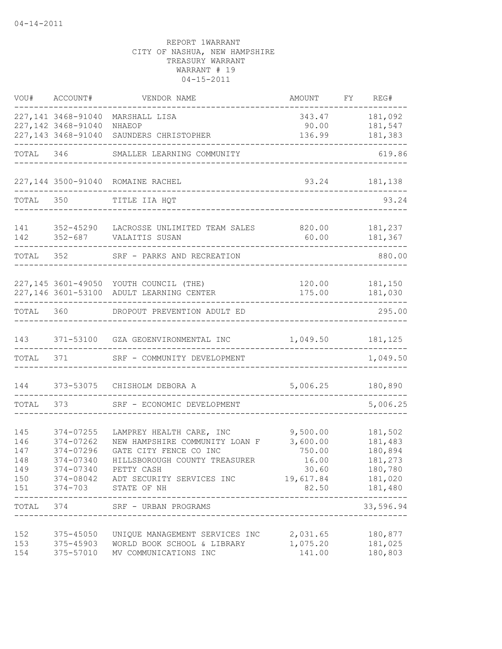|            | VOU# ACCOUNT#          | VENDOR NAME                                                                                    | AMOUNT             | FY REG#                       |
|------------|------------------------|------------------------------------------------------------------------------------------------|--------------------|-------------------------------|
|            | 227,141 3468-91040     | MARSHALL LISA                                                                                  | 343.47             | 181,092                       |
|            | 227,142 3468-91040     | NHAEOP                                                                                         | 90.00              | 181,547                       |
|            | 227, 143 3468-91040    | SAUNDERS CHRISTOPHER                                                                           | 136.99             | 181,383                       |
| TOTAL 346  |                        | SMALLER LEARNING COMMUNITY                                                                     |                    | 619.86                        |
|            |                        | 227,144 3500-91040 ROMAINE RACHEL                                                              | 93.24              | 181,138                       |
| TOTAL      | 350                    | TITLE IIA HQT                                                                                  |                    | 93.24                         |
| 141        | 352-45290              | LACROSSE UNLIMITED TEAM SALES 820.00                                                           |                    | 181,237                       |
| 142        |                        | 352-687 VALAITIS SUSAN                                                                         | 60.00              | 181,367                       |
| TOTAL      | 352                    | SRF - PARKS AND RECREATION                                                                     |                    | 880.00                        |
|            |                        |                                                                                                |                    |                               |
|            |                        | 227,145 3601-49050 YOUTH COUNCIL (THE)<br>227,146 3601-53100 ADULT LEARNING CENTER             | 120.00<br>175.00   | 181,150<br>181,030            |
| TOTAL 360  |                        | DROPOUT PREVENTION ADULT ED                                                                    |                    | 295.00                        |
| 143        |                        | 371-53100 GZA GEOENVIRONMENTAL INC                                                             | 1,049.50           | 181,125                       |
| TOTAL      | 371                    | SRF - COMMUNITY DEVELOPMENT                                                                    |                    | 1,049.50                      |
| 144        | 373-53075              | CHISHOLM DEBORA A                                                                              | 5,006.25           | 180,890                       |
| TOTAL      | 373                    | SRF - ECONOMIC DEVELOPMENT                                                                     |                    | 5,006.25                      |
|            |                        |                                                                                                |                    |                               |
| 145        | 374-07255              | LAMPREY HEALTH CARE, INC                                                                       | 9,500.00           | 181,502                       |
| 146<br>147 | 374-07262<br>374-07296 | NEW HAMPSHIRE COMMUNITY LOAN F<br>GATE CITY FENCE CO INC                                       | 3,600.00<br>750.00 | 181,483<br>180,894            |
| 148        | 374-07340              | HILLSBOROUGH COUNTY TREASURER                                                                  | 16.00              | 181,273                       |
| 149        |                        | 374-07340 PETTY CASH                                                                           | 30.60              | 180,780                       |
|            |                        | 150 374-08042 ADT SECURITY SERVICES INC 19,617.84 181,020                                      |                    |                               |
| 151        |                        | 374-703 STATE OF NH                                                                            |                    | 82.50 181,480                 |
|            |                        | _______________________<br>---------------------------------<br>TOTAL 374 SRF - URBAN PROGRAMS |                    | ----------------<br>33,596.94 |
| 152        |                        | 375-45050 UNIQUE MANAGEMENT SERVICES INC 2,031.65                                              |                    | 180,877                       |
| 153        |                        | 375-45903 WORLD BOOK SCHOOL & LIBRARY                                                          | 1,075.20           | 181,025                       |
| 154        |                        | 375-57010 MV COMMUNICATIONS INC                                                                | 141.00             | 180,803                       |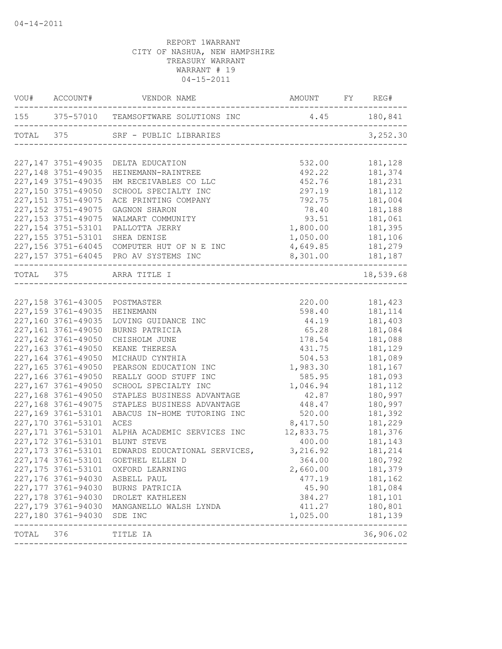|           | VOU# ACCOUNT#       | VENDOR NAME                                           | AMOUNT FY REG#   |                            |
|-----------|---------------------|-------------------------------------------------------|------------------|----------------------------|
|           |                     | 155 375-57010 TEAMSOFTWARE SOLUTIONS INC 4.45 180,841 |                  |                            |
|           |                     | TOTAL 375 SRF - PUBLIC LIBRARIES                      |                  | 3,252.30                   |
|           |                     | 227,147 3751-49035 DELTA EDUCATION                    | 532.00           | 181,128                    |
|           | 227, 148 3751-49035 | HEINEMANN-RAINTREE                                    | 492.22           | 181,374                    |
|           | 227, 149 3751-49035 | HM RECEIVABLES CO LLC                                 | 452.76           | 181,231                    |
|           | 227,150 3751-49050  | SCHOOL SPECIALTY INC                                  | 297.19           | 181,112                    |
|           | 227, 151 3751-49075 | ACE PRINTING COMPANY                                  | 792.75           | 181,004                    |
|           | 227, 152 3751-49075 | GAGNON SHARON                                         | 78.40            | 181,188                    |
|           | 227, 153 3751-49075 | WALMART COMMUNITY                                     | 93.51            | 181,061                    |
|           | 227, 154 3751-53101 | PALLOTTA JERRY                                        | 1,800.00         | 181,395                    |
|           | 227, 155 3751-53101 | SHEA DENISE                                           | 1,050.00         | 181,106                    |
|           |                     | 227,156 3751-64045 COMPUTER HUT OF N E INC            | 4,649.85         | 181,279                    |
|           |                     | 227,157 3751-64045 PRO AV SYSTEMS INC                 | 8,301.00 181,187 |                            |
|           |                     | TOTAL 375 ARRA TITLE I                                |                  | 18,539.68                  |
|           |                     |                                                       |                  |                            |
|           |                     | 227,158 3761-43005 POSTMASTER                         | 220.00           | 181,423                    |
|           | 227, 159 3761-49035 | HEINEMANN                                             | 598.40           | 181,114                    |
|           | 227,160 3761-49035  | LOVING GUIDANCE INC                                   | 44.19            | 181,403                    |
|           | 227,161 3761-49050  | BURNS PATRICIA                                        | 65.28            | 181,084                    |
|           | 227,162 3761-49050  | CHISHOLM JUNE                                         | 178.54           | 181,088                    |
|           | 227,163 3761-49050  | KEANE THERESA                                         | 431.75           | 181,129                    |
|           | 227,164 3761-49050  | MICHAUD CYNTHIA                                       | 504.53           | 181,089                    |
|           | 227,165 3761-49050  | PEARSON EDUCATION INC                                 | 1,983.30         | 181,167                    |
|           | 227,166 3761-49050  | REALLY GOOD STUFF INC                                 | 585.95           | 181,093                    |
|           | 227,167 3761-49050  | SCHOOL SPECIALTY INC                                  | 1,046.94         | 181,112                    |
|           | 227,168 3761-49050  | STAPLES BUSINESS ADVANTAGE                            | 42.87            | 180,997                    |
|           | 227,168 3761-49075  | STAPLES BUSINESS ADVANTAGE                            | 448.47           | 180,997                    |
|           | 227,169 3761-53101  | ABACUS IN-HOME TUTORING INC                           | 520.00           | 181,392                    |
|           | 227,170 3761-53101  | ACES                                                  | 8,417.50         | 181,229                    |
|           | 227, 171 3761-53101 | ALPHA ACADEMIC SERVICES INC                           | 12,833.75        | 181,376                    |
|           | 227, 172 3761-53101 | BLUNT STEVE                                           | 400.00           | 181,143                    |
|           | 227, 173 3761-53101 | EDWARDS EDUCATIONAL SERVICES, 3,216.92                |                  | 181,214                    |
|           | 227,174 3761-53101  | GOETHEL ELLEN D                                       | 364.00           | 180,792                    |
|           | 227, 175 3761-53101 | OXFORD LEARNING                                       | 2,660.00         | 181,379                    |
|           | 227,176 3761-94030  | ASBELL PAUL                                           | 477.19           | 181,162                    |
|           | 227,177 3761-94030  | BURNS PATRICIA                                        | 45.90            | 181,084                    |
|           | 227, 178 3761-94030 | DROLET KATHLEEN                                       | 384.27           | 181,101                    |
|           | 227,179 3761-94030  | MANGANELLO WALSH LYNDA                                | 411.27           | 180,801                    |
|           | 227,180 3761-94030  | SDE INC                                               | 1,025.00         | 181,139                    |
| TOTAL 376 |                     | --------------------------------<br>TITLE IA          |                  | -------------<br>36,906.02 |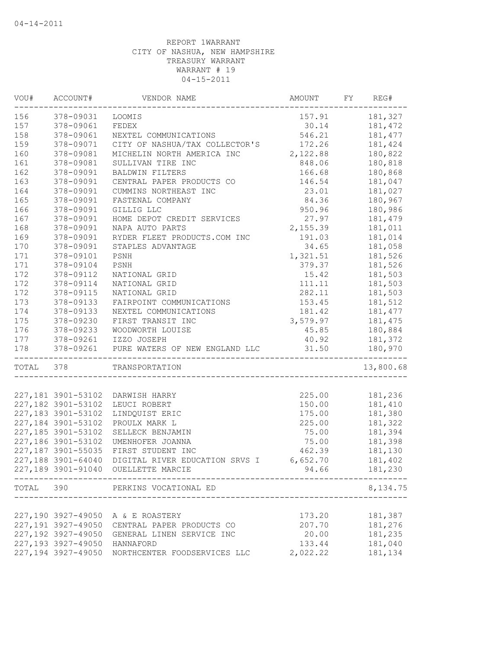| VOU#<br>---------- | ACCOUNT#           | VENDOR NAME                              | AMOUNT   | FY | REG#          |
|--------------------|--------------------|------------------------------------------|----------|----|---------------|
| 156                | 378-09031          | LOOMIS                                   | 157.91   |    | 181,327       |
| 157                | 378-09061          | FEDEX                                    | 30.14    |    | 181,472       |
| 158                | 378-09061          | NEXTEL COMMUNICATIONS                    | 546.21   |    | 181, 477      |
| 159                | 378-09071          | CITY OF NASHUA/TAX COLLECTOR'S           | 172.26   |    | 181,424       |
| 160                | 378-09081          | MICHELIN NORTH AMERICA INC               | 2,122.88 |    | 180,822       |
| 161                | 378-09081          | SULLIVAN TIRE INC                        | 848.06   |    | 180,818       |
| 162                | 378-09091          | BALDWIN FILTERS                          | 166.68   |    | 180,868       |
| 163                | 378-09091          | CENTRAL PAPER PRODUCTS CO                | 146.54   |    | 181,047       |
| 164                | 378-09091          | CUMMINS NORTHEAST INC                    | 23.01    |    | 181,027       |
| 165                | 378-09091          | FASTENAL COMPANY                         | 84.36    |    | 180,967       |
| 166                | 378-09091          | GILLIG LLC                               | 950.96   |    | 180,986       |
| 167                | 378-09091          | HOME DEPOT CREDIT SERVICES               | 27.97    |    | 181,479       |
| 168                | 378-09091          | NAPA AUTO PARTS                          | 2,155.39 |    | 181,011       |
| 169                | 378-09091          | RYDER FLEET PRODUCTS.COM INC             | 191.03   |    | 181,014       |
| 170                | 378-09091          | STAPLES ADVANTAGE                        | 34.65    |    | 181,058       |
| 171                | 378-09101          | PSNH                                     | 1,321.51 |    | 181,526       |
| 171                | 378-09104          | PSNH                                     | 379.37   |    | 181,526       |
| 172                | 378-09112          | NATIONAL GRID                            | 15.42    |    | 181,503       |
| 172                | 378-09114          | NATIONAL GRID                            | 111.11   |    | 181,503       |
| 172                | 378-09115          | NATIONAL GRID                            | 282.11   |    | 181,503       |
| 173                | 378-09133          | FAIRPOINT COMMUNICATIONS                 | 153.45   |    | 181,512       |
| 174                | 378-09133          | NEXTEL COMMUNICATIONS                    | 181.42   |    | 181,477       |
| 175                | 378-09230          | FIRST TRANSIT INC                        | 3,579.97 |    | 181,475       |
| 176                | 378-09233          | WOODWORTH LOUISE                         | 45.85    |    | 180,884       |
| 177                |                    | 378-09261 IZZO JOSEPH                    | 40.92    |    | 181,372       |
| 178                |                    | 378-09261 PURE WATERS OF NEW ENGLAND LLC | 31.50    |    | 180,970       |
| TOTAL              | 378                | TRANSPORTATION                           |          |    | 13,800.68     |
|                    |                    |                                          |          |    |               |
|                    | 227,181 3901-53102 | DARWISH HARRY                            | 225.00   |    | 181,236       |
|                    | 227,182 3901-53102 | LEUCI ROBERT                             | 150.00   |    | 181,410       |
|                    | 227,183 3901-53102 | LINDQUIST ERIC                           | 175.00   |    | 181,380       |
|                    | 227,184 3901-53102 | PROULX MARK L                            | 225.00   |    | 181,322       |
|                    | 227,185 3901-53102 | SELLECK BENJAMIN                         | 75.00    |    | 181,394       |
|                    | 227,186 3901-53102 | UMENHOFER JOANNA                         | 75.00    |    | 181,398       |
|                    | 227,187 3901-55035 | FIRST STUDENT INC                        | 462.39   |    | 181,130       |
|                    | 227,188 3901-64040 | DIGITAL RIVER EDUCATION SRVS I           | 6,652.70 |    | 181,402       |
|                    |                    | 227,189 3901-91040 OUELLETTE MARCIE      |          |    | 94.66 181,230 |
|                    |                    | TOTAL 390 PERKINS VOCATIONAL ED          |          |    | 8,134.75      |
|                    |                    |                                          |          |    |               |
|                    |                    | 227,190 3927-49050 A & E ROASTERY        | 173.20   |    | 181,387       |
|                    | 227,191 3927-49050 | CENTRAL PAPER PRODUCTS CO                | 207.70   |    | 181,276       |
|                    | 227,192 3927-49050 | GENERAL LINEN SERVICE INC                | 20.00    |    | 181,235       |
|                    | 227,193 3927-49050 | HANNAFORD                                | 133.44   |    | 181,040       |
|                    | 227,194 3927-49050 | NORTHCENTER FOODSERVICES LLC             | 2,022.22 |    | 181,134       |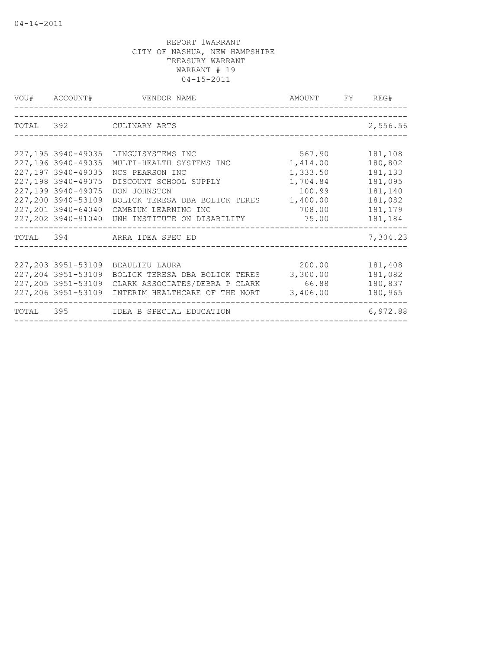| VOU# ACCOUNT#       | VENDOR NAME                                       | AMOUNT FY REG# |          |
|---------------------|---------------------------------------------------|----------------|----------|
|                     |                                                   |                |          |
|                     | TOTAL 392 CULINARY ARTS                           |                | 2,556.56 |
|                     |                                                   |                |          |
| 227,195 3940-49035  | LINGUISYSTEMS INC                                 | 567.90         | 181,108  |
| 227,196 3940-49035  | MULTI-HEALTH SYSTEMS INC                          | 1,414.00       | 180,802  |
| 227,197 3940-49035  | NCS PEARSON INC                                   | 1,333.50       | 181,133  |
| 227,198 3940-49075  | DISCOUNT SCHOOL SUPPLY                            | 1,704.84       | 181,095  |
| 227,199 3940-49075  | DON JOHNSTON                                      | 100.99         | 181,140  |
| 227,200 3940-53109  | BOLICK TERESA DBA BOLICK TERES 1,400.00           |                | 181,082  |
| 227,201 3940-64040  | CAMBIUM LEARNING INC                              | 708.00         | 181,179  |
| 227,202 3940-91040  | UNH INSTITUTE ON DISABILITY                       | 75.00          | 181,184  |
|                     | TOTAL 394 ARRA IDEA SPEC ED                       |                | 7,304.23 |
|                     |                                                   |                |          |
| 227,203 3951-53109  | BEAULIEU LAURA                                    | 200.00         | 181,408  |
| 227, 204 3951-53109 | BOLICK TERESA DBA BOLICK TERES                    | 3,300.00       | 181,082  |
|                     | 227,205 3951-53109 CLARK ASSOCIATES/DEBRA P CLARK | 66.88          | 180,837  |
| 227,206 3951-53109  | INTERIM HEALTHCARE OF THE NORT                    | 3,406.00       | 180,965  |
|                     | TOTAL 395 IDEA B SPECIAL EDUCATION                |                | 6,972.88 |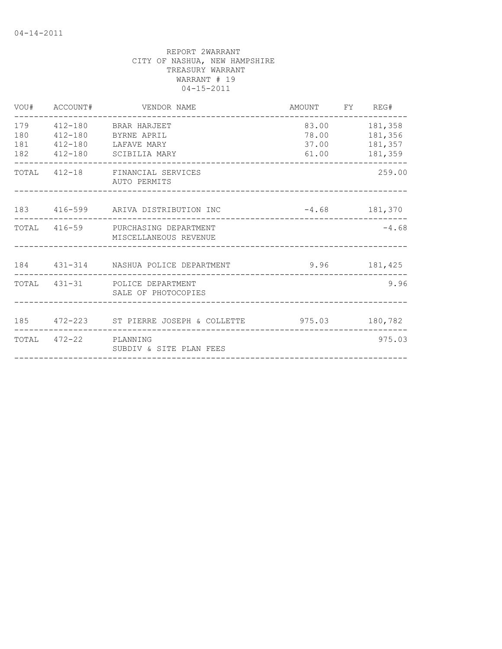| VOU#                     | ACCOUNT#              | VENDOR NAME                                                                                 | AMOUNT FY REG#          |                                                |
|--------------------------|-----------------------|---------------------------------------------------------------------------------------------|-------------------------|------------------------------------------------|
| 179<br>180<br>181<br>182 |                       | 412-180 BRAR HARJEET<br>412-180 BYRNE APRIL<br>412-180 LAFAVE MARY<br>412-180 SCIBILIA MARY | 83.00<br>37.00<br>61.00 | 181,358<br>78.00 181,356<br>181,357<br>181,359 |
|                          |                       | TOTAL 412-18 FINANCIAL SERVICES<br>AUTO PERMITS                                             |                         | 259.00                                         |
|                          |                       | 183 416-599 ARIVA DISTRIBUTION INC                                                          | $-4.68$ 181,370         |                                                |
|                          |                       | TOTAL 416-59 PURCHASING DEPARTMENT<br>MISCELLANEOUS REVENUE                                 |                         | $-4.68$                                        |
|                          |                       | 184   431-314   NASHUA POLICE DEPARTMENT                                                    | $9.96$ 181,425          |                                                |
|                          |                       | TOTAL 431-31 POLICE DEPARTMENT<br>SALE OF PHOTOCOPIES                                       |                         | 9.96                                           |
|                          |                       | 185  472-223  ST PIERRE JOSEPH & COLLETTE  975.03  180,782                                  |                         |                                                |
|                          | TOTAL 472-22 PLANNING | SUBDIV & SITE PLAN FEES                                                                     |                         | 975.03                                         |
|                          |                       |                                                                                             |                         |                                                |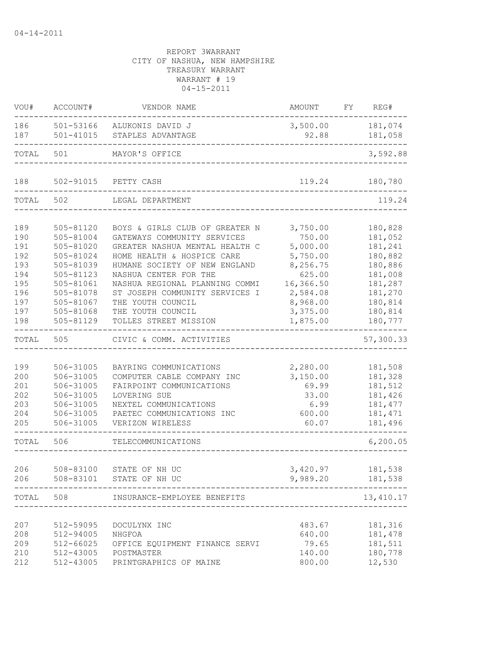| VOU#                                                               | ACCOUNT#                                                                                                                       | VENDOR NAME                                                                                                                                                                                                                                                                                           | AMOUNT                                                                                                            | FY REG#                                                                                                    |
|--------------------------------------------------------------------|--------------------------------------------------------------------------------------------------------------------------------|-------------------------------------------------------------------------------------------------------------------------------------------------------------------------------------------------------------------------------------------------------------------------------------------------------|-------------------------------------------------------------------------------------------------------------------|------------------------------------------------------------------------------------------------------------|
| 186<br>187                                                         | 501-41015                                                                                                                      | 501-53166 ALUKONIS DAVID J<br>STAPLES ADVANTAGE                                                                                                                                                                                                                                                       | 3,500.00 181,074<br>92.88                                                                                         | 181,058                                                                                                    |
| TOTAL                                                              | 501                                                                                                                            | MAYOR'S OFFICE                                                                                                                                                                                                                                                                                        |                                                                                                                   | 3,592.88                                                                                                   |
| 188                                                                |                                                                                                                                | 502-91015 PETTY CASH                                                                                                                                                                                                                                                                                  | 119.24                                                                                                            | 180,780                                                                                                    |
| TOTAL                                                              | 502                                                                                                                            | LEGAL DEPARTMENT                                                                                                                                                                                                                                                                                      |                                                                                                                   | 119.24                                                                                                     |
| 189<br>190<br>191<br>192<br>193<br>194<br>195<br>196<br>197<br>197 | 505-81120<br>505-81004<br>505-81020<br>505-81024<br>505-81039<br>505-81123<br>505-81061<br>505-81078<br>505-81067<br>505-81068 | BOYS & GIRLS CLUB OF GREATER N<br>GATEWAYS COMMUNITY SERVICES<br>GREATER NASHUA MENTAL HEALTH C<br>HOME HEALTH & HOSPICE CARE<br>HUMANE SOCIETY OF NEW ENGLAND<br>NASHUA CENTER FOR THE<br>NASHUA REGIONAL PLANNING COMMI<br>ST JOSEPH COMMUNITY SERVICES I<br>THE YOUTH COUNCIL<br>THE YOUTH COUNCIL | 3,750.00<br>750.00<br>5,000.00<br>5,750.00<br>8,256.75<br>625.00<br>16,366.50<br>2,584.08<br>8,968.00<br>3,375.00 | 180,828<br>181,052<br>181,241<br>180,882<br>180,886<br>181,008<br>181,287<br>181,270<br>180,814<br>180,814 |
| 198                                                                | 505-81129                                                                                                                      | TOLLES STREET MISSION                                                                                                                                                                                                                                                                                 | 1,875.00                                                                                                          | 180,777                                                                                                    |
| TOTAL                                                              | 505                                                                                                                            | CIVIC & COMM. ACTIVITIES                                                                                                                                                                                                                                                                              |                                                                                                                   | 57,300.33                                                                                                  |
| 199<br>200<br>201<br>202<br>203<br>204<br>205                      | 506-31005<br>506-31005<br>506-31005<br>506-31005<br>506-31005<br>506-31005<br>506-31005                                        | BAYRING COMMUNICATIONS<br>COMPUTER CABLE COMPANY INC<br>FAIRPOINT COMMUNICATIONS<br>LOVERING SUE<br>NEXTEL COMMUNICATIONS<br>PAETEC COMMUNICATIONS INC<br>VERIZON WIRELESS                                                                                                                            | 2,280.00<br>3,150.00<br>69.99<br>33.00<br>6.99<br>600.00<br>60.07                                                 | 181,508<br>181,328<br>181,512<br>181,426<br>181, 477<br>181, 471<br>181,496                                |
| TOTAL                                                              | 506                                                                                                                            | TELECOMMUNICATIONS                                                                                                                                                                                                                                                                                    |                                                                                                                   | 6, 200.05                                                                                                  |
| 206<br>206                                                         | 508-83100                                                                                                                      | STATE OF NH UC<br>508-83101 STATE OF NH UC                                                                                                                                                                                                                                                            | 3,420.97<br>9,989.20                                                                                              | 181,538<br>181,538                                                                                         |
| TOTAL                                                              | 508                                                                                                                            | INSURANCE-EMPLOYEE BENEFITS                                                                                                                                                                                                                                                                           |                                                                                                                   | 13,410.17<br>________.                                                                                     |
| 207<br>208<br>209<br>210<br>212                                    | 512-59095<br>512-94005<br>512-66025<br>512-43005<br>512-43005                                                                  | DOCULYNX INC<br>NHGFOA<br>OFFICE EOUIPMENT FINANCE SERVI<br>POSTMASTER<br>PRINTGRAPHICS OF MAINE                                                                                                                                                                                                      | 483.67<br>640.00<br>79.65<br>140.00<br>800.00                                                                     | 181,316<br>181,478<br>181,511<br>180,778<br>12,530                                                         |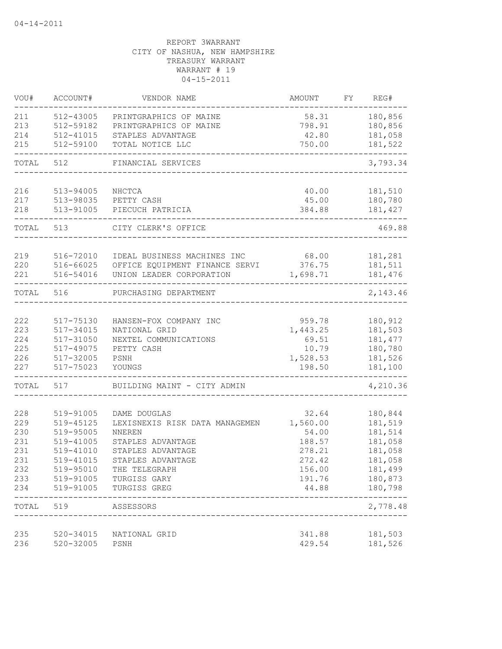| VOU#       | ACCOUNT#               | VENDOR NAME                                    | <b>AMOUNT</b>     | FΥ | REG#               |
|------------|------------------------|------------------------------------------------|-------------------|----|--------------------|
| 211        | 512-43005              | PRINTGRAPHICS OF MAINE                         | 58.31             |    | 180,856            |
| 213        | 512-59182              | PRINTGRAPHICS OF MAINE                         | 798.91            |    | 180,856            |
| 214        | 512-41015              | STAPLES ADVANTAGE                              | 42.80             |    | 181,058            |
| 215        | 512-59100              | TOTAL NOTICE LLC                               | 750.00            |    | 181,522            |
| TOTAL      | 512                    | FINANCIAL SERVICES                             |                   |    | 3,793.34           |
| 216        | 513-94005              | $\rm NHCTCA$                                   | 40.00             |    | 181,510            |
| 217        | 513-98035              | PETTY CASH                                     | 45.00             |    | 180,780            |
| 218        | 513-91005              | PIECUCH PATRICIA                               | 384.88            |    | 181,427            |
| TOTAL      | 513                    | CITY CLERK'S OFFICE                            |                   |    | 469.88             |
| 219        |                        | IDEAL BUSINESS MACHINES INC                    | 68.00             |    | 181,281            |
| 220        | 516-72010<br>516-66025 | OFFICE EQUIPMENT FINANCE SERVI                 | 376.75            |    | 181,511            |
| 221        | 516-54016              | UNION LEADER CORPORATION                       | 1,698.71          |    | 181,476            |
| TOTAL      | 516                    | PURCHASING DEPARTMENT                          |                   |    | 2,143.46           |
|            |                        |                                                |                   |    |                    |
| 222        | 517-75130              | HANSEN-FOX COMPANY INC                         | 959.78            |    | 180,912            |
| 223        | 517-34015              | NATIONAL GRID                                  | 1,443.25          |    | 181,503            |
| 224        | 517-31050              | NEXTEL COMMUNICATIONS                          | 69.51             |    | 181, 477           |
| 225        | 517-49075              | PETTY CASH                                     | 10.79             |    | 180,780            |
| 226        | 517-32005              | PSNH                                           | 1,528.53          |    | 181,526            |
| 227        | 517-75023              | YOUNGS                                         | 198.50            |    | 181,100            |
| TOTAL      | 517                    | BUILDING MAINT - CITY ADMIN                    |                   |    | 4,210.36           |
|            |                        |                                                |                   |    |                    |
| 228<br>229 | 519-91005<br>519-45125 | DAME DOUGLAS<br>LEXISNEXIS RISK DATA MANAGEMEN | 32.64             |    | 180,844<br>181,519 |
| 230        | 519-95005              | <b>NNEREN</b>                                  | 1,560.00<br>54.00 |    | 181,514            |
| 231        | 519-41005              | STAPLES ADVANTAGE                              | 188.57            |    | 181,058            |
| 231        | 519-41010              | STAPLES ADVANTAGE                              | 278.21            |    | 181,058            |
| 231        | 519-41015              | STAPLES ADVANTAGE                              | 272.42            |    | 181,058            |
| 232        | 519-95010              | THE TELEGRAPH                                  | 156.00            |    | 181,499            |
| 233        | 519-91005              | TURGISS GARY                                   | 191.76            |    | 180,873            |
| 234        | 519-91005              | TURGISS GREG                                   | 44.88             |    | 180,798            |
| TOTAL      | 519                    | ASSESSORS                                      |                   |    | ------<br>2,778.48 |
| 235        | 520-34015              | NATIONAL GRID                                  | 341.88            |    | 181,503            |
| 236        | 520-32005              | PSNH                                           | 429.54            |    | 181,526            |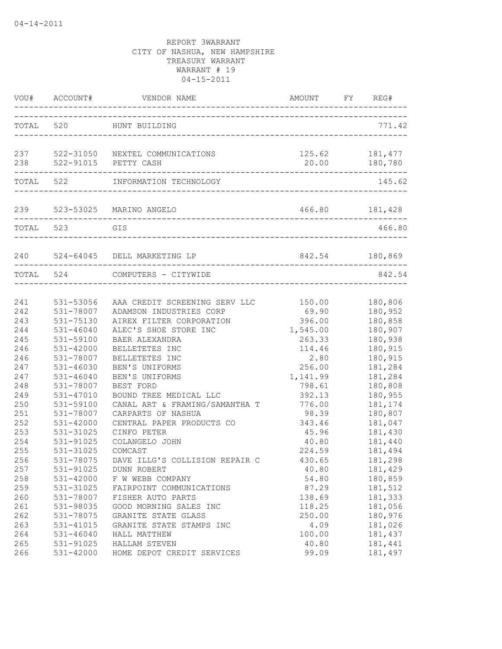|                                 |                                                               | VOU# ACCOUNT# VENDOR NAME                                                                                                              | AMOUNT                                        | FY | REG#                                                |
|---------------------------------|---------------------------------------------------------------|----------------------------------------------------------------------------------------------------------------------------------------|-----------------------------------------------|----|-----------------------------------------------------|
| TOTAL 520                       |                                                               | HUNT BUILDING                                                                                                                          |                                               |    | 771.42                                              |
|                                 |                                                               | 237 522-31050 NEXTEL COMMUNICATIONS<br>238 522-91015 PETTY CASH                                                                        | 125.62                                        |    | 181, 477                                            |
|                                 |                                                               | TOTAL 522 INFORMATION TECHNOLOGY                                                                                                       |                                               |    | 145.62                                              |
|                                 |                                                               | 239 523-53025 MARINO ANGELO<br>--------------------------------                                                                        | 466.80 181,428                                |    |                                                     |
| TOTAL 523                       |                                                               | GIS<br>_________________________                                                                                                       |                                               |    | 466.80                                              |
|                                 |                                                               | 240 524-64045 DELL MARKETING LP                                                                                                        | 842.54 180,869                                |    |                                                     |
|                                 | TOTAL 524                                                     | COMPUTERS - CITYWIDE                                                                                                                   |                                               |    | 842.54                                              |
| 241<br>242<br>243<br>244<br>245 | 531-53056<br>531-78007<br>531-75130<br>531-46040<br>531-59100 | AAA CREDIT SCREENING SERV LLC 150.00<br>ADAMSON INDUSTRIES CORP<br>AIREX FILTER CORPORATION<br>ALEC'S SHOE STORE INC<br>BAER ALEXANDRA | 69.90<br>396.00<br>1,545.00<br>263.33         |    | 180,806<br>180,952<br>180,858<br>180,907<br>180,938 |
| 246<br>246<br>247<br>247        | 531-42000<br>531-78007<br>531-46030<br>$531 - 46040$          | BELLETETES INC<br>BELLETETES INC<br>BEN'S UNIFORMS<br>BEN'S UNIFORMS                                                                   | 114.46<br>2.80<br>256.00<br>1,141.99          |    | 180,915<br>180,915<br>181,284<br>181,284            |
| 248<br>249<br>250<br>251<br>252 | 531-78007<br>531-47010<br>531-59100<br>531-78007<br>531-42000 | BEST FORD<br>BOUND TREE MEDICAL LLC<br>CANAL ART & FRAMING/SAMANTHA T<br>CARPARTS OF NASHUA<br>CENTRAL PAPER PRODUCTS CO               | 798.61<br>392.13<br>776.00<br>98.39<br>343.46 |    | 180,808<br>180,955<br>181,174<br>180,807<br>181,047 |
| 253<br>254<br>255<br>256        | 531-31025<br>531-91025<br>531-31025<br>531-78075              | CINFO PETER<br>COLANGELO JOHN<br>COMCAST<br>DAVE ILLG'S COLLISION REPAIR C                                                             | 45.96<br>40.80<br>224.59<br>430.65            |    | 181,430<br>181,440<br>181,494<br>181,298            |
| 257<br>258<br>259<br>260        | 531-91025<br>531-42000<br>531-31025<br>531-78007              | DUNN ROBERT<br>F W WEBB COMPANY<br>FAIRPOINT COMMUNICATIONS<br>FISHER AUTO PARTS                                                       | 40.80<br>54.80<br>87.29<br>138.69             |    | 181,429<br>180,859<br>181,512<br>181,333            |
| 261<br>262<br>263<br>264<br>265 | 531-98035<br>531-78075<br>531-41015<br>531-46040<br>531-91025 | GOOD MORNING SALES INC<br>GRANITE STATE GLASS<br>GRANITE STATE STAMPS INC<br>HALL MATTHEW<br>HALLAM STEVEN                             | 118.25<br>250.00<br>4.09<br>100.00<br>40.80   |    | 181,056<br>180,976<br>181,026<br>181,437<br>181,441 |
| 266                             | 531-42000                                                     | HOME DEPOT CREDIT SERVICES                                                                                                             | 99.09                                         |    | 181,497                                             |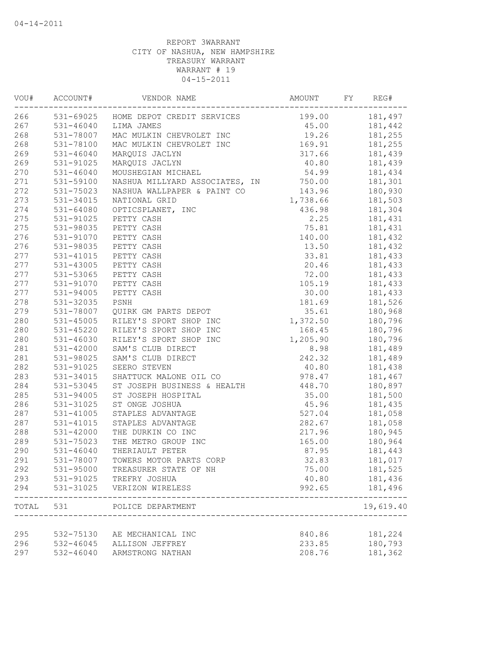| VOU#  | ACCOUNT#      | VENDOR NAME                                 | AMOUNT   | FY | REG#      |
|-------|---------------|---------------------------------------------|----------|----|-----------|
| 266   |               | 531-69025 HOME DEPOT CREDIT SERVICES        | 199.00   |    | 181,497   |
| 267   |               | 531-46040 LIMA JAMES                        |          |    |           |
| 268   | 531-78007     | MAC MULKIN CHEVROLET INC                    | 19.26    |    | 181,255   |
| 268   | 531-78100     | MAC MULKIN CHEVROLET INC                    | 169.91   |    | 181,255   |
| 269   | 531-46040     | MARQUIS JACLYN                              | 317.66   |    | 181,439   |
| 269   | 531-91025     | MARQUIS JACLYN                              | 40.80    |    | 181,439   |
| 270   | $531 - 46040$ | MOUSHEGIAN MICHAEL                          | 54.99    |    | 181,434   |
| 271   | 531-59100     | NASHUA MILLYARD ASSOCIATES, IN              | 750.00   |    | 181,301   |
| 272   | 531-75023     | NASHUA WALLPAPER & PAINT CO                 | 143.96   |    | 180,930   |
| 273   | 531-34015     | NATIONAL GRID                               | 1,738.66 |    | 181,503   |
| 274   | 531-64080     | OPTICSPLANET, INC                           | 436.98   |    | 181,304   |
| 275   | 531-91025     | PETTY CASH                                  | 2.25     |    | 181,431   |
| 275   | 531-98035     | PETTY CASH                                  | 75.81    |    | 181,431   |
| 276   | 531-91070     | PETTY CASH                                  | 140.00   |    | 181,432   |
| 276   | 531-98035     | PETTY CASH                                  | 13.50    |    | 181,432   |
| 277   | 531-41015     | PETTY CASH                                  | 33.81    |    | 181,433   |
| 277   | 531-43005     | PETTY CASH                                  | 20.46    |    | 181,433   |
| 277   | 531-53065     | PETTY CASH                                  | 72.00    |    | 181,433   |
| 277   | 531-91070     | PETTY CASH                                  | 105.19   |    | 181,433   |
| 277   | 531-94005     | PETTY CASH                                  | 30.00    |    | 181,433   |
| 278   | 531-32035     | PSNH                                        | 181.69   |    | 181,526   |
| 279   | 531-78007     | QUIRK GM PARTS DEPOT                        | 35.61    |    | 180,968   |
| 280   | 531-45005     | RILEY'S SPORT SHOP INC                      | 1,372.50 |    | 180,796   |
| 280   |               | 531-45220 RILEY'S SPORT SHOP INC            | 168.45   |    | 180,796   |
| 280   | 531-46030     | RILEY'S SPORT SHOP INC                      | 1,205.90 |    | 180,796   |
| 281   | $531 - 42000$ | SAM'S CLUB DIRECT                           | 8.98     |    | 181,489   |
| 281   | 531-98025     | SAM'S CLUB DIRECT                           | 242.32   |    | 181,489   |
| 282   | 531-91025     | SEERO STEVEN                                | 40.80    |    | 181,438   |
| 283   | 531-34015     | SHATTUCK MALONE OIL CO                      | 978.47   |    | 181,467   |
| 284   | 531-53045     | ST JOSEPH BUSINESS & HEALTH                 | 448.70   |    | 180,897   |
| 285   | 531-94005     | ST JOSEPH HOSPITAL                          | 35.00    |    | 181,500   |
| 286   | 531-31025     | ST ONGE JOSHUA                              | 45.96    |    | 181,435   |
| 287   | 531-41005     | STAPLES ADVANTAGE                           | 527.04   |    | 181,058   |
| 287   | $531 - 41015$ | STAPLES ADVANTAGE                           | 282.67   |    | 181,058   |
| 288   | 531-42000     | THE DURKIN CO INC                           | 217.96   |    | 180,945   |
| 289   | 531-75023     | THE METRO GROUP INC                         | 165.00   |    | 180,964   |
| 290   | 531-46040     | THERIAULT PETER                             | 87.95    |    | 181,443   |
| 291   | 531-78007     | TOWERS MOTOR PARTS CORP                     | 32.83    |    | 181,017   |
| 292   | 531-95000     | TREASURER STATE OF NH                       | 75.00    |    | 181,525   |
| 293   | 531-91025     | TREFRY JOSHUA                               | 40.80    |    | 181,436   |
| 294   | 531-31025     | VERIZON WIRELESS                            | 992.65   |    | 181,496   |
| TOTAL | 531           | POLICE DEPARTMENT<br>______________________ |          |    | 19,619.40 |
|       |               |                                             |          |    |           |
| 295   | 532-75130     | AE MECHANICAL INC                           | 840.86   |    | 181,224   |
| 296   | 532-46045     | ALLISON JEFFREY                             | 233.85   |    | 180,793   |
| 297   | 532-46040     | ARMSTRONG NATHAN                            | 208.76   |    | 181,362   |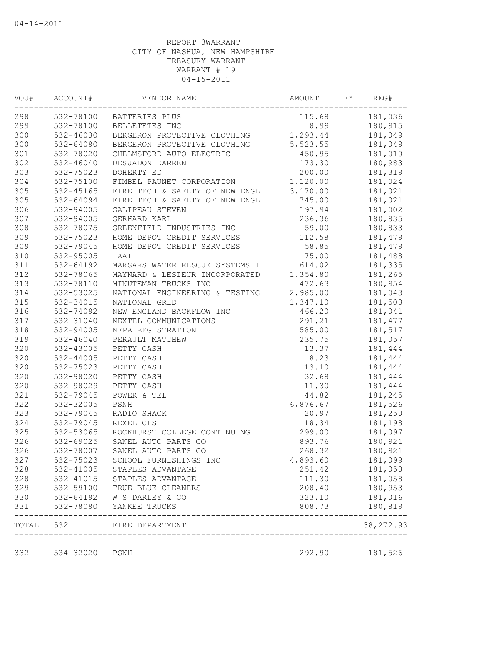| VOU#      | ACCOUNT#      | VENDOR NAME                      | AMOUNT   | FY | REG#       |
|-----------|---------------|----------------------------------|----------|----|------------|
| 298       |               | 532-78100 BATTERIES PLUS         | 115.68   |    | 181,036    |
| 299       | 532-78100     | BELLETETES INC                   | 8.99     |    | 180,915    |
| 300       | 532-46030     | BERGERON PROTECTIVE CLOTHING     | 1,293.44 |    | 181,049    |
| 300       | 532-64080     | BERGERON PROTECTIVE CLOTHING     | 5,523.55 |    | 181,049    |
| 301       | 532-78020     | CHELMSFORD AUTO ELECTRIC         | 450.95   |    | 181,010    |
| 302       | $532 - 46040$ | DESJADON DARREN                  | 173.30   |    | 180,983    |
| 303       | 532-75023     | DOHERTY ED                       | 200.00   |    | 181,319    |
| 304       | 532-75100     | FIMBEL PAUNET CORPORATION        | 1,120.00 |    | 181,024    |
| 305       | 532-45165     | FIRE TECH & SAFETY OF NEW ENGL   | 3,170.00 |    | 181,021    |
| 305       | 532-64094     | FIRE TECH & SAFETY OF NEW ENGL   | 745.00   |    | 181,021    |
| 306       | 532-94005     | GALIPEAU STEVEN                  | 197.94   |    | 181,002    |
| 307       | 532-94005     | GERHARD KARL                     | 236.36   |    | 180,835    |
| 308       | 532-78075     | GREENFIELD INDUSTRIES INC        | 59.00    |    | 180,833    |
| 309       | 532-75023     | HOME DEPOT CREDIT SERVICES       | 112.58   |    | 181,479    |
| 309       | 532-79045     | HOME DEPOT CREDIT SERVICES       | 58.85    |    | 181,479    |
| 310       | 532-95005     | IAAI                             | 75.00    |    | 181,488    |
| 311       | 532-64192     | MARSARS WATER RESCUE SYSTEMS I   | 614.02   |    | 181,335    |
| 312       | 532-78065     | MAYNARD & LESIEUR INCORPORATED   | 1,354.80 |    | 181,265    |
| 313       | 532-78110     | MINUTEMAN TRUCKS INC             | 472.63   |    | 180,954    |
| 314       | 532-53025     | NATIONAL ENGINEERING & TESTING   | 2,985.00 |    | 181,043    |
| 315       | 532-34015     | NATIONAL GRID                    | 1,347.10 |    | 181,503    |
| 316       | 532-74092     | NEW ENGLAND BACKFLOW INC         | 466.20   |    | 181,041    |
| 317       | 532-31040     | NEXTEL COMMUNICATIONS            | 291.21   |    | 181, 477   |
| 318       | 532-94005     | NFPA REGISTRATION                | 585.00   |    | 181,517    |
| 319       | $532 - 46040$ | PERAULT MATTHEW                  | 235.75   |    | 181,057    |
| 320       | 532-43005     | PETTY CASH                       | 13.37    |    | 181,444    |
| 320       | 532-44005     | PETTY CASH                       | 8.23     |    | 181,444    |
| 320       | 532-75023     | PETTY CASH                       | 13.10    |    | 181,444    |
| 320       | 532-98020     | PETTY CASH                       | 32.68    |    | 181,444    |
| 320       | 532-98029     | PETTY CASH                       | 11.30    |    | 181,444    |
| 321       | 532-79045     | POWER & TEL                      | 44.82    |    | 181,245    |
| 322       | 532-32005     | PSNH                             | 6,876.67 |    | 181,526    |
| 323       | 532-79045     | RADIO SHACK                      | 20.97    |    | 181,250    |
| 324       | 532-79045     | REXEL CLS                        | 18.34    |    | 181,198    |
| 325       | 532-53065     | ROCKHURST COLLEGE CONTINUING     | 299.00   |    | 181,097    |
| 326       | 532-69025     | SANEL AUTO PARTS CO              | 893.76   |    | 180,921    |
| 326       | 532-78007     | SANEL AUTO PARTS CO              | 268.32   |    | 180,921    |
| 327       |               | 532-75023 SCHOOL FURNISHINGS INC | 4,893.60 |    | 181,099    |
| 328       | 532-41005     | STAPLES ADVANTAGE                | 251.42   |    | 181,058    |
| 328       | 532-41015     | STAPLES ADVANTAGE                | 111.30   |    | 181,058    |
| 329       | 532-59100     | TRUE BLUE CLEANERS               | 208.40   |    | 180,953    |
| 330       | 532-64192     | W S DARLEY & CO                  | 323.10   |    | 181,016    |
| 331       | 532-78080     | YANKEE TRUCKS                    | 808.73   |    | 180,819    |
| TOTAL 532 |               | FIRE DEPARTMENT                  |          |    | 38, 272.93 |
| 332       | 534-32020     | PSNH                             | 292.90   |    | 181,526    |
|           |               |                                  |          |    |            |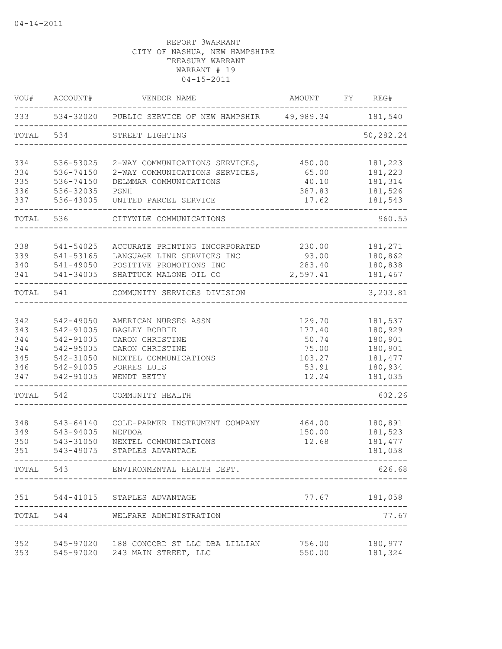| VOU#      | ACCOUNT#  | VENDOR NAME                                                | AMOUNT   | FY | REG#          |
|-----------|-----------|------------------------------------------------------------|----------|----|---------------|
| 333       |           | 534-32020 PUBLIC SERVICE OF NEW HAMPSHIR 49,989.34 181,540 |          |    |               |
| TOTAL     | 534       | STREET LIGHTING                                            |          |    | 50,282.24     |
| 334       | 536-53025 | 2-WAY COMMUNICATIONS SERVICES,                             | 450.00   |    | 181,223       |
| 334       | 536-74150 | 2-WAY COMMUNICATIONS SERVICES,                             | 65.00    |    | 181,223       |
| 335       | 536-74150 | DELMMAR COMMUNICATIONS                                     | 40.10    |    | 181,314       |
| 336       | 536-32035 | PSNH                                                       | 387.83   |    | 181,526       |
| 337       | 536-43005 | UNITED PARCEL SERVICE                                      | 17.62    |    | 181,543       |
| TOTAL     | 536       | CITYWIDE COMMUNICATIONS                                    |          |    | 960.55        |
| 338       | 541-54025 | ACCURATE PRINTING INCORPORATED                             | 230.00   |    | 181,271       |
| 339       | 541-53165 | LANGUAGE LINE SERVICES INC                                 | 93.00    |    | 180,862       |
| 340       | 541-49050 | POSITIVE PROMOTIONS INC                                    | 283.40   |    | 180,838       |
| 341       | 541-34005 | SHATTUCK MALONE OIL CO                                     | 2,597.41 |    | 181,467       |
| TOTAL     | 541       | COMMUNITY SERVICES DIVISION                                |          |    | 3,203.81      |
| 342       | 542-49050 | AMERICAN NURSES ASSN                                       | 129.70   |    | 181,537       |
| 343       | 542-91005 | BAGLEY BOBBIE                                              | 177.40   |    | 180,929       |
| 344       | 542-91005 | CARON CHRISTINE                                            | 50.74    |    | 180,901       |
| 344       | 542-95005 | CARON CHRISTINE                                            | 75.00    |    | 180,901       |
| 345       | 542-31050 | NEXTEL COMMUNICATIONS                                      | 103.27   |    | 181, 477      |
| 346       | 542-91005 | PORRES LUIS                                                | 53.91    |    | 180,934       |
| 347       | 542-91005 | WENDT BETTY                                                | 12.24    |    | 181,035       |
| TOTAL     | 542       | COMMUNITY HEALTH                                           |          |    | 602.26        |
| 348       | 543-64140 | COLE-PARMER INSTRUMENT COMPANY                             | 464.00   |    | 180,891       |
| 349       | 543-94005 | NEFDOA                                                     | 150.00   |    | 181,523       |
| 350       | 543-31050 | NEXTEL COMMUNICATIONS                                      | 12.68    |    | 181, 477      |
| 351       | 543-49075 | STAPLES ADVANTAGE                                          |          |    | 181,058       |
| TOTAL 543 |           | ENVIRONMENTAL HEALTH DEPT.                                 |          |    | 626.68        |
|           |           | 351 544-41015 STAPLES ADVANTAGE                            |          |    | 77.67 181,058 |
| TOTAL     | 544       | WELFARE ADMINISTRATION                                     |          |    | 77.67         |
| 352       |           | 545-97020 188 CONCORD ST LLC DBA LILLIAN                   | 756.00   |    | 180,977       |
| 353       |           | 545-97020 243 MAIN STREET, LLC                             | 550.00   |    | 181,324       |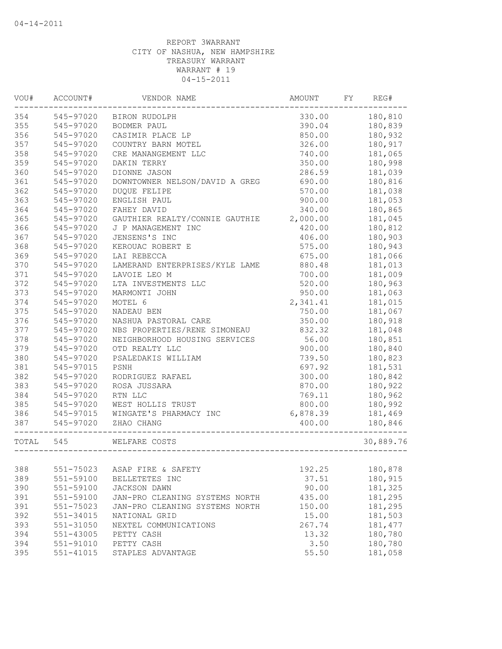| VOU#      | ACCOUNT#      | VENDOR NAME                    | AMOUNT   | FY | REG#      |
|-----------|---------------|--------------------------------|----------|----|-----------|
| 354       | 545-97020     | BIRON RUDOLPH                  | 330.00   |    | 180,810   |
| 355       | 545-97020     | <b>BODMER PAUL</b>             | 390.04   |    | 180,839   |
| 356       | 545-97020     | CASIMIR PLACE LP               | 850.00   |    | 180,932   |
| 357       | 545-97020     | COUNTRY BARN MOTEL             | 326.00   |    | 180,917   |
| 358       | 545-97020     | CRE MANANGEMENT LLC            | 740.00   |    | 181,065   |
| 359       | 545-97020     | DAKIN TERRY                    | 350.00   |    | 180,998   |
| 360       | 545-97020     | DIONNE JASON                   | 286.59   |    | 181,039   |
| 361       | 545-97020     | DOWNTOWNER NELSON/DAVID A GREG | 690.00   |    | 180,816   |
| 362       | 545-97020     | <b>DUQUE FELIPE</b>            | 570.00   |    | 181,038   |
| 363       | 545-97020     | ENGLISH PAUL                   | 900.00   |    | 181,053   |
| 364       | 545-97020     | FAHEY DAVID                    | 340.00   |    | 180,865   |
| 365       | 545-97020     | GAUTHIER REALTY/CONNIE GAUTHIE | 2,000.00 |    | 181,045   |
| 366       | 545-97020     | J P MANAGEMENT INC             | 420.00   |    | 180,812   |
| 367       | 545-97020     | JENSENS'S INC                  | 406.00   |    | 180,903   |
| 368       | 545-97020     | KEROUAC ROBERT E               | 575.00   |    | 180,943   |
| 369       | 545-97020     | LAI REBECCA                    | 675.00   |    | 181,066   |
| 370       | 545-97020     | LAMERAND ENTERPRISES/KYLE LAME | 880.48   |    | 181,013   |
| 371       | 545-97020     | LAVOIE LEO M                   | 700.00   |    | 181,009   |
| 372       | 545-97020     | LTA INVESTMENTS LLC            | 520.00   |    | 180,963   |
| 373       | 545-97020     | MARMONTI JOHN                  | 950.00   |    | 181,063   |
| 374       | 545-97020     | MOTEL 6                        | 2,341.41 |    | 181,015   |
| 375       | 545-97020     | NADEAU BEN                     | 750.00   |    | 181,067   |
| 376       | 545-97020     | NASHUA PASTORAL CARE           | 350.00   |    | 180,918   |
| 377       | 545-97020     | NBS PROPERTIES/RENE SIMONEAU   | 832.32   |    | 181,048   |
| 378       | 545-97020     | NEIGHBORHOOD HOUSING SERVICES  | 56.00    |    | 180,851   |
| 379       | 545-97020     | OTD REALTY LLC                 | 900.00   |    | 180,840   |
| 380       | 545-97020     | PSALEDAKIS WILLIAM             | 739.50   |    | 180,823   |
| 381       | 545-97015     | PSNH                           | 697.92   |    | 181,531   |
| 382       | 545-97020     | RODRIGUEZ RAFAEL               | 300.00   |    | 180,842   |
| 383       | 545-97020     | ROSA JUSSARA                   | 870.00   |    | 180,922   |
| 384       | 545-97020     | RTN LLC                        | 769.11   |    | 180,962   |
| 385       | 545-97020     | WEST HOLLIS TRUST              | 800.00   |    | 180,992   |
| 386       | 545-97015     | WINGATE'S PHARMACY INC         | 6,878.39 |    | 181,469   |
| 387       | 545-97020     | ZHAO CHANG                     | 400.00   |    | 180,846   |
| TOTAL 545 |               | WELFARE COSTS                  |          |    | 30,889.76 |
|           |               |                                |          |    |           |
| 388       | 551-75023     | ASAP FIRE & SAFETY             | 192.25   |    | 180,878   |
| 389       | 551-59100     | BELLETETES INC                 | 37.51    |    | 180,915   |
| 390       | 551-59100     | JACKSON DAWN                   | 90.00    |    | 181,325   |
| 391       | 551-59100     | JAN-PRO CLEANING SYSTEMS NORTH | 435.00   |    | 181,295   |
| 391       | 551-75023     | JAN-PRO CLEANING SYSTEMS NORTH | 150.00   |    | 181,295   |
| 392       | 551-34015     | NATIONAL GRID                  | 15.00    |    | 181,503   |
| 393       | 551-31050     | NEXTEL COMMUNICATIONS          | 267.74   |    | 181, 477  |
| 394       | 551-43005     | PETTY CASH                     | 13.32    |    | 180,780   |
| 394       | 551-91010     | PETTY CASH                     | 3.50     |    | 180,780   |
| 395       | $551 - 41015$ | STAPLES ADVANTAGE              | 55.50    |    | 181,058   |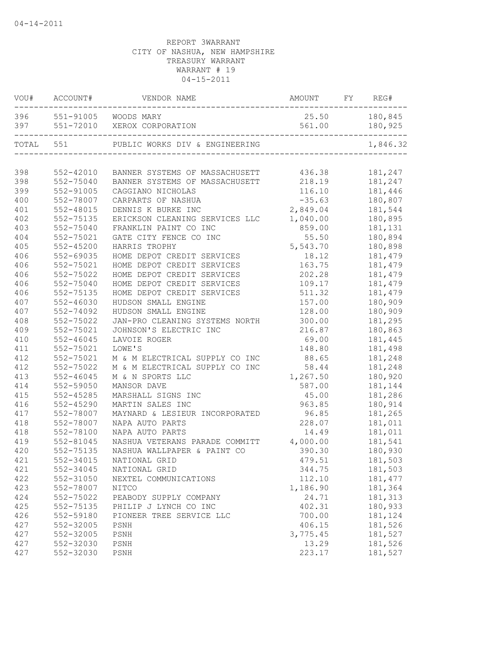| VOU#  | ACCOUNT#      | VENDOR NAME                                                   | AMOUNT   | FY | REG#     |
|-------|---------------|---------------------------------------------------------------|----------|----|----------|
| 396   |               | 551-91005 WOODS MARY                                          | 25.50    |    | 180,845  |
| 397   |               | 551-72010 XEROX CORPORATION<br>------------------------------ | 561.00   |    | 180,925  |
| TOTAL | 551           | PUBLIC WORKS DIV & ENGINEERING                                |          |    | 1,846.32 |
|       |               |                                                               |          |    |          |
| 398   | 552-42010     | BANNER SYSTEMS OF MASSACHUSETT                                | 436.38   |    | 181,247  |
| 398   | 552-75040     | BANNER SYSTEMS OF MASSACHUSETT                                | 218.19   |    | 181,247  |
| 399   | 552-91005     | CAGGIANO NICHOLAS                                             | 116.10   |    | 181,446  |
| 400   | 552-78007     | CARPARTS OF NASHUA                                            | $-35.63$ |    | 180,807  |
| 401   | 552-48015     | DENNIS K BURKE INC                                            | 2,849.04 |    | 181,544  |
| 402   | 552-75135     | ERICKSON CLEANING SERVICES LLC                                | 1,040.00 |    | 180,895  |
| 403   | 552-75040     | FRANKLIN PAINT CO INC                                         | 859.00   |    | 181,131  |
| 404   | 552-75021     | GATE CITY FENCE CO INC                                        | 55.50    |    | 180,894  |
| 405   | 552-45200     | HARRIS TROPHY                                                 | 5,543.70 |    | 180,898  |
| 406   | 552-69035     | HOME DEPOT CREDIT SERVICES                                    | 18.12    |    | 181,479  |
| 406   | 552-75021     | HOME DEPOT CREDIT SERVICES                                    | 163.75   |    | 181,479  |
| 406   | 552-75022     | HOME DEPOT CREDIT SERVICES                                    | 202.28   |    | 181,479  |
| 406   | 552-75040     | HOME DEPOT CREDIT SERVICES                                    | 109.17   |    | 181,479  |
| 406   | 552-75135     | HOME DEPOT CREDIT SERVICES                                    | 511.32   |    | 181,479  |
| 407   | 552-46030     | HUDSON SMALL ENGINE                                           | 157.00   |    | 180,909  |
| 407   | 552-74092     | HUDSON SMALL ENGINE                                           | 128.00   |    | 180,909  |
| 408   | 552-75022     | JAN-PRO CLEANING SYSTEMS NORTH                                | 300.00   |    | 181,295  |
| 409   | 552-75021     | JOHNSON'S ELECTRIC INC                                        | 216.87   |    | 180,863  |
| 410   | $552 - 46045$ | LAVOIE ROGER                                                  | 69.00    |    | 181,445  |
| 411   | 552-75021     | LOWE'S                                                        | 148.80   |    | 181,498  |
| 412   | 552-75021     | M & M ELECTRICAL SUPPLY CO INC                                | 88.65    |    | 181,248  |
| 412   | 552-75022     | M & M ELECTRICAL SUPPLY CO INC                                | 58.44    |    | 181,248  |
| 413   | 552-46045     | M & N SPORTS LLC                                              | 1,267.50 |    | 180,920  |
| 414   | 552-59050     | MANSOR DAVE                                                   | 587.00   |    | 181,144  |
| 415   | 552-45285     | MARSHALL SIGNS INC                                            | 45.00    |    | 181,286  |
| 416   | 552-45290     | MARTIN SALES INC                                              | 963.85   |    | 180,914  |
| 417   | 552-78007     | MAYNARD & LESIEUR INCORPORATED                                | 96.85    |    | 181,265  |
| 418   | 552-78007     | NAPA AUTO PARTS                                               | 228.07   |    | 181,011  |
| 418   | 552-78100     | NAPA AUTO PARTS                                               | 14.49    |    | 181,011  |
| 419   | 552-81045     | NASHUA VETERANS PARADE COMMITT                                | 4,000.00 |    | 181,541  |
| 420   | 552-75135     | NASHUA WALLPAPER & PAINT CO                                   | 390.30   |    | 180,930  |
| 421   | 552-34015     | NATIONAL GRID                                                 | 479.51   |    | 181,503  |
| 421   | 552-34045     | NATIONAL GRID                                                 | 344.75   |    | 181,503  |
| 422   | 552-31050     | NEXTEL COMMUNICATIONS                                         | 112.10   |    | 181, 477 |
| 423   | 552-78007     | <b>NITCO</b>                                                  | 1,186.90 |    | 181,364  |
| 424   | 552-75022     | PEABODY SUPPLY COMPANY                                        | 24.71    |    | 181,313  |
| 425   | 552-75135     | PHILIP J LYNCH CO INC                                         | 402.31   |    | 180,933  |
| 426   | 552-59180     | PIONEER TREE SERVICE LLC                                      | 700.00   |    | 181,124  |
| 427   | 552-32005     | PSNH                                                          | 406.15   |    | 181,526  |
| 427   | 552-32005     | PSNH                                                          | 3,775.45 |    | 181,527  |
| 427   | 552-32030     | PSNH                                                          | 13.29    |    | 181,526  |
| 427   | 552-32030     | $_{\rm{PSNH}}$                                                | 223.17   |    | 181,527  |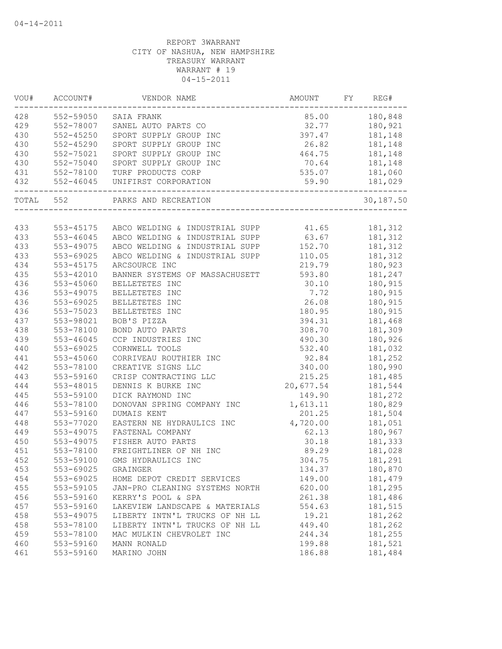| VOU#      | ACCOUNT#<br>------------ | VENDOR NAME                                     | AMOUNT        | FY | REG#           |
|-----------|--------------------------|-------------------------------------------------|---------------|----|----------------|
|           |                          | 428 552-59050 SAIA FRANK                        | 85.00 180,848 |    |                |
| 429       | 552-78007                | SANEL AUTO PARTS CO                             | 32.77 180,921 |    |                |
| 430       | $552 - 45250$            | SPORT SUPPLY GROUP INC                          |               |    | 397.47 181,148 |
| 430       | $552 - 45290$            | SPORT SUPPLY GROUP INC                          | 26.82 181,148 |    |                |
| 430       | 552-75021                | SPORT SUPPLY GROUP INC                          | 464.75        |    | 181,148        |
| 430       | 552-75040                | SPORT SUPPLY GROUP INC                          | 70.64         |    | 181,148        |
| 431       |                          | 552-78100 TURF PRODUCTS CORP                    | 535.07        |    | 181,060        |
| 432       | --------------------     | 552-46045 UNIFIRST CORPORATION<br>_____________ | 59.90         |    | 181,029        |
| TOTAL 552 |                          | PARKS AND RECREATION                            |               |    | 30,187.50      |
|           |                          |                                                 |               |    |                |
| 433       |                          | 553-45175 ABCO WELDING & INDUSTRIAL SUPP        | 41.65         |    | 181,312        |
| 433       | 553-46045                | ABCO WELDING & INDUSTRIAL SUPP                  | 63.67         |    | 181,312        |
| 433       | 553-49075                | ABCO WELDING & INDUSTRIAL SUPP                  | 152.70        |    | 181,312        |
| 433       | 553-69025                | ABCO WELDING & INDUSTRIAL SUPP                  | 110.05        |    | 181,312        |
| 434       | 553-45175                | ARCSOURCE INC                                   | 219.79        |    | 180,923        |
| 435       | 553-42010                | BANNER SYSTEMS OF MASSACHUSETT                  | 593.80        |    | 181,247        |
| 436       | 553-45060                | BELLETETES INC                                  | 30.10         |    | 180,915        |
| 436       | 553-49075                | BELLETETES INC                                  | 7.72          |    | 180,915        |
| 436       | 553-69025                | BELLETETES INC                                  | 26.08         |    | 180,915        |
| 436       | 553-75023                | BELLETETES INC                                  | 180.95        |    | 180,915        |
| 437       | 553-98021                | BOB'S PIZZA                                     | 394.31        |    | 181,468        |
| 438       | 553-78100                | BOND AUTO PARTS                                 | 308.70        |    | 181,309        |
| 439       | 553-46045                | CCP INDUSTRIES INC                              | 490.30        |    | 180,926        |
| 440       | 553-69025                | CORNWELL TOOLS                                  | 532.40        |    | 181,032        |
| 441       | 553-45060                | CORRIVEAU ROUTHIER INC                          | 92.84         |    | 181,252        |
| 442       | 553-78100                | CREATIVE SIGNS LLC                              | 340.00        |    | 180,990        |
| 443       | 553-59160                | CRISP CONTRACTING LLC                           | 215.25        |    | 181,485        |
| 444       | 553-48015                | DENNIS K BURKE INC                              | 20,677.54     |    | 181,544        |
| 445       | 553-59100                | DICK RAYMOND INC                                | 149.90        |    | 181,272        |
| 446       | 553-78100                | DONOVAN SPRING COMPANY INC                      | 1,613.11      |    | 180,829        |
| 447       | 553-59160                | DUMAIS KENT                                     | 201.25        |    | 181,504        |
| 448       | 553-77020                | EASTERN NE HYDRAULICS INC                       | 4,720.00      |    | 181,051        |
| 449       | 553-49075                | FASTENAL COMPANY                                | 62.13         |    | 180,967        |
| 450       | 553-49075                | FISHER AUTO PARTS                               | 30.18         |    | 181,333        |
| 451       | 553-78100                | FREIGHTLINER OF NH INC                          | 89.29         |    | 181,028        |
| 452       | 553-59100                | GMS HYDRAULICS INC                              | 304.75        |    | 181,291        |
| 453       | 553-69025                | GRAINGER                                        | 134.37        |    | 180,870        |
| 454       | 553-69025                | HOME DEPOT CREDIT SERVICES                      | 149.00        |    | 181,479        |
| 455       | 553-59105                | JAN-PRO CLEANING SYSTEMS NORTH                  | 620.00        |    | 181,295        |
| 456       | 553-59160                | KERRY'S POOL & SPA                              | 261.38        |    | 181,486        |
| 457       | 553-59160                | LAKEVIEW LANDSCAPE & MATERIALS                  | 554.63        |    | 181,515        |
| 458       | 553-49075                | LIBERTY INTN'L TRUCKS OF NH LL                  | 19.21         |    | 181,262        |
| 458       | 553-78100                | LIBERTY INTN'L TRUCKS OF NH LL                  | 449.40        |    | 181,262        |
| 459       | 553-78100                | MAC MULKIN CHEVROLET INC                        | 244.34        |    | 181,255        |
| 460       | 553-59160                | MANN RONALD                                     | 199.88        |    | 181,521        |
| 461       | 553-59160                | MARINO JOHN                                     | 186.88        |    | 181,484        |
|           |                          |                                                 |               |    |                |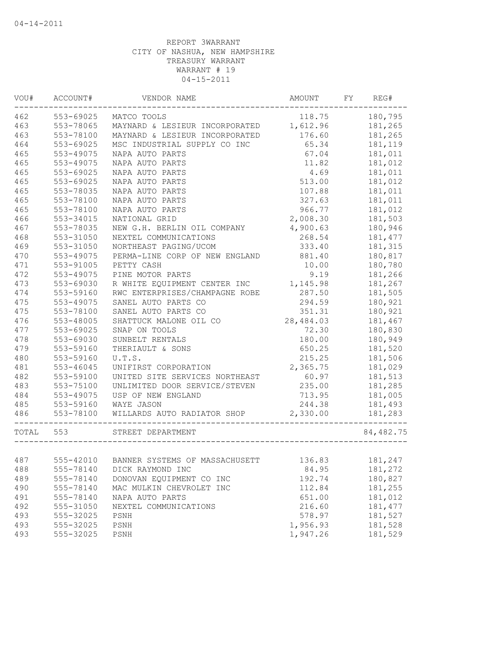| WOU#      | ACCOUNT#  | VENDOR NAME                              | AMOUNT    | FY | REG#      |
|-----------|-----------|------------------------------------------|-----------|----|-----------|
| 462       | 553-69025 | MATCO TOOLS                              | 118.75    |    | 180,795   |
| 463       | 553-78065 | MAYNARD & LESIEUR INCORPORATED 1,612.96  |           |    | 181,265   |
| 463       | 553-78100 | MAYNARD & LESIEUR INCORPORATED           | 176.60    |    | 181,265   |
| 464       | 553-69025 | MSC INDUSTRIAL SUPPLY CO INC             | 65.34     |    | 181,119   |
| 465       | 553-49075 | NAPA AUTO PARTS                          | 67.04     |    | 181,011   |
| 465       | 553-49075 | NAPA AUTO PARTS                          | 11.82     |    | 181,012   |
| 465       | 553-69025 | NAPA AUTO PARTS                          | 4.69      |    | 181,011   |
| 465       | 553-69025 | NAPA AUTO PARTS                          | 513.00    |    | 181,012   |
| 465       | 553-78035 | NAPA AUTO PARTS                          | 107.88    |    | 181,011   |
| 465       | 553-78100 | NAPA AUTO PARTS                          | 327.63    |    | 181,011   |
| 465       | 553-78100 | NAPA AUTO PARTS                          | 966.77    |    | 181,012   |
| 466       | 553-34015 | NATIONAL GRID                            | 2,008.30  |    | 181,503   |
| 467       | 553-78035 | NEW G.H. BERLIN OIL COMPANY              | 4,900.63  |    | 180,946   |
| 468       | 553-31050 | NEXTEL COMMUNICATIONS                    | 268.54    |    | 181, 477  |
| 469       | 553-31050 | NORTHEAST PAGING/UCOM                    | 333.40    |    | 181,315   |
| 470       | 553-49075 | PERMA-LINE CORP OF NEW ENGLAND           | 881.40    |    | 180,817   |
| 471       | 553-91005 | PETTY CASH                               | 10.00     |    | 180,780   |
| 472       | 553-49075 | PINE MOTOR PARTS                         | 9.19      |    | 181,266   |
| 473       | 553-69030 | R WHITE EQUIPMENT CENTER INC             | 1,145.98  |    | 181,267   |
| 474       | 553-59160 | RWC ENTERPRISES/CHAMPAGNE ROBE           | 287.50    |    | 181,505   |
| 475       | 553-49075 | SANEL AUTO PARTS CO                      | 294.59    |    | 180,921   |
| 475       | 553-78100 | SANEL AUTO PARTS CO                      | 351.31    |    | 180,921   |
| 476       | 553-48005 | SHATTUCK MALONE OIL CO                   | 28,484.03 |    | 181,467   |
| 477       | 553-69025 | SNAP ON TOOLS                            | 72.30     |    | 180,830   |
| 478       | 553-69030 | SUNBELT RENTALS                          | 180.00    |    | 180,949   |
| 479       | 553-59160 | THERIAULT & SONS                         | 650.25    |    | 181,520   |
| 480       | 553-59160 | U.T.S.                                   | 215.25    |    | 181,506   |
| 481       | 553-46045 | UNIFIRST CORPORATION                     | 2,365.75  |    | 181,029   |
| 482       | 553-59100 | UNITED SITE SERVICES NORTHEAST           | 60.97     |    | 181,513   |
| 483       | 553-75100 | UNLIMITED DOOR SERVICE/STEVEN            | 235.00    |    | 181,285   |
| 484       | 553-49075 | USP OF NEW ENGLAND                       | 713.95    |    | 181,005   |
| 485       | 553-59160 | WAYE JASON                               | 244.38    |    | 181,493   |
| 486       | 553-78100 | WILLARDS AUTO RADIATOR SHOP              | 2,330.00  |    | 181,283   |
|           |           | ______________                           |           |    |           |
| TOTAL 553 |           | STREET DEPARTMENT                        |           |    | 84,482.75 |
| 487       |           | 555-42010 BANNER SYSTEMS OF MASSACHUSETT | 136.83    |    | 181,247   |
| 488       | 555-78140 | DICK RAYMOND INC                         | 84.95     |    | 181,272   |
| 489       | 555-78140 | DONOVAN EQUIPMENT CO INC                 | 192.74    |    | 180,827   |
| 490       | 555-78140 | MAC MULKIN CHEVROLET INC                 | 112.84    |    | 181,255   |
| 491       | 555-78140 | NAPA AUTO PARTS                          | 651.00    |    | 181,012   |
| 492       | 555-31050 | NEXTEL COMMUNICATIONS                    | 216.60    |    | 181, 477  |
| 493       | 555-32025 | PSNH                                     | 578.97    |    | 181,527   |
| 493       | 555-32025 | PSNH                                     | 1,956.93  |    | 181,528   |
| 493       | 555-32025 | PSNH                                     | 1,947.26  |    | 181,529   |
|           |           |                                          |           |    |           |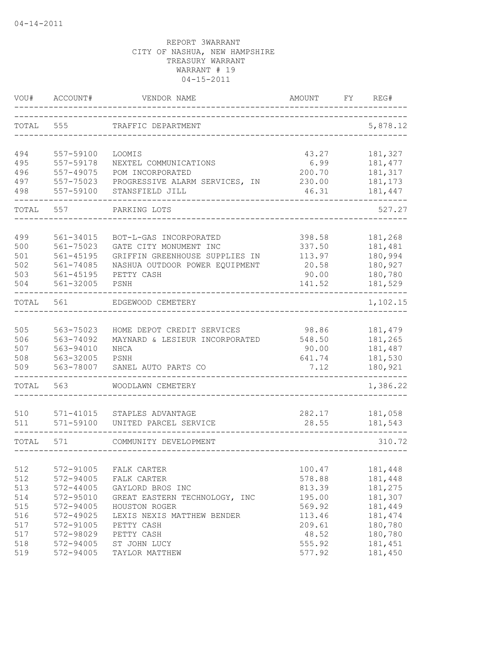| VOU#       | ACCOUNT#               | VENDOR NAME                    | AMOUNT          | FY | REG#               |
|------------|------------------------|--------------------------------|-----------------|----|--------------------|
| TOTAL      | 555                    | TRAFFIC DEPARTMENT             |                 |    | 5,878.12           |
| 494        | 557-59100              | LOOMIS                         | 43.27           |    | 181,327            |
| 495        | 557-59178              | NEXTEL COMMUNICATIONS          | 6.99            |    | 181, 477           |
| 496        | 557-49075              | POM INCORPORATED               | 200.70          |    | 181,317            |
| 497        | 557-75023              | PROGRESSIVE ALARM SERVICES, IN | 230.00          |    | 181,173            |
| 498        | 557-59100              | STANSFIELD JILL                | 46.31           |    | 181,447            |
| TOTAL      | 557                    | PARKING LOTS                   |                 |    | 527.27             |
| 499        | 561-34015              | BOT-L-GAS INCORPORATED         | 398.58          |    | 181,268            |
| 500        | 561-75023              | GATE CITY MONUMENT INC         | 337.50          |    | 181,481            |
| 501        | $561 - 45195$          | GRIFFIN GREENHOUSE SUPPLIES IN | 113.97          |    | 180,994            |
| 502        | 561-74085              | NASHUA OUTDOOR POWER EQUIPMENT | 20.58           |    | 180,927            |
| 503        | $561 - 45195$          | PETTY CASH                     | 90.00           |    | 180,780            |
| 504        | 561-32005              | PSNH                           | 141.52          |    | 181,529            |
| TOTAL      | 561                    | EDGEWOOD CEMETERY              |                 |    | 1,102.15           |
|            |                        |                                |                 |    |                    |
| 505        | 563-75023              | HOME DEPOT CREDIT SERVICES     | 98.86           |    | 181,479            |
| 506        | 563-74092              | MAYNARD & LESIEUR INCORPORATED | 548.50          |    | 181,265            |
| 507        | 563-94010              | NHCA                           | 90.00           |    | 181,487            |
| 508        | 563-32005              | PSNH                           | 641.74          |    | 181,530            |
| 509        | 563-78007              | SANEL AUTO PARTS CO            | 7.12            |    | 180,921            |
| TOTAL      | 563                    | WOODLAWN CEMETERY              |                 |    | 1,386.22           |
|            |                        |                                |                 |    |                    |
| 510<br>511 | 571-41015              | STAPLES ADVANTAGE              | 282.17          |    | 181,058            |
|            | 571-59100              | UNITED PARCEL SERVICE          | 28.55           |    | 181,543            |
| TOTAL      | 571                    | COMMUNITY DEVELOPMENT          |                 |    | 310.72             |
|            |                        |                                |                 |    |                    |
| 512        | 572-91005              | FALK CARTER                    | 100.47          |    | 181,448            |
| 512        | 572-94005              | FALK CARTER                    | 578.88          |    | 181,448            |
| 513        | 572-44005              | GAYLORD BROS INC               | 813.39          |    | 181,275            |
| 514        | 572-95010              | GREAT EASTERN TECHNOLOGY, INC  | 195.00          |    | 181,307            |
| 515        | 572-94005              | HOUSTON ROGER                  | 569.92          |    | 181,449            |
| 516        | 572-49025              | LEXIS NEXIS MATTHEW BENDER     | 113.46          |    | 181, 474           |
| 517        | 572-91005<br>572-98029 | PETTY CASH<br>PETTY CASH       | 209.61          |    | 180,780            |
| 517<br>518 | 572-94005              | ST JOHN LUCY                   | 48.52<br>555.92 |    | 180,780<br>181,451 |
| 519        | 572-94005              | TAYLOR MATTHEW                 | 577.92          |    | 181,450            |
|            |                        |                                |                 |    |                    |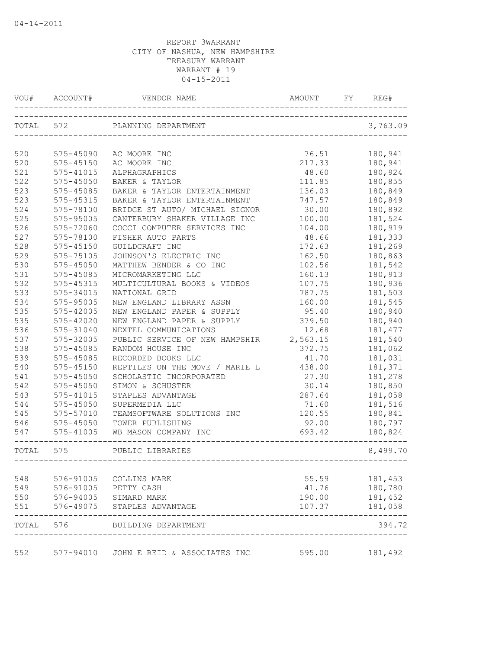| VOU#      | ACCOUNT#      | VENDOR NAME                                              | AMOUNT<br>--------------------------------- | FΥ | REG#     |
|-----------|---------------|----------------------------------------------------------|---------------------------------------------|----|----------|
| TOTAL 572 |               | PLANNING DEPARTMENT                                      |                                             |    | 3,763.09 |
|           |               |                                                          |                                             |    |          |
| 520       | 575-45090     | AC MOORE INC                                             | 76.51                                       |    | 180,941  |
| 520       | 575-45150     | AC MOORE INC                                             | 217.33                                      |    | 180,941  |
| 521       | 575-41015     | ALPHAGRAPHICS                                            | 48.60                                       |    | 180,924  |
| 522       | 575-45050     | BAKER & TAYLOR                                           | 111.85                                      |    | 180,855  |
| 523       | 575-45085     | BAKER & TAYLOR ENTERTAINMENT                             | 136.03                                      |    | 180,849  |
| 523       | 575-45315     | BAKER & TAYLOR ENTERTAINMENT                             | 747.57                                      |    | 180,849  |
| 524       | 575-78100     | BRIDGE ST AUTO/ MICHAEL SIGNOR                           | 30.00                                       |    | 180,892  |
| 525       | 575-95005     | CANTERBURY SHAKER VILLAGE INC                            | 100.00                                      |    | 181,524  |
| 526       | 575-72060     | COCCI COMPUTER SERVICES INC                              | 104.00                                      |    | 180,919  |
| 527       | 575-78100     | FISHER AUTO PARTS                                        | 48.66                                       |    | 181,333  |
| 528       | 575-45150     | GUILDCRAFT INC                                           | 172.63                                      |    | 181,269  |
| 529       | 575-75105     | JOHNSON'S ELECTRIC INC                                   | 162.50                                      |    | 180,863  |
| 530       | 575-45050     | MATTHEW BENDER & CO INC                                  | 102.56                                      |    | 181,542  |
| 531       | 575-45085     | MICROMARKETING LLC                                       | 160.13                                      |    | 180,913  |
| 532       | 575-45315     | MULTICULTURAL BOOKS & VIDEOS                             | 107.75                                      |    | 180,936  |
| 533       | 575-34015     | NATIONAL GRID                                            | 787.75                                      |    | 181,503  |
| 534       | 575-95005     | NEW ENGLAND LIBRARY ASSN                                 | 160.00                                      |    | 181,545  |
| 535       | 575-42005     | NEW ENGLAND PAPER & SUPPLY                               | 95.40                                       |    | 180,940  |
| 535       | 575-42020     | NEW ENGLAND PAPER & SUPPLY                               | 379.50                                      |    | 180,940  |
| 536       | 575-31040     | NEXTEL COMMUNICATIONS                                    | 12.68                                       |    | 181, 477 |
| 537       | 575-32005     | PUBLIC SERVICE OF NEW HAMPSHIR                           | 2,563.15                                    |    | 181,540  |
| 538       | 575-45085     | RANDOM HOUSE INC                                         | 372.75                                      |    | 181,062  |
| 539       | 575-45085     | RECORDED BOOKS LLC                                       | 41.70                                       |    | 181,031  |
| 540       | 575-45150     | REPTILES ON THE MOVE / MARIE L                           | 438.00                                      |    | 181,371  |
| 541       | 575-45050     | SCHOLASTIC INCORPORATED                                  | 27.30                                       |    | 181,278  |
| 542       | 575-45050     | SIMON & SCHUSTER                                         | 30.14                                       |    | 180,850  |
| 543       | 575-41015     | STAPLES ADVANTAGE                                        | 287.64                                      |    | 181,058  |
| 544       | 575-45050     | SUPERMEDIA LLC                                           | 71.60                                       |    | 181,516  |
| 545       | 575-57010     | TEAMSOFTWARE SOLUTIONS INC                               | 120.55                                      |    | 180,841  |
| 546       | 575-45050     | TOWER PUBLISHING                                         | 92.00                                       |    | 180,797  |
| 547       | 575-41005     | WB MASON COMPANY INC                                     | 693.42                                      |    | 180,824  |
| TOTAL 575 | ------------- | _____________.<br>PUBLIC LIBRARIES<br>------------------ |                                             |    | 8,499.70 |
|           |               |                                                          |                                             |    |          |
| 548       | 576-91005     | COLLINS MARK                                             | 55.59                                       |    | 181,453  |
| 549       | 576-91005     | PETTY CASH                                               | 41.76                                       |    | 180,780  |
| 550       | 576-94005     | SIMARD MARK                                              | 190.00                                      |    | 181,452  |
| 551       | 576-49075     | STAPLES ADVANTAGE                                        | 107.37                                      |    | 181,058  |
| TOTAL     | 576           | BUILDING DEPARTMENT                                      |                                             |    | 394.72   |
| 552       | 577-94010     | JOHN E REID & ASSOCIATES INC                             | 595.00                                      |    | 181,492  |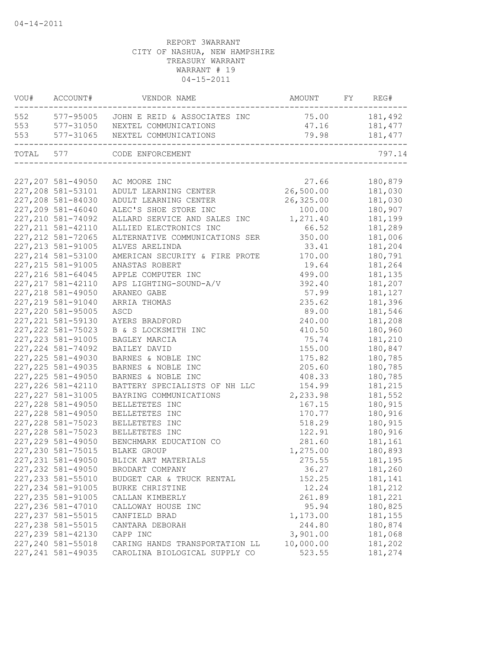| VOU#      | ACCOUNT#           | VENDOR NAME                                              | AMOUNT        | FY | REG#    |
|-----------|--------------------|----------------------------------------------------------|---------------|----|---------|
|           |                    | 552 577-95005 JOHN E REID & ASSOCIATES INC 75.00 181,492 |               |    |         |
| 553       |                    | 577-31050 NEXTEL COMMUNICATIONS                          | 47.16 181,477 |    |         |
| 553       | 577-31065          | NEXTEL COMMUNICATIONS                                    | 79.98 181,477 |    |         |
| TOTAL 577 |                    | CODE ENFORCEMENT                                         |               |    | 797.14  |
|           |                    |                                                          |               |    |         |
|           | 227,207 581-49050  | AC MOORE INC                                             | 27.66         |    | 180,879 |
|           | 227,208 581-53101  | ADULT LEARNING CENTER                                    | 26,500.00     |    | 181,030 |
|           | 227,208 581-84030  | ADULT LEARNING CENTER                                    | 26,325.00     |    | 181,030 |
|           | 227,209 581-46040  | ALEC'S SHOE STORE INC                                    | 100.00        |    | 180,907 |
|           | 227, 210 581-74092 | ALLARD SERVICE AND SALES INC 1,271.40                    |               |    | 181,199 |
|           | 227, 211 581-42110 | ALLIED ELECTRONICS INC                                   | 66.52         |    | 181,289 |
|           | 227, 212 581-72065 | ALTERNATIVE COMMUNICATIONS SER                           | 350.00        |    | 181,006 |
|           | 227, 213 581-91005 | ALVES ARELINDA                                           | 33.41         |    | 181,204 |
|           | 227, 214 581-53100 | AMERICAN SECURITY & FIRE PROTE                           | 170.00        |    | 180,791 |
|           | 227, 215 581-91005 | ANASTAS ROBERT                                           | 19.64         |    | 181,264 |
|           | 227, 216 581-64045 | APPLE COMPUTER INC                                       | 499.00        |    | 181,135 |
|           | 227, 217 581-42110 | APS LIGHTING-SOUND-A/V                                   | 392.40        |    | 181,207 |
|           | 227, 218 581-49050 | ARANEO GABE                                              | 57.99         |    | 181,127 |
|           | 227, 219 581-91040 | ARRIA THOMAS                                             | 235.62        |    | 181,396 |
|           | 227, 220 581-95005 | ASCD                                                     | 89.00         |    | 181,546 |
|           | 227, 221 581-59130 | AYERS BRADFORD                                           | 240.00        |    | 181,208 |
|           | 227, 222 581-75023 | B & S LOCKSMITH INC                                      | 410.50        |    | 180,960 |
|           | 227, 223 581-91005 | BAGLEY MARCIA                                            | 75.74         |    | 181,210 |
|           | 227, 224 581-74092 | BAILEY DAVID                                             | 155.00        |    | 180,847 |
|           | 227, 225 581-49030 | BARNES & NOBLE INC                                       | 175.82        |    | 180,785 |
|           | 227, 225 581-49035 | BARNES & NOBLE INC                                       | 205.60        |    | 180,785 |
|           | 227, 225 581-49050 | BARNES & NOBLE INC                                       | 408.33        |    | 180,785 |
|           | 227, 226 581-42110 | BATTERY SPECIALISTS OF NH LLC                            | 154.99        |    | 181,215 |
|           | 227, 227 581-31005 | BAYRING COMMUNICATIONS                                   | 2,233.98      |    | 181,552 |
|           | 227, 228 581-49050 | BELLETETES INC                                           | 167.15        |    | 180,915 |
|           | 227, 228 581-49050 | BELLETETES INC                                           | 170.77        |    | 180,916 |
|           | 227, 228 581-75023 | BELLETETES INC                                           | 518.29        |    | 180,915 |
|           | 227, 228 581-75023 | BELLETETES INC                                           | 122.91        |    | 180,916 |
|           | 227, 229 581-49050 | BENCHMARK EDUCATION CO                                   | 281.60        |    | 181,161 |
|           | 227, 230 581-75015 | <b>BLAKE GROUP</b>                                       | 1,275.00      |    | 180,893 |
|           | 227, 231 581-49050 | BLICK ART MATERIALS                                      | 275.55        |    | 181,195 |
|           | 227, 232 581-49050 | BRODART COMPANY                                          | 36.27         |    | 181,260 |
|           | 227, 233 581-55010 | BUDGET CAR & TRUCK RENTAL                                | 152.25        |    | 181,141 |
|           | 227, 234 581-91005 | BURKE CHRISTINE                                          | 12.24         |    | 181,212 |
|           | 227, 235 581-91005 | CALLAN KIMBERLY                                          | 261.89        |    | 181,221 |
|           | 227, 236 581-47010 | CALLOWAY HOUSE INC                                       | 95.94         |    | 180,825 |
|           | 227, 237 581-55015 | CANFIELD BRAD                                            | 1,173.00      |    | 181,155 |
|           | 227, 238 581-55015 | CANTARA DEBORAH                                          | 244.80        |    | 180,874 |
|           | 227, 239 581-42130 | CAPP INC                                                 | 3,901.00      |    | 181,068 |
|           | 227,240 581-55018  | CARING HANDS TRANSPORTATION LL                           | 10,000.00     |    | 181,202 |
|           | 227, 241 581-49035 | CAROLINA BIOLOGICAL SUPPLY CO                            | 523.55        |    | 181,274 |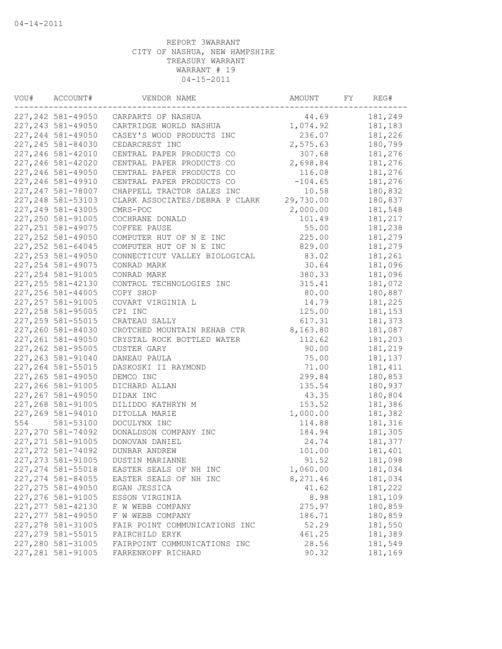| VOU# | ACCOUNT#           | VENDOR NAME                    | AMOUNT    | FY | REG#    |
|------|--------------------|--------------------------------|-----------|----|---------|
|      | 227,242 581-49050  | CARPARTS OF NASHUA             | 44.69     |    | 181,249 |
|      | 227, 243 581-49050 | CARTRIDGE WORLD NASHUA         | 1,074.92  |    | 181,183 |
|      | 227, 244 581-49050 | CASEY'S WOOD PRODUCTS INC      | 236.07    |    | 181,226 |
|      | 227, 245 581-84030 | CEDARCREST INC                 | 2,575.63  |    | 180,799 |
|      | 227, 246 581-42010 | CENTRAL PAPER PRODUCTS CO      | 307.68    |    | 181,276 |
|      | 227, 246 581-42020 | CENTRAL PAPER PRODUCTS CO      | 2,698.84  |    | 181,276 |
|      | 227, 246 581-49050 | CENTRAL PAPER PRODUCTS CO      | 116.08    |    | 181,276 |
|      | 227, 246 581-49910 | CENTRAL PAPER PRODUCTS CO      | $-104.65$ |    | 181,276 |
|      | 227, 247 581-78007 | CHAPPELL TRACTOR SALES INC     | 10.58     |    | 180,832 |
|      | 227, 248 581-53103 | CLARK ASSOCIATES/DEBRA P CLARK | 29,730.00 |    | 180,837 |
|      | 227, 249 581-43005 | CMRS-POC                       | 2,000.00  |    | 181,548 |
|      | 227, 250 581-91005 | COCHRANE DONALD                | 101.49    |    | 181,217 |
|      | 227, 251 581-49075 | COFFEE PAUSE                   | 55.00     |    | 181,238 |
|      | 227, 252 581-49050 | COMPUTER HUT OF N E INC        | 225.00    |    | 181,279 |
|      | 227, 252 581-64045 | COMPUTER HUT OF N E INC        | 829.00    |    | 181,279 |
|      | 227, 253 581-49050 | CONNECTICUT VALLEY BIOLOGICAL  | 83.02     |    | 181,261 |
|      | 227, 254 581-49075 | CONRAD MARK                    | 30.64     |    | 181,096 |
|      | 227, 254 581-91005 | CONRAD MARK                    | 380.33    |    | 181,096 |
|      | 227, 255 581-42130 | CONTROL TECHNOLOGIES INC       | 315.41    |    | 181,072 |
|      | 227, 256 581-44005 | COPY SHOP                      | 80.00     |    | 180,887 |
|      | 227, 257 581-91005 | COVART VIRGINIA L              | 14.79     |    | 181,225 |
|      | 227, 258 581-95005 | CPI INC                        | 125.00    |    | 181,153 |
|      | 227, 259 581-55015 | CRATEAU SALLY                  | 617.31    |    | 181,373 |
|      | 227,260 581-84030  | CROTCHED MOUNTAIN REHAB CTR    | 8,163.80  |    | 181,087 |
|      | 227, 261 581-49050 | CRYSTAL ROCK BOTTLED WATER     | 112.62    |    | 181,203 |
|      | 227, 262 581-95005 | CUSTER GARY                    | 90.00     |    | 181,219 |
|      | 227, 263 581-91040 | DANEAU PAULA                   | 75.00     |    | 181,137 |
|      | 227, 264 581-55015 | DASKOSKI II RAYMOND            | 71.00     |    | 181,411 |
|      | 227, 265 581-49050 | DEMCO INC                      | 299.84    |    | 180,853 |
|      | 227, 266 581-91005 | DICHARD ALLAN                  | 135.54    |    | 180,937 |
|      | 227, 267 581-49050 | DIDAX INC                      | 43.35     |    | 180,804 |
|      | 227, 268 581-91005 | DILIDDO KATHRYN M              | 153.52    |    | 181,386 |
|      | 227,269 581-94010  | DITOLLA MARIE                  | 1,000.00  |    | 181,382 |
| 554  |                    | DOCULYNX INC                   |           |    |         |
|      | 581-53100          |                                | 114.88    |    | 181,316 |
|      | 227, 270 581-74092 | DONALDSON COMPANY INC          | 184.94    |    | 181,305 |
|      | 227, 271 581-91005 | DONOVAN DANIEL                 | 24.74     |    | 181,377 |
|      | 227, 272 581-74092 | <b>DUNBAR ANDREW</b>           | 101.00    |    | 181,401 |
|      | 227, 273 581-91005 | DUSTIN MARIANNE                | 91.52     |    | 181,098 |
|      | 227, 274 581-55018 | EASTER SEALS OF NH INC         | 1,060.00  |    | 181,034 |
|      | 227, 274 581-84055 | EASTER SEALS OF NH INC         | 8,271.46  |    | 181,034 |
|      | 227, 275 581-49050 | EGAN JESSICA                   | 41.62     |    | 181,222 |
|      | 227, 276 581-91005 | ESSON VIRGINIA                 | 8.98      |    | 181,109 |
|      | 227, 277 581-42130 | F W WEBB COMPANY               | 275.97    |    | 180,859 |
|      | 227, 277 581-49050 | F W WEBB COMPANY               | 186.71    |    | 180,859 |
|      | 227, 278 581-31005 | FAIR POINT COMMUNICATIONS INC  | 52.29     |    | 181,550 |
|      | 227, 279 581-55015 | FAIRCHILD ERYK                 | 461.25    |    | 181,389 |
|      | 227,280 581-31005  | FAIRPOINT COMMUNICATIONS INC   | 28.56     |    | 181,549 |
|      | 227, 281 581-91005 | FARRENKOPF RICHARD             | 90.32     |    | 181,169 |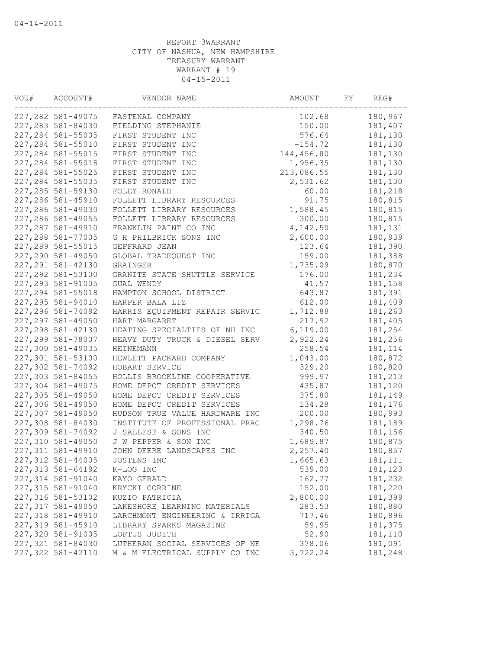| WOU# | ACCOUNT#           | VENDOR NAME                    | AMOUNT     | FY | REG#     |
|------|--------------------|--------------------------------|------------|----|----------|
|      | 227, 282 581-49075 | FASTENAL COMPANY               | 102.68     |    | 180,967  |
|      | 227, 283 581-84030 | FIELDING STEPHANIE             | 150.00     |    | 181,407  |
|      | 227, 284 581-55005 | FIRST STUDENT INC              | 576.64     |    | 181,130  |
|      | 227,284 581-55010  | FIRST STUDENT INC              | $-154.72$  |    | 181,130  |
|      | 227, 284 581-55015 | FIRST STUDENT INC              | 144,456.80 |    | 181,130  |
|      | 227, 284 581-55018 | FIRST STUDENT INC              | 1,956.35   |    | 181,130  |
|      | 227, 284 581-55025 | FIRST STUDENT INC              | 213,086.55 |    | 181,130  |
|      | 227, 284 581-55035 | FIRST STUDENT INC              | 2,531.62   |    | 181,130  |
|      | 227, 285 581-59130 | FOLEY RONALD                   | 60.00      |    | 181,218  |
|      | 227,286 581-45910  | FOLLETT LIBRARY RESOURCES      | 91.75      |    | 180,815  |
|      | 227,286 581-49030  | FOLLETT LIBRARY RESOURCES      | 1,588.45   |    | 180,815  |
|      | 227,286 581-49055  | FOLLETT LIBRARY RESOURCES      | 300.00     |    | 180,815  |
|      | 227, 287 581-49910 | FRANKLIN PAINT CO INC          | 4,142.50   |    | 181, 131 |
|      | 227, 288 581-77005 | G H PHILBRICK SONS INC         | 2,600.00   |    | 180,939  |
|      | 227,289 581-55015  | GEFFRARD JEAN                  | 123.64     |    | 181,390  |
|      | 227,290 581-49050  | GLOBAL TRADEQUEST INC          | 159.00     |    | 181,388  |
|      | 227, 291 581-42130 | GRAINGER                       | 1,735.09   |    | 180,870  |
|      | 227, 292 581-53100 | GRANITE STATE SHUTTLE SERVICE  | 176.00     |    | 181,234  |
|      | 227, 293 581-91005 | GUAL WENDY                     | 41.57      |    | 181,158  |
|      | 227, 294 581-55018 | HAMPTON SCHOOL DISTRICT        | 643.87     |    | 181,391  |
|      | 227, 295 581-94010 | HARPER BALA LIZ                | 612.00     |    | 181,409  |
|      | 227,296 581-74092  | HARRIS EQUIPMENT REPAIR SERVIC | 1,712.88   |    | 181,263  |
|      | 227, 297 581-49050 | HART MARGARET                  | 217.92     |    | 181,405  |
|      | 227, 298 581-42130 | HEATING SPECIALTIES OF NH INC  | 6,119.00   |    | 181,254  |
|      | 227,299 581-78007  | HEAVY DUTY TRUCK & DIESEL SERV | 2,922.24   |    | 181,256  |
|      | 227,300 581-49035  | HEINEMANN                      | 258.54     |    | 181,114  |
|      | 227,301 581-53100  | HEWLETT PACKARD COMPANY        | 1,043.00   |    | 180,872  |
|      | 227,302 581-74092  | HOBART SERVICE                 | 329.20     |    | 180,820  |
|      | 227,303 581-84055  | HOLLIS BROOKLINE COOPERATIVE   | 999.97     |    | 181,213  |
|      | 227,304 581-49075  | HOME DEPOT CREDIT SERVICES     | 435.87     |    | 181,120  |
|      | 227,305 581-49050  | HOME DEPOT CREDIT SERVICES     | 375.80     |    | 181,149  |
|      | 227,306 581-49050  | HOME DEPOT CREDIT SERVICES     | 134.28     |    | 181,176  |
|      | 227,307 581-49050  | HUDSON TRUE VALUE HARDWARE INC | 200.00     |    | 180,993  |
|      | 227,308 581-84030  | INSTITUTE OF PROFESSIONAL PRAC | 1,298.76   |    | 181,189  |
|      | 227,309 581-74092  | J SALLESE & SONS INC           | 340.50     |    | 181,156  |
|      | 227,310 581-49050  | J W PEPPER & SON INC           | 1,689.87   |    | 180,875  |
|      | 227, 311 581-49910 | JOHN DEERE LANDSCAPES INC      | 2,257.40   |    | 180,857  |
|      | 227,312 581-44005  | JOSTENS INC                    | 1,665.63   |    | 181,111  |
|      | 227, 313 581-64192 | K-LOG INC                      | 539.00     |    | 181,123  |
|      | 227,314 581-91040  | KAYO GERALD                    | 162.77     |    | 181,232  |
|      | 227,315 581-91040  | KRYCKI CORRINE                 | 152.00     |    | 181,220  |
|      | 227,316 581-53102  | KUZIO PATRICIA                 | 2,800.00   |    | 181,399  |
|      | 227,317 581-49050  | LAKESHORE LEARNING MATERIALS   | 283.53     |    | 180,880  |
|      | 227,318 581-49910  | LARCHMONT ENGINEERING & IRRIGA | 717.46     |    | 180,896  |
|      | 227,319 581-45910  | LIBRARY SPARKS MAGAZINE        | 59.95      |    | 181,375  |
|      | 227,320 581-91005  | LOFTUS JUDITH                  | 52.90      |    | 181,110  |
|      | 227,321 581-84030  | LUTHERAN SOCIAL SERVICES OF NE | 378.06     |    | 181,091  |
|      | 227,322 581-42110  | M & M ELECTRICAL SUPPLY CO INC | 3,722.24   |    | 181,248  |
|      |                    |                                |            |    |          |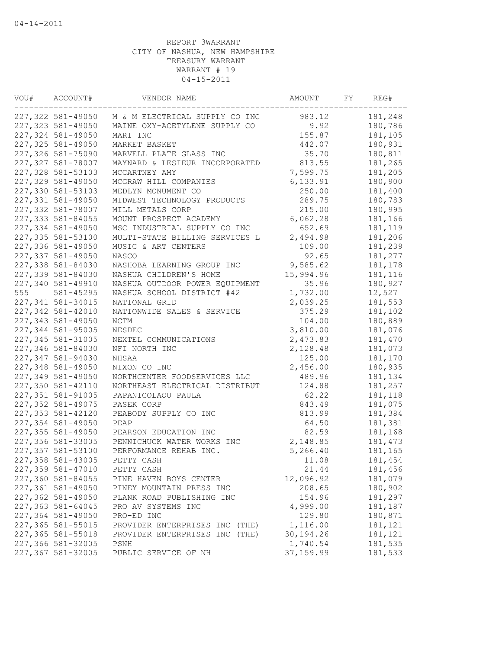| VOU# | ACCOUNT#           | VENDOR NAME                    | AMOUNT     | FY | REG#     |
|------|--------------------|--------------------------------|------------|----|----------|
|      | 227,322 581-49050  | M & M ELECTRICAL SUPPLY CO INC | 983.12     |    | 181,248  |
|      | 227,323 581-49050  | MAINE OXY-ACETYLENE SUPPLY CO  | 9.92       |    | 180,786  |
|      | 227,324 581-49050  | MARI INC                       | 155.87     |    | 181,105  |
|      | 227,325 581-49050  | MARKET BASKET                  | 442.07     |    | 180,931  |
|      | 227,326 581-75090  | MARVELL PLATE GLASS INC        | 35.70      |    | 180,811  |
|      | 227,327 581-78007  | MAYNARD & LESIEUR INCORPORATED | 813.55     |    | 181,265  |
|      | 227,328 581-53103  | MCCARTNEY AMY                  | 7,599.75   |    | 181,205  |
|      | 227,329 581-49050  | MCGRAW HILL COMPANIES          | 6,133.91   |    | 180,900  |
|      | 227,330 581-53103  | MEDLYN MONUMENT CO             | 250.00     |    | 181,400  |
|      | 227,331 581-49050  | MIDWEST TECHNOLOGY PRODUCTS    | 289.75     |    | 180,783  |
|      | 227,332 581-78007  | MILL METALS CORP               | 215.00     |    | 180,995  |
|      | 227,333 581-84055  | MOUNT PROSPECT ACADEMY         | 6,062.28   |    | 181,166  |
|      | 227,334 581-49050  | MSC INDUSTRIAL SUPPLY CO INC   | 652.69     |    | 181,119  |
|      | 227,335 581-53100  | MULTI-STATE BILLING SERVICES L | 2,494.98   |    | 181,206  |
|      | 227,336 581-49050  | MUSIC & ART CENTERS            | 109.00     |    | 181,239  |
|      | 227,337 581-49050  | NASCO                          | 92.65      |    | 181,277  |
|      | 227,338 581-84030  | NASHOBA LEARNING GROUP INC     | 9,585.62   |    | 181,178  |
|      | 227,339 581-84030  | NASHUA CHILDREN'S HOME         | 15,994.96  |    | 181,116  |
|      | 227,340 581-49910  | NASHUA OUTDOOR POWER EQUIPMENT | 35.96      |    | 180,927  |
| 555  | 581-45295          | NASHUA SCHOOL DISTRICT #42     | 1,732.00   |    | 12,527   |
|      | 227,341 581-34015  | NATIONAL GRID                  | 2,039.25   |    | 181,553  |
|      | 227,342 581-42010  | NATIONWIDE SALES & SERVICE     | 375.29     |    | 181,102  |
|      | 227,343 581-49050  | NCTM                           | 104.00     |    | 180,889  |
|      | 227,344 581-95005  | NESDEC                         | 3,810.00   |    | 181,076  |
|      | 227, 345 581-31005 | NEXTEL COMMUNICATIONS          | 2,473.83   |    | 181,470  |
|      | 227,346 581-84030  | NFI NORTH INC                  | 2,128.48   |    | 181,073  |
|      | 227,347 581-94030  | NHSAA                          | 125.00     |    | 181,170  |
|      | 227,348 581-49050  | NIXON CO INC                   | 2,456.00   |    | 180,935  |
|      | 227,349 581-49050  | NORTHCENTER FOODSERVICES LLC   | 489.96     |    | 181,134  |
|      | 227,350 581-42110  | NORTHEAST ELECTRICAL DISTRIBUT | 124.88     |    | 181,257  |
|      | 227,351 581-91005  | PAPANICOLAOU PAULA             | 62.22      |    | 181,118  |
|      | 227,352 581-49075  | PASEK CORP                     | 843.49     |    | 181,075  |
|      | 227,353 581-42120  | PEABODY SUPPLY CO INC          | 813.99     |    | 181,384  |
|      | 227,354 581-49050  | PEAP                           | 64.50      |    | 181,381  |
|      | 227,355 581-49050  | PEARSON EDUCATION INC          | 82.59      |    | 181,168  |
|      | 227,356 581-33005  | PENNICHUCK WATER WORKS INC     | 2,148.85   |    | 181, 473 |
|      | 227,357 581-53100  | PERFORMANCE REHAB INC.         | 5,266.40   |    | 181,165  |
|      | 227,358 581-43005  | PETTY CASH                     | 11.08      |    | 181,454  |
|      | 227,359 581-47010  | PETTY CASH                     | 21.44      |    | 181,456  |
|      | 227,360 581-84055  | PINE HAVEN BOYS CENTER         | 12,096.92  |    | 181,079  |
|      | 227,361 581-49050  | PINEY MOUNTAIN PRESS INC       | 208.65     |    | 180,902  |
|      | 227,362 581-49050  | PLANK ROAD PUBLISHING INC      | 154.96     |    | 181,297  |
|      | 227,363 581-64045  | PRO AV SYSTEMS INC             | 4,999.00   |    | 181,187  |
|      | 227,364 581-49050  | PRO-ED INC                     | 129.80     |    | 180,871  |
|      | 227,365 581-55015  | PROVIDER ENTERPRISES INC (THE) | 1,116.00   |    | 181,121  |
|      | 227,365 581-55018  | PROVIDER ENTERPRISES INC (THE) | 30,194.26  |    | 181,121  |
|      | 227,366 581-32005  | PSNH                           | 1,740.54   |    | 181,535  |
|      | 227,367 581-32005  | PUBLIC SERVICE OF NH           | 37, 159.99 |    | 181,533  |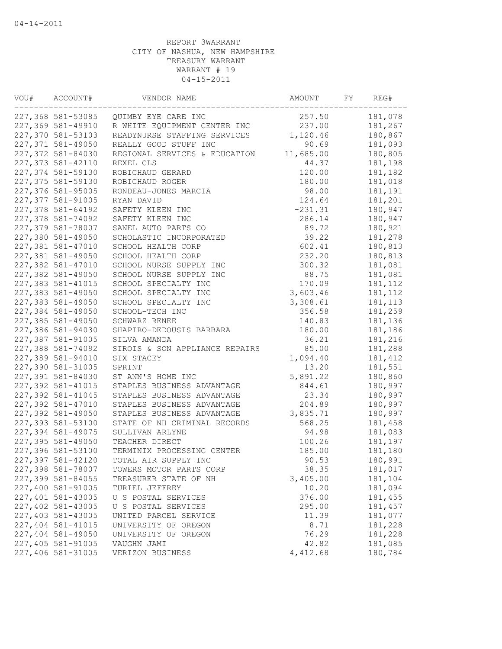| VOU# | ACCOUNT#          | VENDOR NAME                             | AMOUNT    | FY | REG#     |
|------|-------------------|-----------------------------------------|-----------|----|----------|
|      | 227,368 581-53085 | QUIMBY EYE CARE INC                     | 257.50    |    | 181,078  |
|      | 227,369 581-49910 | R WHITE EQUIPMENT CENTER INC            | 237.00    |    | 181,267  |
|      | 227,370 581-53103 | READYNURSE STAFFING SERVICES            | 1,120.46  |    | 180,867  |
|      | 227,371 581-49050 | REALLY GOOD STUFF INC                   | 90.69     |    | 181,093  |
|      | 227,372 581-84030 | REGIONAL SERVICES & EDUCATION           | 11,685.00 |    | 180,805  |
|      | 227,373 581-42110 | REXEL CLS                               | 44.37     |    | 181,198  |
|      | 227,374 581-59130 | ROBICHAUD GERARD                        | 120.00    |    | 181,182  |
|      | 227,375 581-59130 | ROBICHAUD ROGER                         | 180.00    |    | 181,018  |
|      | 227,376 581-95005 | RONDEAU-JONES MARCIA                    | 98.00     |    | 181,191  |
|      | 227,377 581-91005 | RYAN DAVID                              | 124.64    |    | 181,201  |
|      | 227,378 581-64192 | SAFETY KLEEN INC                        | $-231.31$ |    | 180,947  |
|      | 227,378 581-74092 | SAFETY KLEEN INC                        | 286.14    |    | 180,947  |
|      | 227,379 581-78007 | SANEL AUTO PARTS CO                     | 89.72     |    | 180,921  |
|      | 227,380 581-49050 | SCHOLASTIC INCORPORATED                 | 39.22     |    | 181,278  |
|      | 227,381 581-47010 | SCHOOL HEALTH CORP                      | 602.41    |    | 180,813  |
|      | 227,381 581-49050 | SCHOOL HEALTH CORP                      | 232.20    |    | 180,813  |
|      | 227,382 581-47010 | SCHOOL NURSE SUPPLY INC                 | 300.32    |    | 181,081  |
|      | 227,382 581-49050 | SCHOOL NURSE SUPPLY INC                 | 88.75     |    | 181,081  |
|      | 227,383 581-41015 | SCHOOL SPECIALTY INC                    | 170.09    |    | 181,112  |
|      | 227,383 581-49050 | SCHOOL SPECIALTY INC                    | 3,603.46  |    | 181, 112 |
|      | 227,383 581-49050 | SCHOOL SPECIALTY INC                    | 3,308.61  |    | 181, 113 |
|      | 227,384 581-49050 | SCHOOL-TECH INC                         | 356.58    |    | 181,259  |
|      | 227,385 581-49050 | SCHWARZ RENEE                           | 140.83    |    | 181,136  |
|      | 227,386 581-94030 | SHAPIRO-DEDOUSIS BARBARA                | 180.00    |    | 181,186  |
|      | 227,387 581-91005 | SILVA AMANDA                            | 36.21     |    | 181,216  |
|      | 227,388 581-74092 | SIROIS & SON APPLIANCE REPAIRS          | 85.00     |    | 181,288  |
|      | 227,389 581-94010 | SIX STACEY                              | 1,094.40  |    | 181, 412 |
|      | 227,390 581-31005 | SPRINT                                  | 13.20     |    | 181,551  |
|      | 227,391 581-84030 | ST ANN'S HOME INC                       | 5,891.22  |    | 180,860  |
|      | 227,392 581-41015 | STAPLES BUSINESS ADVANTAGE              | 844.61    |    | 180,997  |
|      | 227,392 581-41045 | STAPLES BUSINESS ADVANTAGE              | 23.34     |    | 180,997  |
|      | 227,392 581-47010 | STAPLES BUSINESS ADVANTAGE              | 204.89    |    | 180,997  |
|      | 227,392 581-49050 | STAPLES BUSINESS ADVANTAGE              | 3,835.71  |    | 180,997  |
|      | 227,393 581-53100 | STATE OF NH CRIMINAL RECORDS            | 568.25    |    | 181,458  |
|      | 227,394 581-49075 | SULLIVAN ARLYNE                         | 94.98     |    | 181,083  |
|      | 227,395 581-49050 | TEACHER DIRECT                          | 100.26    |    | 181,197  |
|      | 227,396 581-53100 | TERMINIX PROCESSING CENTER              | 185.00    |    | 181,180  |
|      | 227,397 581-42120 | TOTAL AIR SUPPLY INC                    | 90.53     |    | 180,991  |
|      | 227,398 581-78007 | TOWERS MOTOR PARTS CORP                 | 38.35     |    | 181,017  |
|      | 227,399 581-84055 |                                         | 3,405.00  |    | 181,104  |
|      | 227,400 581-91005 | TREASURER STATE OF NH<br>TURIEL JEFFREY | 10.20     |    | 181,094  |
|      | 227,401 581-43005 |                                         | 376.00    |    | 181,455  |
|      | 227,402 581-43005 | U S POSTAL SERVICES                     |           |    |          |
|      |                   | U S POSTAL SERVICES                     | 295.00    |    | 181,457  |
|      | 227,403 581-43005 | UNITED PARCEL SERVICE                   | 11.39     |    | 181,077  |
|      | 227,404 581-41015 | UNIVERSITY OF OREGON                    | 8.71      |    | 181,228  |
|      | 227,404 581-49050 | UNIVERSITY OF OREGON                    | 76.29     |    | 181,228  |
|      | 227,405 581-91005 | VAUGHN JAMI                             | 42.82     |    | 181,085  |
|      | 227,406 581-31005 | VERIZON BUSINESS                        | 4,412.68  |    | 180,784  |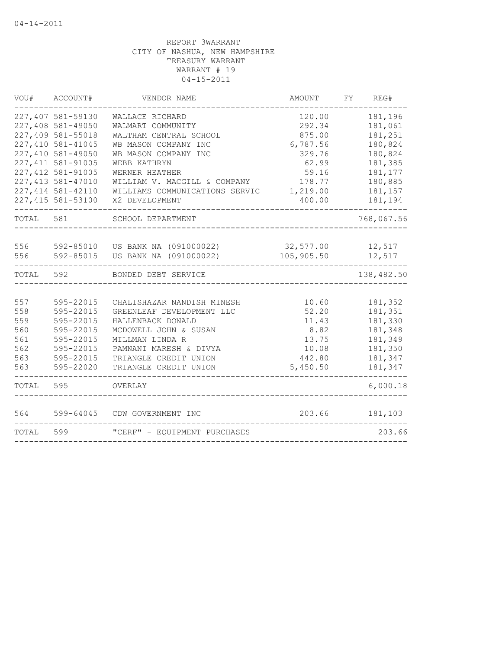| VOU#      | ACCOUNT#           | VENDOR NAME                                | AMOUNT     | FY. | REG#       |
|-----------|--------------------|--------------------------------------------|------------|-----|------------|
|           | 227,407 581-59130  | WALLACE RICHARD                            | 120.00     |     | 181,196    |
|           | 227,408 581-49050  | WALMART COMMUNITY                          | 292.34     |     | 181,061    |
|           | 227,409 581-55018  | WALTHAM CENTRAL SCHOOL                     | 875.00     |     | 181,251    |
|           | 227,410 581-41045  | WB MASON COMPANY INC                       | 6,787.56   |     | 180,824    |
|           | 227,410 581-49050  | WB MASON COMPANY INC                       | 329.76     |     | 180,824    |
|           | 227, 411 581-91005 | WEBB KATHRYN                               | 62.99      |     | 181,385    |
|           | 227, 412 581-91005 | WERNER HEATHER                             | 59.16      |     | 181,177    |
|           | 227, 413 581-47010 | WILLIAM V. MACGILL & COMPANY               | 178.77     |     | 180,885    |
|           | 227, 414 581-42110 | WILLIAMS COMMUNICATIONS SERVIC             | 1,219.00   |     | 181,157    |
|           | 227, 415 581-53100 | X2 DEVELOPMENT                             | 400.00     |     | 181,194    |
| TOTAL 581 |                    | SCHOOL DEPARTMENT                          |            |     | 768,067.56 |
|           |                    |                                            |            |     |            |
| 556       |                    | 592-85010 US BANK NA (091000022) 32,577.00 |            |     | 12,517     |
| 556       | 592-85015          | US BANK NA (091000022)                     | 105,905.50 |     | 12,517     |
| TOTAL     | 592                | BONDED DEBT SERVICE                        |            |     | 138,482.50 |
|           |                    |                                            |            |     |            |
| 557       | 595-22015          | CHALISHAZAR NANDISH MINESH                 | 10.60      |     | 181,352    |
| 558       | 595-22015          | GREENLEAF DEVELOPMENT LLC                  | 52.20      |     | 181,351    |
| 559       | 595-22015          | HALLENBACK DONALD                          | 11.43      |     | 181,330    |
| 560       | 595-22015          | MCDOWELL JOHN & SUSAN                      | 8.82       |     | 181,348    |
| 561       | 595-22015          | MILLMAN LINDA R                            | 13.75      |     | 181,349    |
| 562       | 595-22015          | PAMNANI MARESH & DIVYA                     | 10.08      |     | 181,350    |
| 563       | 595-22015          | TRIANGLE CREDIT UNION                      | 442.80     |     | 181,347    |
| 563       | 595-22020          | TRIANGLE CREDIT UNION                      | 5,450.50   |     | 181,347    |
| TOTAL     | 595                | OVERLAY                                    |            |     | 6,000.18   |
| 564       | 599-64045          | CDW GOVERNMENT INC                         | 203.66     |     | 181,103    |
| TOTAL     | 599                | "CERF" - EOUIPMENT PURCHASES               |            |     | 203.66     |
|           |                    |                                            |            |     |            |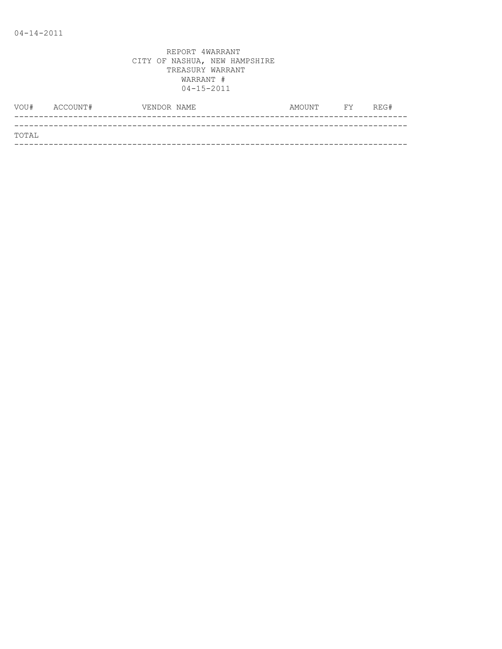|       | VOU# ACCOUNT# | VENDOR NAME | AMOUNT | <b>FY</b> | REG# |
|-------|---------------|-------------|--------|-----------|------|
|       |               |             |        |           |      |
| TOTAL |               |             |        |           |      |
|       |               |             |        |           |      |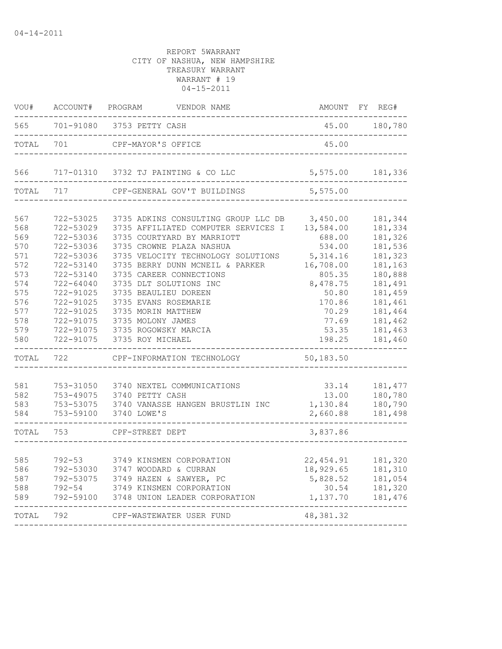| WOU#       | ACCOUNT#                            | PROGRAM<br>VENDOR NAME                                        | AMOUNT               | FY REG#                  |
|------------|-------------------------------------|---------------------------------------------------------------|----------------------|--------------------------|
| 565        | 701-91080<br>---------------------- | 3753 PETTY CASH                                               | 45.00                | 180,780<br>_____________ |
| TOTAL      | 701                                 | CPF-MAYOR'S OFFICE                                            | 45.00                |                          |
| 566        | 717-01310                           | 3732 TJ PAINTING & CO LLC                                     | 5,575.00             | 181,336                  |
| TOTAL      | 717                                 | CPF-GENERAL GOV'T BUILDINGS                                   | 5,575.00             |                          |
| 567        | 722-53025                           | 3735 ADKINS CONSULTING GROUP LLC DB                           | 3,450.00             | 181,344                  |
| 568        | 722-53029                           | 3735 AFFILIATED COMPUTER SERVICES I                           | 13,584.00            | 181,334                  |
| 569        | 722-53036                           | 3735 COURTYARD BY MARRIOTT                                    | 688.00               | 181,326                  |
| 570        |                                     | 3735 CROWNE PLAZA NASHUA                                      |                      | 181,536                  |
|            | 722-53036<br>722-53036              | 3735 VELOCITY TECHNOLOGY SOLUTIONS                            | 534.00<br>5, 314.16  | 181,323                  |
| 571<br>572 | 722-53140                           | 3735 BERRY DUNN MCNEIL & PARKER                               | 16,708.00            | 181,163                  |
| 573        |                                     | 3735 CAREER CONNECTIONS                                       |                      | 180,888                  |
|            | 722-53140                           |                                                               | 805.35               |                          |
| 574        | 722-64040                           | 3735 DLT SOLUTIONS INC                                        | 8,478.75             | 181,491                  |
| 575        | 722-91025                           | 3735 BEAULIEU DOREEN                                          | 50.80                | 181,459                  |
| 576        | 722-91025                           | 3735 EVANS ROSEMARIE                                          | 170.86               | 181,461                  |
| 577        | 722-91025                           | 3735 MORIN MATTHEW                                            | 70.29                | 181,464                  |
| 578        | 722-91075                           | 3735 MOLONY JAMES                                             | 77.69                | 181,462                  |
| 579<br>580 | 722-91075<br>722-91075              | 3735 ROGOWSKY MARCIA<br>3735 ROY MICHAEL                      | 53.35<br>198.25      | 181,463<br>181,460       |
| TOTAL      | 722                                 | CPF-INFORMATION TECHNOLOGY                                    | 50,183.50            |                          |
|            |                                     |                                                               |                      |                          |
| 581        | 753-31050                           | 3740 NEXTEL COMMUNICATIONS                                    | 33.14                | 181, 477                 |
| 582        |                                     | 753-49075 3740 PETTY CASH<br>3740 VANASSE HANGEN BRUSTLIN INC | 13.00                | 180,780<br>180,790       |
| 583<br>584 | 753-53075<br>753-59100              | 3740 LOWE'S                                                   | 1,130.84<br>2,660.88 | 181,498                  |
| TOTAL      | 753                                 | CPF-STREET DEPT                                               | 3,837.86             |                          |
|            |                                     |                                                               |                      |                          |
| 585        | $792 - 53$                          | 3749 KINSMEN CORPORATION                                      | 22, 454.91           | 181,320                  |
| 586        |                                     | 792-53030 3747 WOODARD & CURRAN                               | 18,929.65            | 181,310                  |
| 587        | 792-53075                           | 3749 HAZEN & SAWYER, PC                                       | 5,828.52             | 181,054                  |
| 588        | $792 - 54$                          | 3749 KINSMEN CORPORATION                                      | 30.54                | 181,320                  |
| 589        | 792-59100                           | 3748 UNION LEADER CORPORATION                                 | 1,137.70             | 181,476                  |
| TOTAL      | 792                                 | CPF-WASTEWATER USER FUND                                      | 48, 381.32           |                          |
|            |                                     |                                                               |                      |                          |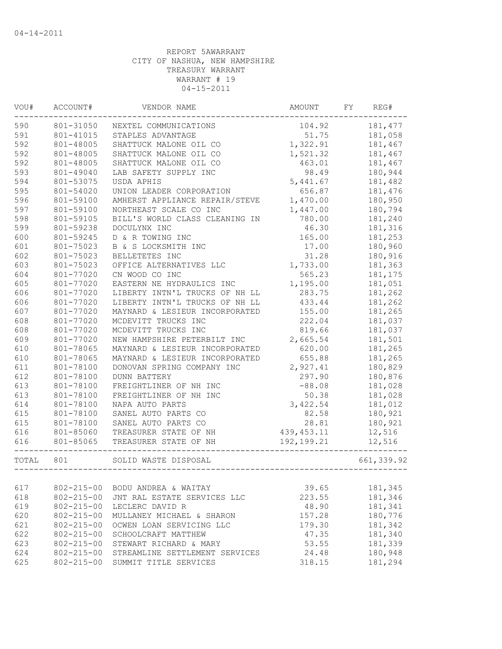| VOU#  | ACCOUNT#         | VENDOR NAME                         | AMOUNT       | FY. | REG#        |
|-------|------------------|-------------------------------------|--------------|-----|-------------|
| 590   | 801-31050        | NEXTEL COMMUNICATIONS               | 104.92       |     | 181,477     |
| 591   | 801-41015        | STAPLES ADVANTAGE                   | 51.75        |     | 181,058     |
| 592   | 801-48005        | SHATTUCK MALONE OIL CO              | 1,322.91     |     | 181,467     |
| 592   | 801-48005        | SHATTUCK MALONE OIL CO              | 1,521.32     |     | 181,467     |
| 592   | 801-48005        | SHATTUCK MALONE OIL CO              | 463.01       |     | 181,467     |
| 593   | 801-49040        | LAB SAFETY SUPPLY INC               | 98.49        |     | 180,944     |
| 594   | 801-53075        | USDA APHIS                          | 5,441.67     |     | 181,482     |
| 595   | 801-54020        | UNION LEADER CORPORATION            | 656.87       |     | 181,476     |
| 596   | 801-59100        | AMHERST APPLIANCE REPAIR/STEVE      | 1,470.00     |     | 180,950     |
| 597   | 801-59100        | NORTHEAST SCALE CO INC              | 1,447.00     |     | 180,794     |
| 598   | 801-59105        | BILL'S WORLD CLASS CLEANING IN      | 780.00       |     | 181,240     |
| 599   | 801-59238        | DOCULYNX INC                        | 46.30        |     | 181,316     |
| 600   | 801-59245        | D & R TOWING INC                    | 165.00       |     | 181,253     |
| 601   | 801-75023        | B & S LOCKSMITH INC                 | 17.00        |     | 180,960     |
| 602   | 801-75023        | BELLETETES INC                      | 31.28        |     | 180,916     |
| 603   | 801-75023        | OFFICE ALTERNATIVES LLC             | 1,733.00     |     | 181,363     |
| 604   | 801-77020        | CN WOOD CO INC                      | 565.23       |     | 181,175     |
| 605   | 801-77020        | EASTERN NE HYDRAULICS INC           | 1,195.00     |     | 181,051     |
| 606   | 801-77020        | LIBERTY INTN'L TRUCKS OF NH LL      | 283.75       |     | 181,262     |
| 606   | 801-77020        | LIBERTY INTN'L TRUCKS OF NH LL      | 433.44       |     | 181,262     |
| 607   | 801-77020        | MAYNARD & LESIEUR INCORPORATED      | 155.00       |     | 181,265     |
| 608   | 801-77020        | MCDEVITT TRUCKS INC                 | 222.04       |     | 181,037     |
| 608   | 801-77020        | MCDEVITT TRUCKS INC                 | 819.66       |     | 181,037     |
| 609   | 801-77020        | NEW HAMPSHIRE PETERBILT INC         | 2,665.54     |     | 181,501     |
| 610   | 801-78065        | MAYNARD & LESIEUR INCORPORATED      | 620.00       |     | 181,265     |
| 610   | 801-78065        | MAYNARD & LESIEUR INCORPORATED      | 655.88       |     | 181,265     |
| 611   | 801-78100        | DONOVAN SPRING COMPANY INC          | 2,927.41     |     | 180,829     |
| 612   | 801-78100        | <b>DUNN BATTERY</b>                 | 297.90       |     | 180,876     |
| 613   | 801-78100        | FREIGHTLINER OF NH INC              | $-88.08$     |     | 181,028     |
| 613   | 801-78100        | FREIGHTLINER OF NH INC              | 50.38        |     | 181,028     |
| 614   | 801-78100        | NAPA AUTO PARTS                     | 3,422.54     |     | 181,012     |
| 615   | 801-78100        | SANEL AUTO PARTS CO                 | 82.58        |     | 180,921     |
| 615   | 801-78100        | SANEL AUTO PARTS CO                 | 28.81        |     | 180,921     |
| 616   | 801-85060        | TREASURER STATE OF NH               | 439, 453.11  |     | 12,516      |
| 616   | 801-85065        | TREASURER STATE OF NH               | 192, 199. 21 |     | 12,516      |
| TOTAL | 801              | ___________<br>SOLID WASTE DISPOSAL |              |     | 661, 339.92 |
|       |                  |                                     |              |     |             |
| 617   | $802 - 215 - 00$ | BODU ANDREA & WAITAY                | 39.65        |     | 181,345     |
| 618   | $802 - 215 - 00$ | JNT RAL ESTATE SERVICES LLC         | 223.55       |     | 181,346     |
| 619   | $802 - 215 - 00$ | LECLERC DAVID R                     | 48.90        |     | 181,341     |
| 620   | $802 - 215 - 00$ | MULLANEY MICHAEL & SHARON           | 157.28       |     | 180,776     |
| 621   | $802 - 215 - 00$ | OCWEN LOAN SERVICING LLC            | 179.30       |     | 181,342     |
| 622   | $802 - 215 - 00$ | SCHOOLCRAFT MATTHEW                 | 47.35        |     | 181,340     |
| 623   | $802 - 215 - 00$ | STEWART RICHARD & MARY              | 53.55        |     | 181,339     |
| 624   | $802 - 215 - 00$ | STREAMLINE SETTLEMENT SERVICES      | 24.48        |     | 180,948     |
| 625   | $802 - 215 - 00$ | SUMMIT TITLE SERVICES               | 318.15       |     | 181,294     |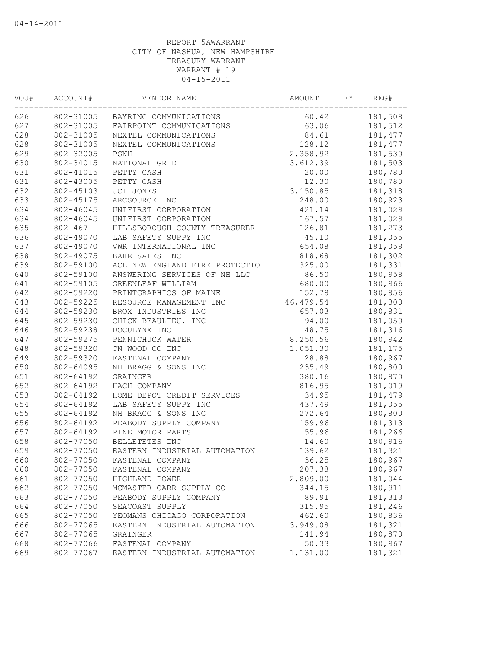| VOU# | ACCOUNT#    | VENDOR NAME                        | AMOUNT         | FY | REG#     |
|------|-------------|------------------------------------|----------------|----|----------|
| 626  |             | 802-31005 BAYRING COMMUNICATIONS   | 60.42          |    | 181,508  |
| 627  |             | 802-31005 FAIRPOINT COMMUNICATIONS | 63.06          |    | 181,512  |
| 628  | 802-31005   | NEXTEL COMMUNICATIONS              | 84.61          |    | 181, 477 |
| 628  | 802-31005   | NEXTEL COMMUNICATIONS              | 128.12         |    | 181,477  |
| 629  | 802-32005   | PSNH                               | 2,358.92       |    | 181,530  |
| 630  | 802-34015   | NATIONAL GRID                      | 3,612.39       |    | 181,503  |
| 631  | 802-41015   | PETTY CASH                         | 20.00          |    | 180,780  |
| 631  | 802-43005   | PETTY CASH                         | 12.30          |    | 180,780  |
| 632  | 802-45103   | JCI JONES                          | 3,150.85       |    | 181,318  |
| 633  | 802-45175   | ARCSOURCE INC                      | 248.00         |    | 180,923  |
| 634  | 802-46045   | UNIFIRST CORPORATION               | 421.14         |    | 181,029  |
| 634  | 802-46045   | UNIFIRST CORPORATION               | 167.57         |    | 181,029  |
| 635  | $802 - 467$ | HILLSBOROUGH COUNTY TREASURER      | 126.81         |    | 181,273  |
| 636  | 802-49070   | LAB SAFETY SUPPY INC               | 45.10          |    | 181,055  |
| 637  | 802-49070   | VWR INTERNATIONAL INC              | 654.08         |    | 181,059  |
| 638  | 802-49075   | BAHR SALES INC                     | 818.68         |    | 181,302  |
| 639  | 802-59100   | ACE NEW ENGLAND FIRE PROTECTIO     | 325.00         |    | 181,331  |
| 640  | 802-59100   | ANSWERING SERVICES OF NH LLC       | 86.50          |    | 180,958  |
| 641  | 802-59105   | GREENLEAF WILLIAM                  | 680.00         |    | 180,966  |
| 642  | 802-59220   | PRINTGRAPHICS OF MAINE             | 152.78         |    | 180,856  |
| 643  | 802-59225   | RESOURCE MANAGEMENT INC            | 46,479.54      |    | 181,300  |
| 644  | 802-59230   | BROX INDUSTRIES INC                | 657.03         |    | 180,831  |
| 645  | 802-59230   | CHICK BEAULIEU, INC                | 94.00          |    | 181,050  |
| 646  | 802-59238   | DOCULYNX INC                       | 48.75          |    | 181,316  |
| 647  | 802-59275   | PENNICHUCK WATER                   | 8,250.56       |    | 180,942  |
| 648  | 802-59320   | CN WOOD CO INC                     | 1,051.30       |    | 181,175  |
| 649  | 802-59320   | FASTENAL COMPANY                   | 28.88          |    | 180,967  |
| 650  | 802-64095   | NH BRAGG & SONS INC                | 235.49         |    | 180,800  |
| 651  | 802-64192   | GRAINGER                           | 380.16         |    | 180,870  |
| 652  | 802-64192   | HACH COMPANY                       | 816.95         |    | 181,019  |
| 653  | 802-64192   | HOME DEPOT CREDIT SERVICES         | 34.95          |    | 181,479  |
| 654  | 802-64192   | LAB SAFETY SUPPY INC               | 437.49         |    | 181,055  |
| 655  | 802-64192   | NH BRAGG & SONS INC                | 272.64         |    | 180,800  |
| 656  | 802-64192   | PEABODY SUPPLY COMPANY             | 159.96         |    | 181,313  |
|      |             | PINE MOTOR PARTS                   |                |    |          |
| 657  | 802-64192   |                                    | 55.96<br>14.60 |    | 181,266  |
| 658  | 802-77050   | BELLETETES INC                     |                |    | 180,916  |
| 659  | 802-77050   | EASTERN INDUSTRIAL AUTOMATION      | 139.62         |    | 181,321  |
| 660  | 802-77050   | FASTENAL COMPANY                   | 36.25          |    | 180,967  |
| 660  | 802-77050   | FASTENAL COMPANY                   | 207.38         |    | 180,967  |
| 661  | 802-77050   | HIGHLAND POWER                     | 2,809.00       |    | 181,044  |
| 662  | 802-77050   | MCMASTER-CARR SUPPLY CO            | 344.15         |    | 180,911  |
| 663  | 802-77050   | PEABODY SUPPLY COMPANY             | 89.91          |    | 181,313  |
| 664  | 802-77050   | SEACOAST SUPPLY                    | 315.95         |    | 181,246  |
| 665  | 802-77050   | YEOMANS CHICAGO CORPORATION        | 462.60         |    | 180,836  |
| 666  | 802-77065   | EASTERN INDUSTRIAL AUTOMATION      | 3,949.08       |    | 181,321  |
| 667  | 802-77065   | GRAINGER                           | 141.94         |    | 180,870  |
| 668  | 802-77066   | FASTENAL COMPANY                   | 50.33          |    | 180,967  |
| 669  | 802-77067   | EASTERN INDUSTRIAL AUTOMATION      | 1,131.00       |    | 181,321  |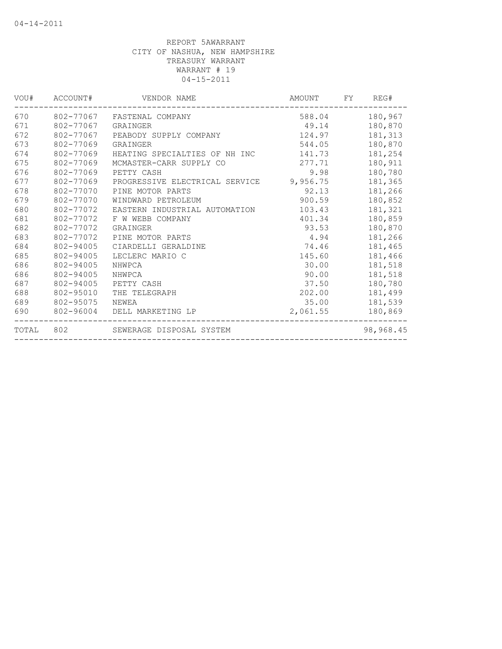|       |                    | VOU# ACCOUNT# VENDOR NAME               | AMOUNT FY     | REG#           |
|-------|--------------------|-----------------------------------------|---------------|----------------|
| 670   |                    | 802-77067 FASTENAL COMPANY              |               | 588.04 180,967 |
| 671   | 802-77067 GRAINGER |                                         | 49.14 180,870 |                |
| 672   | 802-77067          | PEABODY SUPPLY COMPANY                  | 124.97        | 181,313        |
| 673   | 802-77069          | GRAINGER                                | 544.05        | 180,870        |
| 674   | 802-77069          | HEATING SPECIALTIES OF NH INC           | 141.73        | 181,254        |
| 675   | 802-77069          | MCMASTER-CARR SUPPLY CO                 | 277.71        | 180,911        |
| 676   | 802-77069          | PETTY CASH                              | 9.98          | 180,780        |
| 677   | 802-77069          | PROGRESSIVE ELECTRICAL SERVICE 9,956.75 |               | 181,365        |
| 678   | 802-77070          | PINE MOTOR PARTS                        | 92.13         | 181,266        |
| 679   | 802-77070          | WINDWARD PETROLEUM                      | 900.59        | 180,852        |
| 680   | 802-77072          | EASTERN INDUSTRIAL AUTOMATION           | 103.43        | 181,321        |
| 681   | 802-77072          | F W WEBB COMPANY                        | 401.34        | 180,859        |
| 682   | 802-77072          | GRAINGER                                | 93.53         | 180,870        |
| 683   | 802-77072          | PINE MOTOR PARTS                        | 4.94          | 181,266        |
| 684   | 802-94005          | CIARDELLI GERALDINE                     | 74.46         | 181,465        |
| 685   | 802-94005          | LECLERC MARIO C                         | 145.60        | 181,466        |
| 686   | 802-94005          | NHWPCA                                  | 30.00         | 181,518        |
| 686   | 802-94005          | NHWPCA                                  | 90.00         | 181,518        |
| 687   | 802-94005          | PETTY CASH                              | 37.50         | 180,780        |
| 688   | 802-95010          | THE TELEGRAPH                           | 202.00        | 181,499        |
| 689   | 802-95075          | NEWEA                                   | 35.00         | 181,539        |
| 690   | 802-96004          | DELL MARKETING LP                       | 2,061.55      | 180,869        |
| TOTAL |                    | 802 SEWERAGE DISPOSAL SYSTEM            |               | 98,968.45      |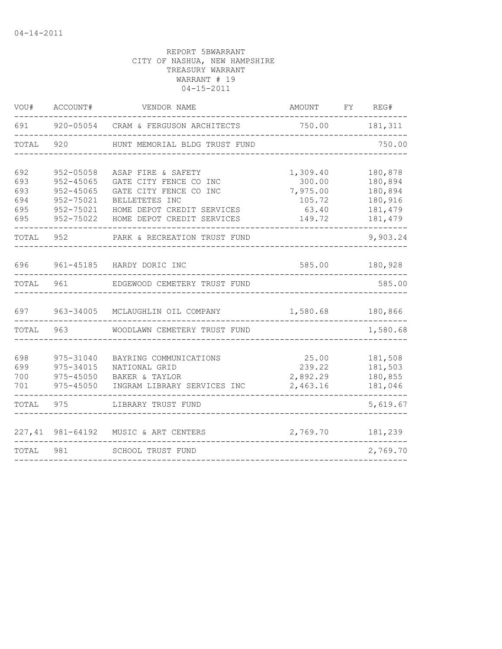| WOU#                                   | ACCOUNT#                                                                           | VENDOR NAME                                                                                                                                          | AMOUNT                                                      | FY | REG#                                                           |
|----------------------------------------|------------------------------------------------------------------------------------|------------------------------------------------------------------------------------------------------------------------------------------------------|-------------------------------------------------------------|----|----------------------------------------------------------------|
| 691                                    |                                                                                    | 920-05054 CRAM & FERGUSON ARCHITECTS                                                                                                                 | 750.00                                                      |    | 181,311                                                        |
| TOTAL                                  | 920                                                                                | HUNT MEMORIAL BLDG TRUST FUND                                                                                                                        |                                                             |    | 750.00                                                         |
| 692<br>693<br>693<br>694<br>695<br>695 | 952-05058<br>$952 - 45065$<br>$952 - 45065$<br>952-75021<br>952-75021<br>952-75022 | ASAP FIRE & SAFETY<br>GATE CITY FENCE CO INC<br>GATE CITY FENCE CO INC<br>BELLETETES INC<br>HOME DEPOT CREDIT SERVICES<br>HOME DEPOT CREDIT SERVICES | 1,309.40<br>300.00<br>7,975.00<br>105.72<br>63.40<br>149.72 |    | 180,878<br>180,894<br>180,894<br>180,916<br>181,479<br>181,479 |
| TOTAL                                  | 952                                                                                | PARK & RECREATION TRUST FUND                                                                                                                         |                                                             |    | 9,903.24                                                       |
| 696<br>TOTAL                           | 961-45185<br>961                                                                   | HARDY DORIC INC<br>EDGEWOOD CEMETERY TRUST FUND                                                                                                      | 585.00                                                      |    | 180,928<br>585.00                                              |
| 697                                    | 963-34005                                                                          | MCLAUGHLIN OIL COMPANY                                                                                                                               | 1,580.68                                                    |    | 180,866                                                        |
| TOTAL                                  | 963                                                                                | WOODLAWN CEMETERY TRUST FUND                                                                                                                         |                                                             |    | 1,580.68                                                       |
| 698<br>699<br>700<br>701               | 975-31040<br>975-34015<br>975-45050<br>975-45050                                   | BAYRING COMMUNICATIONS<br>NATIONAL GRID<br>BAKER & TAYLOR<br>INGRAM LIBRARY SERVICES INC                                                             | 25.00<br>239.22<br>2,892.29<br>2,463.16                     |    | 181,508<br>181,503<br>180,855<br>181,046                       |
| TOTAL                                  | 975                                                                                | LIBRARY TRUST FUND                                                                                                                                   |                                                             |    | 5,619.67                                                       |
| 227,41                                 | 981-64192                                                                          | MUSIC & ART CENTERS                                                                                                                                  | 2,769.70                                                    |    | 181,239                                                        |
| TOTAL                                  | 981                                                                                | SCHOOL TRUST FUND                                                                                                                                    |                                                             |    | 2,769.70                                                       |
|                                        |                                                                                    |                                                                                                                                                      |                                                             |    |                                                                |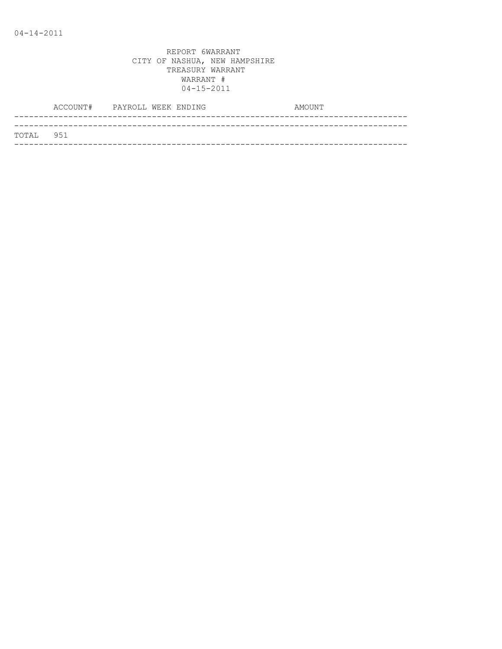|           | ACCOUNT# PAYROLL WEEK ENDING |  | AMOUNT |
|-----------|------------------------------|--|--------|
|           |                              |  |        |
| TOTAL 951 |                              |  |        |
|           |                              |  |        |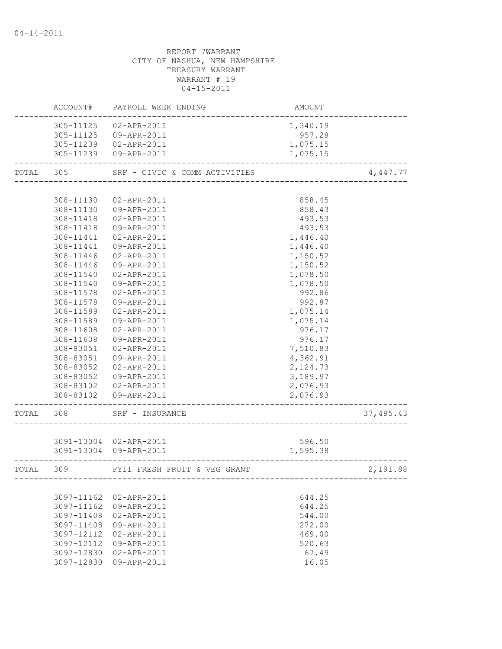# REPORT 7WARRANT CITY OF NASHUA, NEW HAMPSHIRE TREASURY WARRANT WARRANT # 19 04-15-2011 ACCOUNT# PAYROLL WEEK ENDING COUNT AMOUNT -------------------------------------------------------------------------------- 305-11125 02-APR-2011 305-11125 09-APR-2011 957.28 305-11239 02-APR-2011 1,075.15 305-11239 09-APR-2011 1,075.15 -------------------------------------------------------------------------------- TOTAL 305 SRF - CIVIC & COMM ACTIVITIES 4,447.77 -------------------------------------------------------------------------------- 308-11130 02-APR-2011 858.45 308-11130 09-APR-2011 858.43 308-11418 02-APR-2011 493.53 308-11418 09-APR-2011 493.53 308-11441 02-APR-2011 1,446.40 308-11441 09-APR-2011 1,446.40 308-11446 02-APR-2011 1,150.52 308-11446 09-APR-2011 1,150.52 308-11540 02-APR-2011 1,078.50 308-11540 09-APR-2011 1,078.50 308-11578 02-APR-2011 992.86 308-11578 09-APR-2011 992.87 308-11589 02-APR-2011 1,075.14 308-11589 09-APR-2011 1,075.14 308-11608 02-APR-2011 976.17 308-11608 09-APR-2011 976.17 308-83051 02-APR-2011 7,510.83 308-83051 09-APR-2011 4,362.91 308-83052 02-APR-2011 2,124.73 308-83052 09-APR-2011 3,189.97 308-83102 02-APR-2011 2,076.93 308-83102 09-APR-2011 2,076.93 -------------------------------------------------------------------------------- TOTAL 308 SRF – INSURANCE 37,485.43 -------------------------------------------------------------------------------- 3091-13004 02-APR-2011 596.50 3091-13004 09-APR-2011 1,595.38 -------------------------------------------------------------------------------- TOTAL 309 FY11 FRESH FRUIT & VEG GRANT 2,191.88 -------------------------------------------------------------------------------- 3097-11162 02-APR-2011 644.25 3097-11162 09-APR-2011 644.25 3097-11408 02-APR-2011 544.00 3097-11408 09-APR-2011 272.00 3097-12112 02-APR-2011 469.00 3097-12112 09-APR-2011 520.63 3097-12830 02-APR-2011 67.49 3097-12830 09-APR-2011 16.05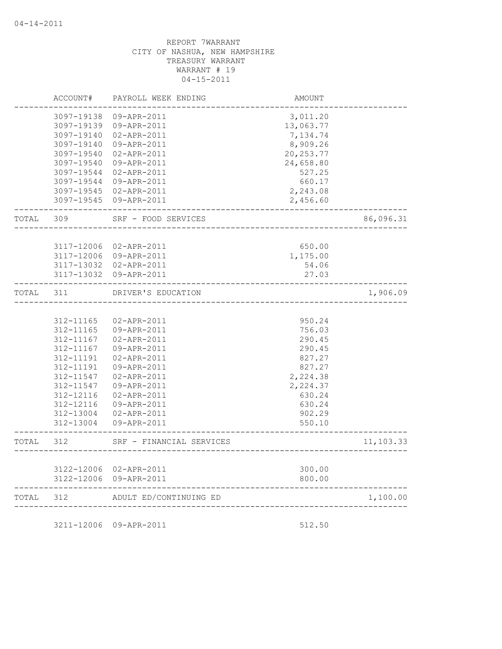| TOTAL | 312                      | ADULT ED/CONTINUING ED                | --------------------------------- | 1,100.00  |
|-------|--------------------------|---------------------------------------|-----------------------------------|-----------|
|       | 3122-12006               | 3122-12006 02-APR-2011<br>09-APR-2011 | 300.00<br>800.00                  |           |
| TOTAL | 312                      | SRF - FINANCIAL SERVICES              |                                   | 11,103.33 |
|       | 312-13004                | 09-APR-2011                           | 550.10                            |           |
|       | 312-13004                | 02-APR-2011                           | 902.29                            |           |
|       | 312-12116                | 09-APR-2011                           | 630.24                            |           |
|       | 312-12116                | 02-APR-2011                           | 630.24                            |           |
|       | 312-11547<br>312-11547   | 02-APR-2011<br>09-APR-2011            | 2,224.38<br>2,224.37              |           |
|       | 312-11191                | 09-APR-2011                           | 827.27                            |           |
|       | $312 - 11191$            | 02-APR-2011                           | 827.27                            |           |
|       | 312-11167                | 09-APR-2011                           | 290.45                            |           |
|       | 312-11167                | 02-APR-2011                           | 290.45                            |           |
|       | 312-11165                | 09-APR-2011                           | 756.03                            |           |
|       | 312-11165                | 02-APR-2011                           | 950.24                            |           |
| TOTAL | 311                      | DRIVER'S EDUCATION                    |                                   | 1,906.09  |
|       | 3117-13032               | 09-APR-2011                           | 27.03                             |           |
|       |                          | 3117-13032 02-APR-2011                | 54.06                             |           |
|       | 3117-12006               | 02-APR-2011<br>3117-12006 09-APR-2011 | 650.00<br>1,175.00                |           |
| TOTAL | 309                      | SRF - FOOD SERVICES                   |                                   | 86,096.31 |
|       | 3097-19545               | 09-APR-2011                           | 2,456.60                          |           |
|       | 3097-19545               | 02-APR-2011                           | 2,243.08                          |           |
|       | 3097-19544               | 09-APR-2011                           | 660.17                            |           |
|       | 3097-19540<br>3097-19544 | 09-APR-2011<br>02-APR-2011            | 24,658.80<br>527.25               |           |
|       | 3097-19540               | 02-APR-2011                           | 20, 253.77                        |           |
|       | 3097-19140               | 09-APR-2011                           | 8,909.26                          |           |
|       | 3097-19140               | 02-APR-2011                           | 7,134.74                          |           |
|       | 3097-19139               | 09-APR-2011                           | 13,063.77                         |           |
|       | 3097-19138               | 09-APR-2011                           | 3,011.20                          |           |
|       | ACCOUNT#                 | PAYROLL WEEK ENDING                   | AMOUNT                            |           |

3211-12006 09-APR-2011 512.50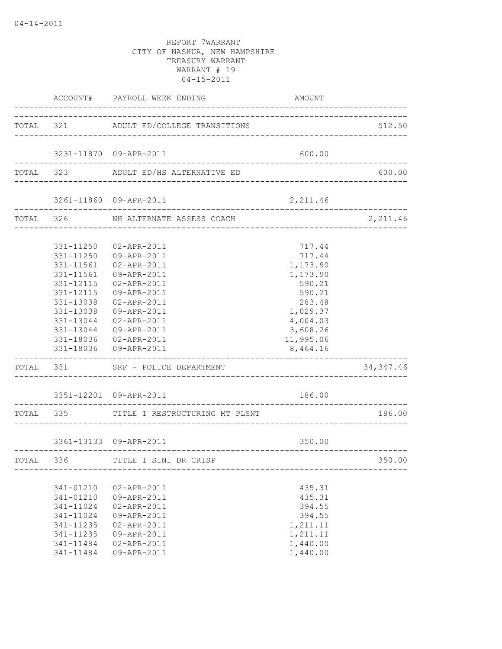|                                                                                                          | ACCOUNT# PAYROLL WEEK ENDING                                                                                                                                                                                                                                                  | AMOUNT                                                                                                                              |                             |
|----------------------------------------------------------------------------------------------------------|-------------------------------------------------------------------------------------------------------------------------------------------------------------------------------------------------------------------------------------------------------------------------------|-------------------------------------------------------------------------------------------------------------------------------------|-----------------------------|
|                                                                                                          | TOTAL 321 ADULT ED/COLLEGE TRANSITIONS                                                                                                                                                                                                                                        |                                                                                                                                     | 512.50                      |
|                                                                                                          | 3231-11870 09-APR-2011                                                                                                                                                                                                                                                        | 600.00                                                                                                                              |                             |
|                                                                                                          | TOTAL 323 ADULT ED/HS ALTERNATIVE ED                                                                                                                                                                                                                                          |                                                                                                                                     | 600.00                      |
|                                                                                                          | 3261-11860 09-APR-2011                                                                                                                                                                                                                                                        | 2,211.46                                                                                                                            |                             |
|                                                                                                          | TOTAL 326 NH ALTERNATE ASSESS COACH                                                                                                                                                                                                                                           |                                                                                                                                     | 2,211.46                    |
| 331-11561<br>331-11561<br>331-12115<br>----------------                                                  | 331-11250 02-APR-2011<br>331-11250 09-APR-2011<br>02-APR-2011<br>09-APR-2011<br>331-12115  02-APR-2011<br>09-APR-2011<br>331-13038  02-APR-2011<br>331-13038 09-APR-2011<br>331-13044  02-APR-2011<br>331-13044 09-APR-2011<br>331-18036 02-APR-2011<br>331-18036 09-APR-2011 | 717.44<br>717.44<br>1,173.90<br>1,173.90<br>590.21<br>590.21<br>283.48<br>1,029.37<br>4,004.03<br>3,608.26<br>11,995.06<br>8,464.16 |                             |
|                                                                                                          | TOTAL 331 SRF - POLICE DEPARTMENT                                                                                                                                                                                                                                             |                                                                                                                                     | 34, 347.46                  |
|                                                                                                          | 3351-12201 09-APR-2011<br>TOTAL 335 TITLE I RESTRUCTURING MT PLSNT                                                                                                                                                                                                            | 186.00                                                                                                                              | 186.00                      |
|                                                                                                          | 3361-13133 09-APR-2011                                                                                                                                                                                                                                                        | 350.00                                                                                                                              |                             |
|                                                                                                          | ______________________________________<br>TOTAL 336 TITLE I SINI DR CRISP                                                                                                                                                                                                     |                                                                                                                                     | _________________<br>350.00 |
| 341-01210<br>341-01210<br>341-11024<br>341-11024<br>341-11235<br>341-11235<br>$341 - 11484$<br>341-11484 | 02-APR-2011<br>09-APR-2011<br>02-APR-2011<br>09-APR-2011<br>02-APR-2011<br>09-APR-2011<br>02-APR-2011<br>09-APR-2011                                                                                                                                                          | 435.31<br>435.31<br>394.55<br>394.55<br>1,211.11<br>1,211.11<br>1,440.00<br>1,440.00                                                |                             |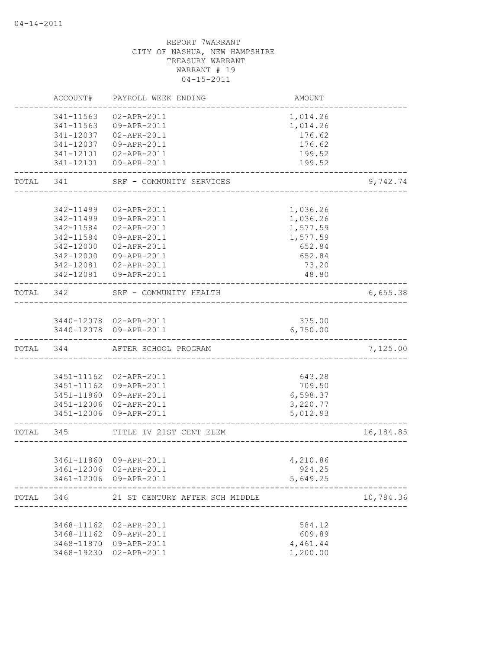|           | ACCOUNT#               | PAYROLL WEEK ENDING                               | AMOUNT                               |            |
|-----------|------------------------|---------------------------------------------------|--------------------------------------|------------|
|           | 341-11563              | $02 - APR - 2011$                                 | 1,014.26                             |            |
|           | 341-11563              | 09-APR-2011                                       | 1,014.26                             |            |
|           | 341-12037              | 02-APR-2011                                       | 176.62                               |            |
|           | 341-12037              | 09-APR-2011                                       | 176.62                               |            |
|           |                        | 341-12101  02-APR-2011                            | 199.52                               |            |
|           | 341-12101              | 09-APR-2011                                       | 199.52                               |            |
| TOTAL 341 |                        | SRF - COMMUNITY SERVICES<br>_____________________ |                                      | 9,742.74   |
|           |                        |                                                   |                                      |            |
|           | 342-11499              | 02-APR-2011                                       | 1,036.26                             |            |
|           | 342-11499              | 09-APR-2011<br>02-APR-2011                        | 1,036.26                             |            |
|           | 342-11584<br>342-11584 | 09-APR-2011                                       | 1,577.59<br>1,577.59                 |            |
|           | 342-12000              | 02-APR-2011                                       | 652.84                               |            |
|           | 342-12000              | 09-APR-2011                                       | 652.84                               |            |
|           | 342-12081              | 02-APR-2011                                       | 73.20                                |            |
|           |                        | 342-12081  09-APR-2011                            | 48.80                                |            |
| TOTAL 342 |                        | SRF - COMMUNITY HEALTH                            | ____________________________________ | 6,655.38   |
|           |                        |                                                   |                                      |            |
|           |                        | 3440-12078 02-APR-2011                            | 375.00                               |            |
|           |                        | 3440-12078 09-APR-2011                            | 6,750.00                             |            |
|           | TOTAL 344              | AFTER SCHOOL PROGRAM                              |                                      | 7,125.00   |
|           |                        |                                                   |                                      |            |
|           | 3451-11162             | 02-APR-2011                                       | 643.28                               |            |
|           | 3451-11162             | 09-APR-2011                                       | 709.50                               |            |
|           |                        | 3451-11860 09-APR-2011                            | 6,598.37                             |            |
|           |                        | 3451-12006 02-APR-2011<br>3451-12006 09-APR-2011  | 3,220.77<br>5,012.93                 |            |
| TOTAL 345 |                        | TITLE IV 21ST CENT ELEM                           |                                      | 16, 184.85 |
|           |                        |                                                   | ----------------------------------   |            |
|           |                        | 3461-11860 09-APR-2011                            | 4,210.86                             |            |
|           |                        | 3461-12006 02-APR-2011                            | 924.25                               |            |
|           |                        | 3461-12006 09-APR-2011                            | 5,649.25                             |            |
| TOTAL 346 |                        | 21 ST CENTURY AFTER SCH MIDDLE                    |                                      | 10,784.36  |
|           |                        |                                                   |                                      |            |
|           | 3468-11162             | 02-APR-2011                                       | 584.12                               |            |
|           | 3468-11162             | 09-APR-2011                                       | 609.89                               |            |
|           | 3468-11870             | 09-APR-2011                                       | 4,461.44                             |            |
|           | 3468-19230             | 02-APR-2011                                       | 1,200.00                             |            |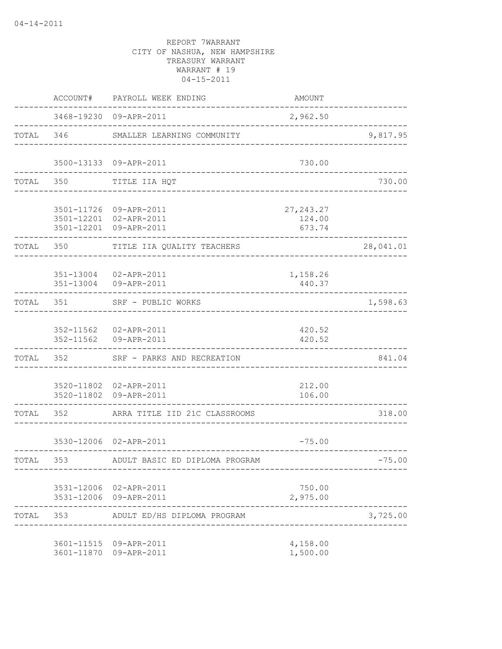|           | ACCOUNT#  | PAYROLL WEEK ENDING                                                        | AMOUNT                         |           |
|-----------|-----------|----------------------------------------------------------------------------|--------------------------------|-----------|
|           |           | 3468-19230 09-APR-2011                                                     | 2,962.50                       |           |
|           | TOTAL 346 | SMALLER LEARNING COMMUNITY                                                 |                                | 9,817.95  |
|           |           | 3500-13133 09-APR-2011                                                     | 730.00                         |           |
| TOTAL     | 350       | TITLE IIA HQT                                                              |                                | 730.00    |
|           |           | 3501-11726 09-APR-2011<br>3501-12201 02-APR-2011<br>3501-12201 09-APR-2011 | 27, 243.27<br>124.00<br>673.74 |           |
| TOTAL     | 350       | TITLE IIA QUALITY TEACHERS                                                 |                                | 28,041.01 |
|           | 351-13004 | 351-13004 02-APR-2011<br>09-APR-2011                                       | 1,158.26<br>440.37             |           |
| TOTAL     | 351       | SRF - PUBLIC WORKS<br>______________________                               |                                | 1,598.63  |
|           |           | 352-11562  02-APR-2011<br>352-11562 09-APR-2011                            | 420.52<br>420.52               |           |
| TOTAL     | 352       | SRF - PARKS AND RECREATION                                                 |                                | 841.04    |
|           |           | 3520-11802 02-APR-2011<br>3520-11802 09-APR-2011                           | 212.00<br>106.00               |           |
| TOTAL     | 352       | ARRA TITLE IID 21C CLASSROOMS                                              |                                | 318.00    |
|           |           | 3530-12006 02-APR-2011                                                     | $-75.00$                       |           |
| TOTAL 353 |           | ADULT BASIC ED DIPLOMA PROGRAM                                             |                                | $-75.00$  |
|           |           | 3531-12006 02-APR-2011<br>3531-12006 09-APR-2011                           | 750.00<br>2,975.00             |           |
|           |           | TOTAL 353 ADULT ED/HS DIPLOMA PROGRAM                                      |                                | 3,725.00  |
|           |           | 3601-11515 09-APR-2011<br>3601-11870 09-APR-2011                           | 4,158.00<br>1,500.00           |           |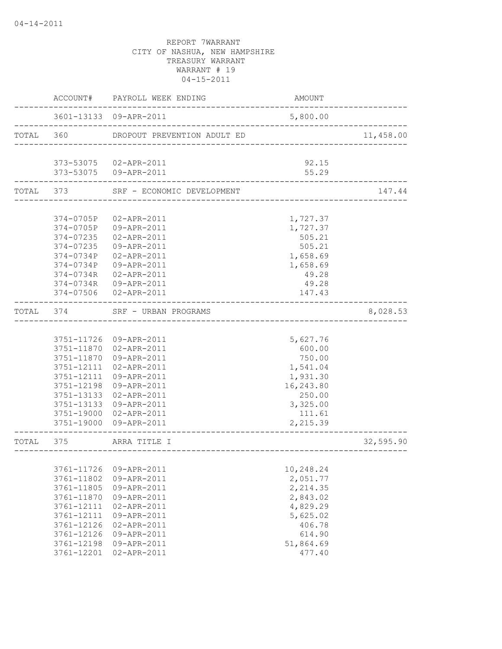|           |            | ACCOUNT# PAYROLL WEEK ENDING | AMOUNT               |           |
|-----------|------------|------------------------------|----------------------|-----------|
|           |            | 3601-13133 09-APR-2011       | 5,800.00             |           |
| TOTAL 360 |            | DROPOUT PREVENTION ADULT ED  |                      | 11,458.00 |
|           |            | 373-53075 02-APR-2011        | 92.15                |           |
|           |            | 373-53075 09-APR-2011        | 55.29                |           |
| TOTAL     | 373        | SRF - ECONOMIC DEVELOPMENT   |                      | 147.44    |
|           |            |                              |                      |           |
|           | 374-0705P  | 02-APR-2011                  | 1,727.37             |           |
|           |            | 374-0705P 09-APR-2011        | 1,727.37             |           |
|           | 374-07235  | 02-APR-2011                  | 505.21               |           |
|           | 374-07235  | 09-APR-2011                  | 505.21               |           |
|           | 374-0734P  | 02-APR-2011                  | 1,658.69             |           |
|           | 374-0734P  | 09-APR-2011                  | 1,658.69             |           |
|           | 374-0734R  | 02-APR-2011                  | 49.28                |           |
|           | 374-0734R  | 09-APR-2011                  | 49.28                |           |
|           | 374-07506  | 02-APR-2011                  | 147.43               |           |
| TOTAL     | 374        | SRF - URBAN PROGRAMS         | ____________________ | 8,028.53  |
|           |            |                              |                      |           |
|           |            | 3751-11726 09-APR-2011       | 5,627.76             |           |
|           |            | 3751-11870 02-APR-2011       | 600.00               |           |
|           |            | 3751-11870 09-APR-2011       | 750.00               |           |
|           |            | 3751-12111 02-APR-2011       | 1,541.04             |           |
|           | 3751-12111 | 09-APR-2011                  | 1,931.30             |           |
|           | 3751-12198 | 09-APR-2011                  | 16,243.80            |           |
|           | 3751-13133 | 02-APR-2011                  | 250.00               |           |
|           | 3751-13133 | 09-APR-2011                  | 3,325.00             |           |
|           | 3751-19000 | 02-APR-2011                  | 111.61               |           |
|           |            | 3751-19000 09-APR-2011       | 2,215.39             |           |
| TOTAL     | 375        | ARRA TITLE I                 |                      | 32,595.90 |
|           |            |                              |                      |           |
|           |            |                              |                      |           |
|           | 3761-11726 | 09-APR-2011                  | 10,248.24            |           |
|           | 3761-11802 | 09-APR-2011                  | 2,051.77             |           |
|           | 3761-11805 | 09-APR-2011                  | 2,214.35             |           |
|           | 3761-11870 | 09-APR-2011                  | 2,843.02             |           |
|           | 3761-12111 | 02-APR-2011                  | 4,829.29             |           |
|           | 3761-12111 | 09-APR-2011                  | 5,625.02             |           |
|           | 3761-12126 | 02-APR-2011                  | 406.78               |           |
|           | 3761-12126 | 09-APR-2011                  | 614.90               |           |
|           | 3761-12198 | 09-APR-2011                  | 51,864.69            |           |
|           | 3761-12201 | 02-APR-2011                  | 477.40               |           |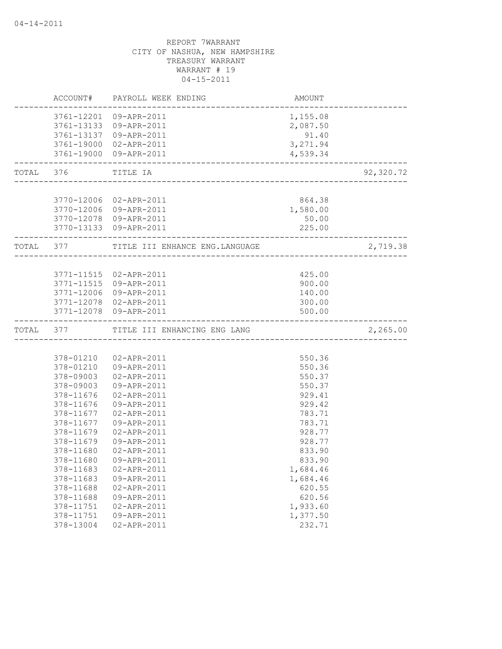|           |                                                                                                                                | ACCOUNT# PAYROLL WEEK ENDING                                                                                                                       | AMOUNT                                                                                                   |           |
|-----------|--------------------------------------------------------------------------------------------------------------------------------|----------------------------------------------------------------------------------------------------------------------------------------------------|----------------------------------------------------------------------------------------------------------|-----------|
|           |                                                                                                                                | 3761-12201 09-APR-2011<br>3761-13133 09-APR-2011<br>3761-13137 09-APR-2011<br>3761-19000 02-APR-2011<br>3761-19000 09-APR-2011                     | 1,155.08<br>2,087.50<br>91.40<br>3,271.94<br>4,539.34                                                    |           |
| TOTAL 376 |                                                                                                                                | TITLE IA                                                                                                                                           |                                                                                                          | 92,320.72 |
|           |                                                                                                                                |                                                                                                                                                    |                                                                                                          |           |
|           |                                                                                                                                | 3770-12006 02-APR-2011<br>3770-12006 09-APR-2011<br>3770-12078 09-APR-2011<br>3770-13133 09-APR-2011                                               | 864.38<br>1,580.00<br>50.00<br>225.00                                                                    |           |
| TOTAL 377 |                                                                                                                                | TITLE III ENHANCE ENG. LANGUAGE                                                                                                                    |                                                                                                          | 2,719.38  |
|           | 3771-11515                                                                                                                     | 3771-11515 02-APR-2011<br>09-APR-2011<br>3771-12006 09-APR-2011<br>3771-12078 02-APR-2011<br>3771-12078 09-APR-2011                                | 425.00<br>900.00<br>140.00<br>300.00<br>500.00                                                           |           |
| TOTAL     | 377                                                                                                                            | TITLE III ENHANCING ENG LANG                                                                                                                       |                                                                                                          | 2,265.00  |
|           |                                                                                                                                |                                                                                                                                                    |                                                                                                          |           |
|           | 378-01210<br>378-01210<br>378-09003<br>378-09003<br>378-11676<br>378-11676<br>378-11677<br>378-11677<br>378-11679              | 02-APR-2011<br>09-APR-2011<br>02-APR-2011<br>09-APR-2011<br>02-APR-2011<br>09-APR-2011<br>02-APR-2011<br>09-APR-2011<br>02-APR-2011                | 550.36<br>550.36<br>550.37<br>550.37<br>929.41<br>929.42<br>783.71<br>783.71<br>928.77                   |           |
|           | 378-11679<br>378-11680<br>378-11680<br>378-11683<br>378-11683<br>378-11688<br>378-11688<br>378-11751<br>378-11751<br>378-13004 | 09-APR-2011<br>02-APR-2011<br>09-APR-2011<br>02-APR-2011<br>09-APR-2011<br>02-APR-2011<br>09-APR-2011<br>02-APR-2011<br>09-APR-2011<br>02-APR-2011 | 928.77<br>833.90<br>833.90<br>1,684.46<br>1,684.46<br>620.55<br>620.56<br>1,933.60<br>1,377.50<br>232.71 |           |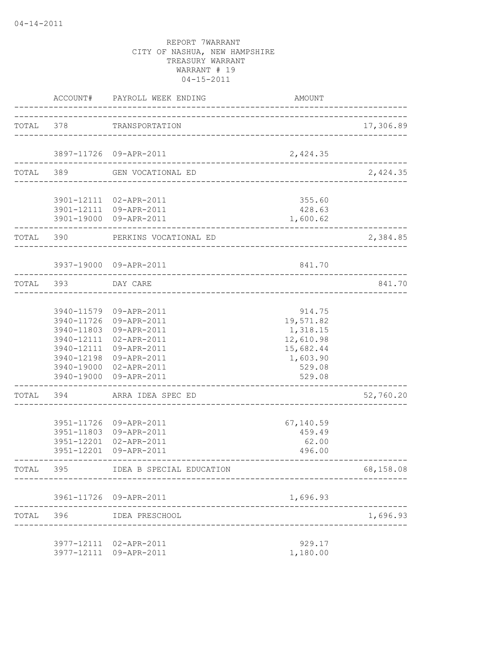|           | ACCOUNT#                                             | PAYROLL WEEK ENDING                                                                                                                                                                                          | AMOUNT                                                                                    |           |
|-----------|------------------------------------------------------|--------------------------------------------------------------------------------------------------------------------------------------------------------------------------------------------------------------|-------------------------------------------------------------------------------------------|-----------|
| TOTAL     | 378                                                  | TRANSPORTATION                                                                                                                                                                                               | -------------------------------------                                                     | 17,306.89 |
|           |                                                      | 3897-11726 09-APR-2011                                                                                                                                                                                       | 2,424.35                                                                                  |           |
| TOTAL     | 389                                                  | GEN VOCATIONAL ED                                                                                                                                                                                            |                                                                                           | 2,424.35  |
|           |                                                      | 3901-12111 02-APR-2011<br>3901-12111 09-APR-2011<br>3901-19000 09-APR-2011                                                                                                                                   | 355.60<br>428.63<br>1,600.62                                                              |           |
| TOTAL 390 |                                                      | PERKINS VOCATIONAL ED                                                                                                                                                                                        |                                                                                           | 2,384.85  |
|           |                                                      | 3937-19000 09-APR-2011                                                                                                                                                                                       | 841.70                                                                                    |           |
| TOTAL 393 |                                                      | DAY CARE<br>__________________________________                                                                                                                                                               |                                                                                           | 841.70    |
|           |                                                      | 3940-11579 09-APR-2011<br>3940-11726 09-APR-2011<br>3940-11803 09-APR-2011<br>3940-12111 02-APR-2011<br>3940-12111 09-APR-2011<br>3940-12198 09-APR-2011<br>3940-19000 02-APR-2011<br>3940-19000 09-APR-2011 | 914.75<br>19,571.82<br>1,318.15<br>12,610.98<br>15,682.44<br>1,603.90<br>529.08<br>529.08 |           |
| TOTAL     | 394                                                  | ARRA IDEA SPEC ED                                                                                                                                                                                            |                                                                                           | 52,760.20 |
|           | 3951-11726<br>3951-11803<br>3951-12201<br>3951-12201 | 09-APR-2011<br>09-APR-2011<br>02-APR-2011<br>09-APR-2011                                                                                                                                                     | 67,140.59<br>459.49<br>62.00<br>496.00                                                    |           |
| TOTAL     | 395                                                  | IDEA B SPECIAL EDUCATION                                                                                                                                                                                     |                                                                                           | 68,158.08 |
|           |                                                      | 3961-11726 09-APR-2011                                                                                                                                                                                       | 1,696.93                                                                                  |           |
| TOTAL     | 396                                                  | IDEA PRESCHOOL                                                                                                                                                                                               |                                                                                           | 1,696.93  |
|           |                                                      | 3977-12111 02-APR-2011<br>3977-12111 09-APR-2011                                                                                                                                                             | 929.17<br>1,180.00                                                                        |           |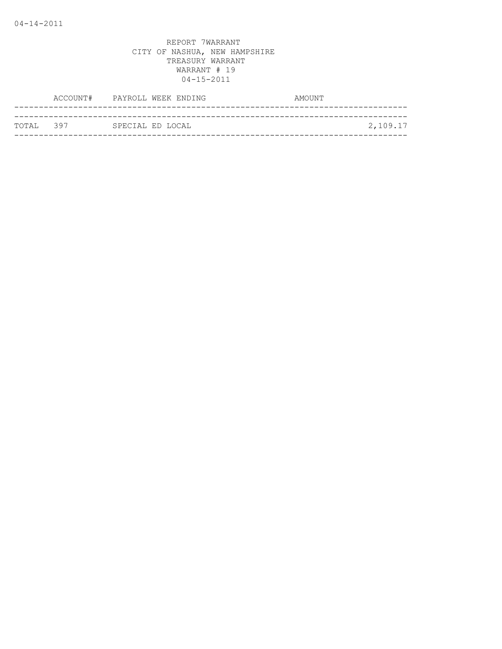|            | ACCOUNT# PAYROLL WEEK ENDING | AMOUNT |          |
|------------|------------------------------|--------|----------|
|            |                              |        |          |
| ТОТАТ. 397 | SPECIAL ED LOCAL             |        | 2,109.17 |
|            |                              |        |          |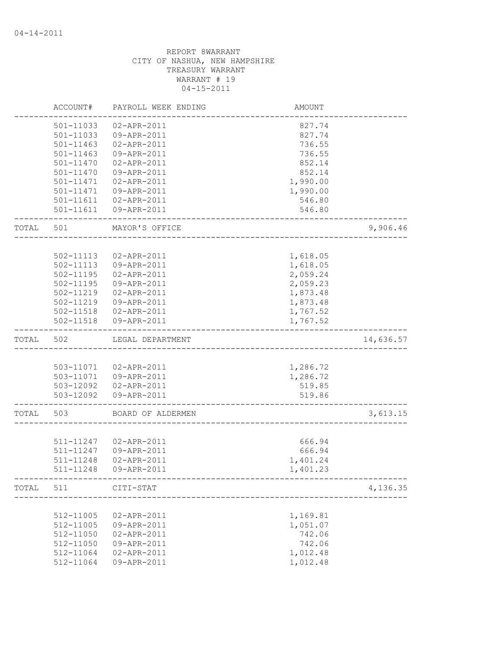|       | ACCOUNT#      | PAYROLL WEEK ENDING    | <b>AMOUNT</b> |           |
|-------|---------------|------------------------|---------------|-----------|
|       | 501-11033     | 02-APR-2011            | 827.74        |           |
|       | 501-11033     | 09-APR-2011            | 827.74        |           |
|       | 501-11463     | 02-APR-2011            | 736.55        |           |
|       | $501 - 11463$ | 09-APR-2011            | 736.55        |           |
|       | 501-11470     | 02-APR-2011            | 852.14        |           |
|       | 501-11470     | 09-APR-2011            | 852.14        |           |
|       | 501-11471     | 02-APR-2011            | 1,990.00      |           |
|       | 501-11471     | 09-APR-2011            | 1,990.00      |           |
|       | 501-11611     | 02-APR-2011            | 546.80        |           |
|       | 501-11611     | 09-APR-2011            | 546.80        |           |
| TOTAL | 501           | MAYOR'S OFFICE         |               | 9,906.46  |
|       |               |                        |               |           |
|       | 502-11113     | 02-APR-2011            | 1,618.05      |           |
|       | 502-11113     | 09-APR-2011            | 1,618.05      |           |
|       | 502-11195     | 02-APR-2011            | 2,059.24      |           |
|       | 502-11195     | 09-APR-2011            | 2,059.23      |           |
|       | 502-11219     | 02-APR-2011            | 1,873.48      |           |
|       | 502-11219     | 09-APR-2011            | 1,873.48      |           |
|       |               | 502-11518  02-APR-2011 | 1,767.52      |           |
|       | 502-11518     | 09-APR-2011            | 1,767.52      |           |
| TOTAL | 502           | LEGAL DEPARTMENT       |               | 14,636.57 |
|       |               |                        |               |           |
|       |               | 503-11071  02-APR-2011 | 1,286.72      |           |
|       |               | 503-11071  09-APR-2011 | 1,286.72      |           |
|       |               | 503-12092  02-APR-2011 | 519.85        |           |
|       |               | 503-12092  09-APR-2011 | 519.86        |           |
| TOTAL | 503           | BOARD OF ALDERMEN      |               | 3,613.15  |
|       |               |                        |               |           |
|       | 511-11247     | 02-APR-2011            | 666.94        |           |
|       | 511-11247     | 09-APR-2011            | 666.94        |           |
|       | 511-11248     | 02-APR-2011            | 1,401.24      |           |
|       | 511-11248     | 09-APR-2011            | 1,401.23      |           |
| TOTAL | 511           | CITI-STAT              |               | 4,136.35  |
|       |               |                        |               |           |
|       | 512-11005     | 02-APR-2011            | 1,169.81      |           |
|       | 512-11005     | 09-APR-2011            | 1,051.07      |           |
|       | 512-11050     | 02-APR-2011            | 742.06        |           |
|       | 512-11050     | 09-APR-2011            | 742.06        |           |
|       | 512-11064     | 02-APR-2011            | 1,012.48      |           |
|       | 512-11064     | 09-APR-2011            | 1,012.48      |           |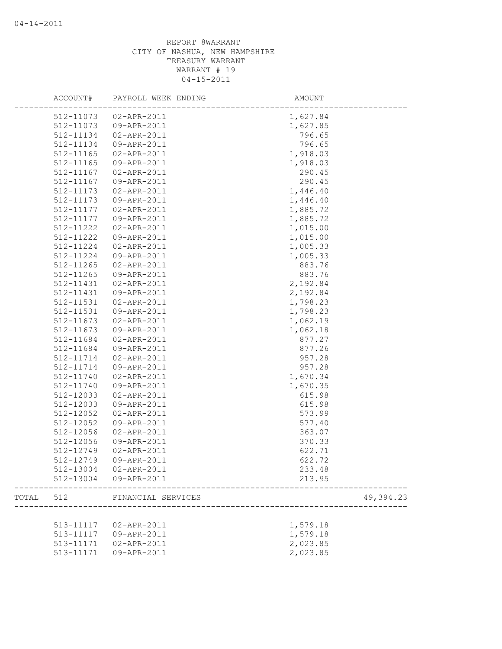|       | ACCOUNT#      | PAYROLL WEEK ENDING   | AMOUNT     |
|-------|---------------|-----------------------|------------|
|       |               | 512-11073 02-APR-2011 | 1,627.84   |
|       | 512-11073     | 09-APR-2011           | 1,627.85   |
|       | 512-11134     | 02-APR-2011           | 796.65     |
|       | 512-11134     | 09-APR-2011           | 796.65     |
|       | 512-11165     | 02-APR-2011           | 1,918.03   |
|       | 512-11165     | 09-APR-2011           | 1,918.03   |
|       | 512-11167     | 02-APR-2011           | 290.45     |
|       | 512-11167     | 09-APR-2011           | 290.45     |
|       | 512-11173     | 02-APR-2011           | 1,446.40   |
|       | 512-11173     | 09-APR-2011           | 1,446.40   |
|       | 512-11177     | 02-APR-2011           | 1,885.72   |
|       | 512-11177     | 09-APR-2011           | 1,885.72   |
|       | 512-11222     | 02-APR-2011           | 1,015.00   |
|       | 512-11222     | 09-APR-2011           | 1,015.00   |
|       | 512-11224     | 02-APR-2011           | 1,005.33   |
|       | 512-11224     | 09-APR-2011           | 1,005.33   |
|       | $512 - 11265$ | 02-APR-2011           | 883.76     |
|       | $512 - 11265$ | 09-APR-2011           | 883.76     |
|       | 512-11431     | 02-APR-2011           | 2,192.84   |
|       | 512-11431     | 09-APR-2011           | 2,192.84   |
|       | 512-11531     | 02-APR-2011           | 1,798.23   |
|       | 512-11531     | 09-APR-2011           | 1,798.23   |
|       | 512-11673     | 02-APR-2011           | 1,062.19   |
|       | 512-11673     | 09-APR-2011           | 1,062.18   |
|       | 512-11684     | 02-APR-2011           | 877.27     |
|       | 512-11684     | 09-APR-2011           | 877.26     |
|       | 512-11714     | 02-APR-2011           | 957.28     |
|       | 512-11714     | 09-APR-2011           | 957.28     |
|       | 512-11740     | 02-APR-2011           | 1,670.34   |
|       | 512-11740     | 09-APR-2011           | 1,670.35   |
|       | 512-12033     | 02-APR-2011           | 615.98     |
|       | 512-12033     | 09-APR-2011           | 615.98     |
|       | 512-12052     | 02-APR-2011           | 573.99     |
|       | 512-12052     | 09-APR-2011           | 577.40     |
|       | 512-12056     | 02-APR-2011           | 363.07     |
|       | 512-12056     | 09-APR-2011           | 370.33     |
|       | 512-12749     | 02-APR-2011           | 622.71     |
|       | 512-12749     | 09-APR-2011           | 622.72     |
|       |               | 512-13004 02-APR-2011 | 233.48     |
|       |               | 512-13004 09-APR-2011 | 213.95     |
| TOTAL | 512           | FINANCIAL SERVICES    | 49, 394.23 |
|       |               |                       |            |
|       | 513-11117     | 02-APR-2011           | 1,579.18   |
|       | 513-11117     | 09-APR-2011           | 1,579.18   |
|       | 513-11171     | 02-APR-2011           | 2,023.85   |
|       | 513-11171     | 09-APR-2011           | 2,023.85   |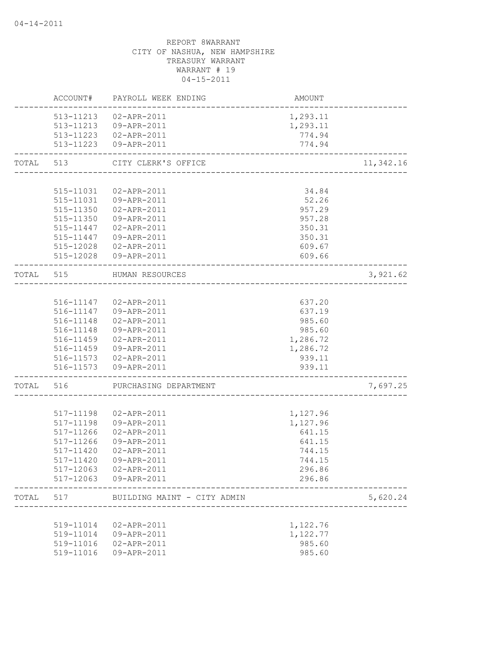|           | ACCOUNT#      | PAYROLL WEEK ENDING                            | AMOUNT   |           |
|-----------|---------------|------------------------------------------------|----------|-----------|
|           |               | 513-11213  02-APR-2011                         | 1,293.11 |           |
|           |               | 513-11213  09-APR-2011                         | 1,293.11 |           |
|           |               | 513-11223  02-APR-2011                         | 774.94   |           |
|           |               | 513-11223  09-APR-2011                         | 774.94   |           |
| TOTAL     | 513           | CITY CLERK'S OFFICE<br>_______________________ |          | 11,342.16 |
|           |               |                                                |          |           |
|           | 515-11031     | 02-APR-2011                                    | 34.84    |           |
|           |               | 515-11031  09-APR-2011                         | 52.26    |           |
|           | 515-11350     | 02-APR-2011                                    | 957.29   |           |
|           | 515-11350     | 09-APR-2011                                    | 957.28   |           |
|           | 515-11447     | 02-APR-2011                                    | 350.31   |           |
|           | 515-11447     | 09-APR-2011                                    | 350.31   |           |
|           | 515-12028     | 02-APR-2011                                    | 609.67   |           |
|           |               | 515-12028 09-APR-2011                          | 609.66   |           |
| TOTAL 515 |               | HUMAN RESOURCES<br>___________________________ |          | 3,921.62  |
|           |               |                                                |          |           |
|           | 516-11147     | 02-APR-2011                                    | 637.20   |           |
|           |               | 516-11147 09-APR-2011                          | 637.19   |           |
|           | 516-11148     | 02-APR-2011                                    | 985.60   |           |
|           | 516-11148     | 09-APR-2011                                    | 985.60   |           |
|           | 516-11459     | 02-APR-2011                                    | 1,286.72 |           |
|           |               | 516-11459 09-APR-2011                          | 1,286.72 |           |
|           |               | 516-11573 02-APR-2011                          | 939.11   |           |
|           |               | 516-11573  09-APR-2011                         | 939.11   |           |
| TOTAL     | 516           | PURCHASING DEPARTMENT                          |          | 7,697.25  |
|           |               |                                                |          |           |
|           | 517-11198     | 02-APR-2011                                    | 1,127.96 |           |
|           | 517-11198     | 09-APR-2011                                    | 1,127.96 |           |
|           | $517 - 11266$ | 02-APR-2011                                    | 641.15   |           |
|           | 517-11266     | 09-APR-2011                                    | 641.15   |           |
|           | 517-11420     | 02-APR-2011                                    | 744.15   |           |
|           | 517-11420     | 09-APR-2011                                    | 744.15   |           |
|           | 517-12063     | 02-APR-2011                                    | 296.86   |           |
|           |               | 517-12063 09-APR-2011                          | 296.86   |           |
| TOTAL     | 517           | BUILDING MAINT - CITY ADMIN                    |          | 5,620.24  |
|           |               |                                                |          |           |
|           | 519-11014     | 02-APR-2011                                    | 1,122.76 |           |
|           | 519-11014     | 09-APR-2011                                    | 1,122.77 |           |
|           | 519-11016     | 02-APR-2011                                    | 985.60   |           |
|           | 519-11016     | 09-APR-2011                                    | 985.60   |           |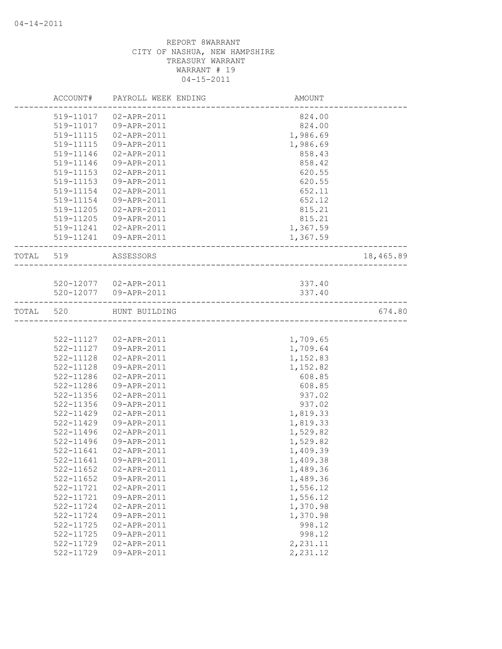|           |                        | ACCOUNT# PAYROLL WEEK ENDING | AMOUNT               |           |
|-----------|------------------------|------------------------------|----------------------|-----------|
|           | 519-11017              | 02-APR-2011                  | 824.00               |           |
|           | 519-11017              | 09-APR-2011                  | 824.00               |           |
|           | 519-11115              | 02-APR-2011                  | 1,986.69             |           |
|           | 519-11115              | 09-APR-2011                  | 1,986.69             |           |
|           | 519-11146              | 02-APR-2011                  | 858.43               |           |
|           | 519-11146              | 09-APR-2011                  | 858.42               |           |
|           | 519-11153              | 02-APR-2011                  | 620.55               |           |
|           | 519-11153              | 09-APR-2011                  | 620.55               |           |
|           | 519-11154              | 02-APR-2011                  | 652.11               |           |
|           | 519-11154              | 09-APR-2011                  | 652.12               |           |
|           | 519-11205              | 02-APR-2011                  | 815.21               |           |
|           | 519-11205              | 09-APR-2011                  | 815.21               |           |
|           |                        | 519-11241  02-APR-2011       | 1,367.59             |           |
|           |                        | 519-11241  09-APR-2011       | 1,367.59             |           |
| TOTAL 519 |                        | ASSESSORS                    |                      | 18,465.89 |
|           |                        |                              |                      |           |
|           |                        | 520-12077  02-APR-2011       | 337.40               |           |
|           |                        | 520-12077 09-APR-2011        | 337.40               |           |
| TOTAL     | 520                    | HUNT BUILDING                |                      | 674.80    |
|           |                        |                              |                      |           |
|           |                        | 522-11127 02-APR-2011        | 1,709.65             |           |
|           | 522-11127              | 09-APR-2011                  | 1,709.64             |           |
|           | 522-11128              | 02-APR-2011                  | 1,152.83             |           |
|           | 522-11128              | 09-APR-2011                  | 1,152.82             |           |
|           | 522-11286              | 02-APR-2011                  | 608.85               |           |
|           | 522-11286              | 09-APR-2011                  | 608.85               |           |
|           | 522-11356              | 02-APR-2011                  | 937.02               |           |
|           | 522-11356              | 09-APR-2011                  | 937.02               |           |
|           | 522-11429              | 02-APR-2011                  | 1,819.33             |           |
|           | 522-11429              | 09-APR-2011                  | 1,819.33             |           |
|           | 522-11496              | 02-APR-2011                  | 1,529.82             |           |
|           | 522-11496              | 09-APR-2011                  | 1,529.82             |           |
|           | 522-11641              | 02-APR-2011                  | 1,409.39             |           |
|           |                        |                              | 1,409.38             |           |
|           | 522-11652              | 02-APR-2011                  | 1,489.36             |           |
|           | $522 - 11652$          | 09-APR-2011                  | 1,489.36             |           |
|           | 522-11721              | 02-APR-2011                  | 1,556.12             |           |
|           | 522-11721              | 09-APR-2011                  | 1,556.12             |           |
|           | 522-11724              | 02-APR-2011                  | 1,370.98             |           |
|           | 522-11724              | 09-APR-2011                  | 1,370.98             |           |
|           | 522-11725              | 02-APR-2011                  | 998.12               |           |
|           | 522-11725              | 09-APR-2011                  | 998.12               |           |
|           | 522-11729<br>522-11729 | $02 - APR - 2011$            | 2,231.11<br>2,231.12 |           |
|           |                        | 09-APR-2011                  |                      |           |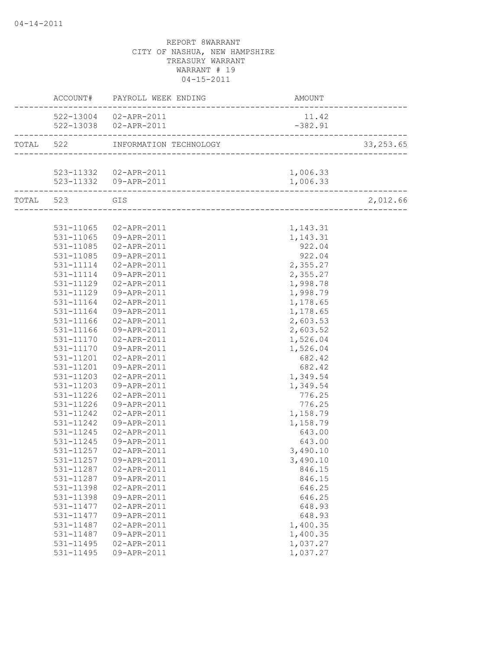|                   | ACCOUNT# PAYROLL WEEK ENDING | <b>AMOUNT</b> |            |
|-------------------|------------------------------|---------------|------------|
|                   | 522-13004 02-APR-2011        | 11.42         |            |
|                   | 522-13038  02-APR-2011       | $-382.91$     |            |
|                   |                              |               | 33, 253.65 |
|                   |                              |               |            |
|                   | 523-11332 02-APR-2011        | 1,006.33      |            |
| ----------------- | 523-11332  09-APR-2011       | 1,006.33      |            |
| TOTAL 523 GIS     |                              |               | 2,012.66   |
|                   |                              |               |            |
|                   | 531-11065 02-APR-2011        | 1,143.31      |            |
|                   | 531-11065 09-APR-2011        | 1,143.31      |            |
| 531-11085         | 02-APR-2011                  | 922.04        |            |
| 531-11085         | 09-APR-2011                  | 922.04        |            |
| 531-11114         | 02-APR-2011                  | 2,355.27      |            |
| 531-11114         | 09-APR-2011                  | 2,355.27      |            |
| 531-11129         | 02-APR-2011                  | 1,998.78      |            |
| 531-11129         | 09-APR-2011                  | 1,998.79      |            |
| 531-11164         | 02-APR-2011                  | 1,178.65      |            |
| 531-11164         | 09-APR-2011                  | 1,178.65      |            |
| 531-11166         | 02-APR-2011                  | 2,603.53      |            |
| 531-11166         | 09-APR-2011                  | 2,603.52      |            |
| 531-11170         | 02-APR-2011                  | 1,526.04      |            |
| 531-11170         | 09-APR-2011                  | 1,526.04      |            |
| 531-11201         | 02-APR-2011                  | 682.42        |            |
|                   | 531-11201  09-APR-2011       | 682.42        |            |
| 531-11203         | 02-APR-2011                  | 1,349.54      |            |
| 531-11203         | 09-APR-2011                  | 1,349.54      |            |
| 531-11226         | 02-APR-2011                  | 776.25        |            |
| 531-11226         | 09-APR-2011                  | 776.25        |            |
| 531-11242         | 02-APR-2011                  | 1,158.79      |            |
| 531-11242         | 09-APR-2011                  | 1,158.79      |            |
| 531-11245         | 02-APR-2011                  | 643.00        |            |
| 531-11245         | 09-APR-2011                  | 643.00        |            |
| 531-11257         | 02-APR-2011                  | 3,490.10      |            |
|                   | 531-11257 09-APR-2011        | 3,490.10      |            |
| 531-11287         | 02-APR-2011                  | 846.15        |            |
| 531-11287         | 09-APR-2011                  | 846.15        |            |
| 531-11398         | 02-APR-2011                  | 646.25        |            |
| 531-11398         | 09-APR-2011                  | 646.25        |            |
| 531-11477         | 02-APR-2011                  | 648.93        |            |
| 531-11477         | 09-APR-2011                  | 648.93        |            |
| 531-11487         | 02-APR-2011                  | 1,400.35      |            |
| 531-11487         | 09-APR-2011                  | 1,400.35      |            |
| 531-11495         | 02-APR-2011                  | 1,037.27      |            |
| 531-11495         | 09-APR-2011                  | 1,037.27      |            |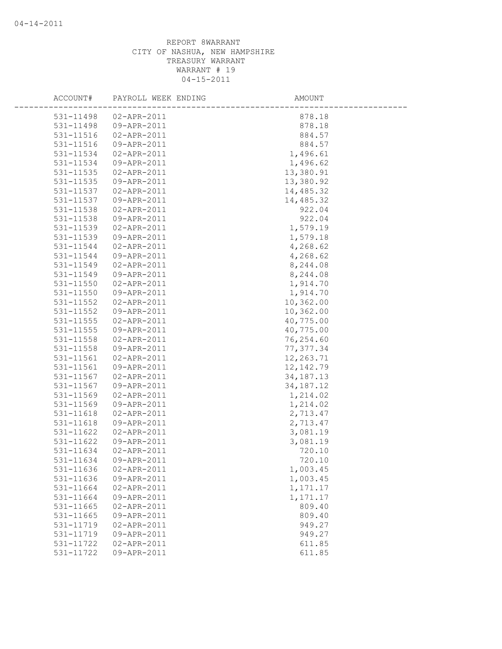| ACCOUNT#               | PAYROLL WEEK ENDING        | AMOUNT             |
|------------------------|----------------------------|--------------------|
| 531-11498              | $02 - APR - 2011$          | 878.18             |
| 531-11498              | 09-APR-2011                | 878.18             |
| 531-11516              | 02-APR-2011                | 884.57             |
| 531-11516              | 09-APR-2011                | 884.57             |
| 531-11534              | 02-APR-2011                | 1,496.61           |
| 531-11534              | 09-APR-2011                | 1,496.62           |
| 531-11535              | 02-APR-2011                | 13,380.91          |
| 531-11535              | 09-APR-2011                | 13,380.92          |
| 531-11537              | 02-APR-2011                | 14,485.32          |
| 531-11537              | 09-APR-2011                | 14,485.32          |
| 531-11538              | 02-APR-2011                | 922.04             |
| 531-11538              | 09-APR-2011                | 922.04             |
| 531-11539              | 02-APR-2011                | 1,579.19           |
| 531-11539              | 09-APR-2011                | 1,579.18           |
| 531-11544              | 02-APR-2011                | 4,268.62           |
| 531-11544              | 09-APR-2011                | 4,268.62           |
| 531-11549              | 02-APR-2011                | 8,244.08           |
| 531-11549              | 09-APR-2011                | 8,244.08           |
| 531-11550              | 02-APR-2011                | 1,914.70           |
| 531-11550              | 09-APR-2011                | 1,914.70           |
| 531-11552              | 02-APR-2011                | 10,362.00          |
| 531-11552              | 09-APR-2011                | 10,362.00          |
| 531-11555              | 02-APR-2011                | 40,775.00          |
| $531 - 11555$          | 09-APR-2011                | 40,775.00          |
| 531-11558              | 02-APR-2011                | 76,254.60          |
| 531-11558              | 09-APR-2011                | 77, 377.34         |
| 531-11561              | 02-APR-2011                | 12,263.71          |
| 531-11561              | 09-APR-2011                | 12, 142.79         |
| 531-11567              | 02-APR-2011                | 34, 187. 13        |
| 531-11567              | 09-APR-2011                | 34, 187. 12        |
| 531-11569              | 02-APR-2011                | 1,214.02           |
| 531-11569              | 09-APR-2011                | 1,214.02           |
| 531-11618              | 02-APR-2011                | 2,713.47           |
| 531-11618              | 09-APR-2011                | 2,713.47           |
| 531-11622              | 02-APR-2011                | 3,081.19           |
| 531-11622              | 09-APR-2011                | 3,081.19           |
| 531-11634              | 02-APR-2011                | 720.10             |
| 531-11634              | 09-APR-2011                | 720.10             |
| 531-11636              | 02-APR-2011                | 1,003.45           |
| 531-11636              | 09-APR-2011                | 1,003.45           |
| 531-11664              | 02-APR-2011                | 1,171.17           |
| 531-11664<br>531-11665 | 09-APR-2011<br>02-APR-2011 | 1,171.17<br>809.40 |
| 531-11665              | 09-APR-2011                | 809.40             |
| 531-11719              | 02-APR-2011                | 949.27             |
| 531-11719              | 09-APR-2011                | 949.27             |
| 531-11722              | 02-APR-2011                | 611.85             |
| 531-11722              | 09-APR-2011                | 611.85             |
|                        |                            |                    |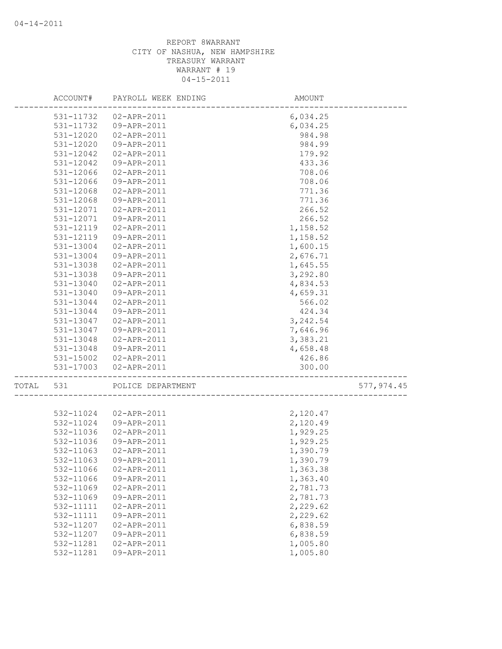|       |           | ACCOUNT# PAYROLL WEEK ENDING | AMOUNT   |            |
|-------|-----------|------------------------------|----------|------------|
|       |           | 531-11732 02-APR-2011        | 6,034.25 |            |
|       | 531-11732 | 09-APR-2011                  | 6,034.25 |            |
|       | 531-12020 | 02-APR-2011                  | 984.98   |            |
|       | 531-12020 | 09-APR-2011                  | 984.99   |            |
|       | 531-12042 | 02-APR-2011                  | 179.92   |            |
|       | 531-12042 | 09-APR-2011                  | 433.36   |            |
|       | 531-12066 | 02-APR-2011                  | 708.06   |            |
|       | 531-12066 | 09-APR-2011                  | 708.06   |            |
|       | 531-12068 | 02-APR-2011                  | 771.36   |            |
|       | 531-12068 | 09-APR-2011                  | 771.36   |            |
|       | 531-12071 | 02-APR-2011                  | 266.52   |            |
|       | 531-12071 | 09-APR-2011                  | 266.52   |            |
|       | 531-12119 | 02-APR-2011                  | 1,158.52 |            |
|       | 531-12119 | 09-APR-2011                  | 1,158.52 |            |
|       | 531-13004 | 02-APR-2011                  | 1,600.15 |            |
|       | 531-13004 | 09-APR-2011                  | 2,676.71 |            |
|       | 531-13038 | 02-APR-2011                  | 1,645.55 |            |
|       | 531-13038 | 09-APR-2011                  | 3,292.80 |            |
|       | 531-13040 | 02-APR-2011                  | 4,834.53 |            |
|       | 531-13040 | 09-APR-2011                  | 4,659.31 |            |
|       | 531-13044 | 02-APR-2011                  | 566.02   |            |
|       | 531-13044 | 09-APR-2011                  | 424.34   |            |
|       | 531-13047 | 02-APR-2011                  | 3,242.54 |            |
|       | 531-13047 | 09-APR-2011                  | 7,646.96 |            |
|       | 531-13048 | 02-APR-2011                  | 3,383.21 |            |
|       | 531-13048 | 09-APR-2011                  | 4,658.48 |            |
|       |           | 531-15002  02-APR-2011       | 426.86   |            |
|       |           | 531-17003 02-APR-2011        | 300.00   |            |
| TOTAL | 531       | POLICE DEPARTMENT            |          | 577,974.45 |
|       |           |                              |          |            |
|       | 532-11024 | 02-APR-2011                  | 2,120.47 |            |
|       | 532-11024 | 09-APR-2011                  | 2,120.49 |            |
|       | 532-11036 | 02-APR-2011                  | 1,929.25 |            |
|       | 532-11036 | 09-APR-2011                  | 1,929.25 |            |
|       | 532-11063 | 02-APR-2011                  | 1,390.79 |            |
|       | 532-11063 | 09-APR-2011                  | 1,390.79 |            |
|       | 532-11066 | 02-APR-2011                  | 1,363.38 |            |
|       | 532-11066 | 09-APR-2011                  | 1,363.40 |            |
|       | 532-11069 | 02-APR-2011                  | 2,781.73 |            |
|       | 532-11069 | 09-APR-2011                  | 2,781.73 |            |
|       | 532-11111 | 02-APR-2011                  | 2,229.62 |            |
|       | 532-11111 | 09-APR-2011                  | 2,229.62 |            |
|       | 532-11207 | 02-APR-2011                  | 6,838.59 |            |
|       | 532-11207 | 09-APR-2011                  | 6,838.59 |            |
|       | 532-11281 | 02-APR-2011                  | 1,005.80 |            |
|       | 532-11281 | 09-APR-2011                  | 1,005.80 |            |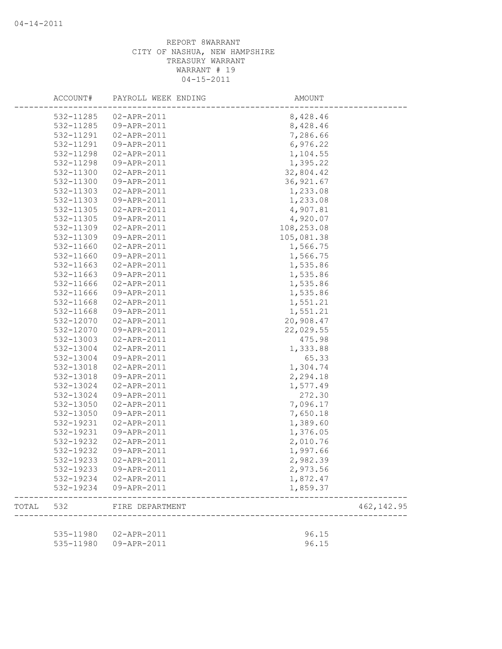|       | ACCOUNT#  | PAYROLL WEEK ENDING    | AMOUNT         |             |
|-------|-----------|------------------------|----------------|-------------|
|       | 532-11285 | 02-APR-2011            | 8,428.46       |             |
|       | 532-11285 | 09-APR-2011            | 8,428.46       |             |
|       | 532-11291 | 02-APR-2011            | 7,286.66       |             |
|       | 532-11291 | 09-APR-2011            | 6,976.22       |             |
|       | 532-11298 | 02-APR-2011            | 1,104.55       |             |
|       | 532-11298 | 09-APR-2011            | 1,395.22       |             |
|       | 532-11300 | 02-APR-2011            | 32,804.42      |             |
|       | 532-11300 | 09-APR-2011            | 36, 921.67     |             |
|       | 532-11303 | 02-APR-2011            | 1,233.08       |             |
|       | 532-11303 | 09-APR-2011            | 1,233.08       |             |
|       | 532-11305 | 02-APR-2011            | 4,907.81       |             |
|       | 532-11305 | 09-APR-2011            | 4,920.07       |             |
|       | 532-11309 | 02-APR-2011            | 108,253.08     |             |
|       | 532-11309 | 09-APR-2011            | 105,081.38     |             |
|       | 532-11660 | 02-APR-2011            | 1,566.75       |             |
|       | 532-11660 | 09-APR-2011            | 1,566.75       |             |
|       | 532-11663 | 02-APR-2011            | 1,535.86       |             |
|       | 532-11663 | 09-APR-2011            | 1,535.86       |             |
|       | 532-11666 | 02-APR-2011            | 1,535.86       |             |
|       | 532-11666 | 09-APR-2011            | 1,535.86       |             |
|       | 532-11668 | 02-APR-2011            | 1,551.21       |             |
|       | 532-11668 | 09-APR-2011            | 1,551.21       |             |
|       | 532-12070 | 02-APR-2011            | 20,908.47      |             |
|       | 532-12070 | 09-APR-2011            | 22,029.55      |             |
|       | 532-13003 | 02-APR-2011            | 475.98         |             |
|       | 532-13004 | 02-APR-2011            | 1,333.88       |             |
|       | 532-13004 | 09-APR-2011            | 65.33          |             |
|       | 532-13018 | 02-APR-2011            | 1,304.74       |             |
|       | 532-13018 | 09-APR-2011            | 2,294.18       |             |
|       | 532-13024 | 02-APR-2011            | 1,577.49       |             |
|       | 532-13024 | 09-APR-2011            | 272.30         |             |
|       | 532-13050 | 02-APR-2011            | 7,096.17       |             |
|       | 532-13050 | 09-APR-2011            | 7,650.18       |             |
|       | 532-19231 | 02-APR-2011            | 1,389.60       |             |
|       | 532-19231 | 09-APR-2011            | 1,376.05       |             |
|       | 532-19232 | 02-APR-2011            | 2,010.76       |             |
|       | 532-19232 | 09-APR-2011            | 1,997.66       |             |
|       | 532-19233 | 02-APR-2011            | 2,982.39       |             |
|       |           | 532-19233 09-APR-2011  | 2,973.56       |             |
|       |           | 532-19234 02-APR-2011  | 1,872.47       |             |
|       | 532-19234 | 09-APR-2011            | 1,859.37       |             |
| TOTAL | 532       | FIRE DEPARTMENT        |                | 462, 142.95 |
|       |           | 535-11980  02-APR-2011 |                |             |
|       |           |                        | 96.15<br>96.15 |             |
|       | 535-11980 | 09-APR-2011            |                |             |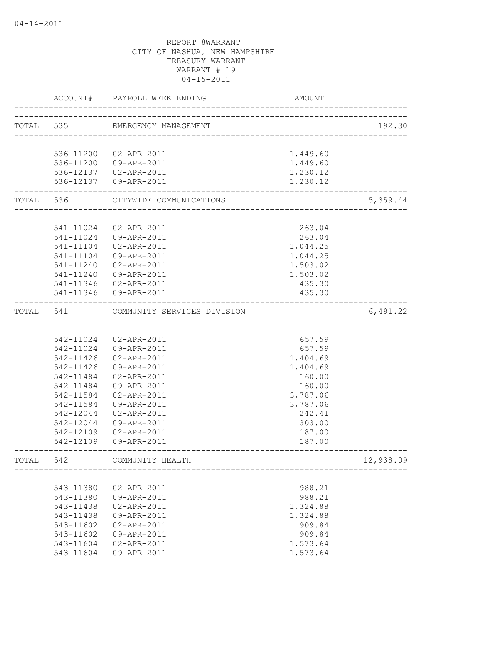|           |           | ACCOUNT# PAYROLL WEEK ENDING                     | AMOUNT               |           |
|-----------|-----------|--------------------------------------------------|----------------------|-----------|
| TOTAL 535 |           | EMERGENCY MANAGEMENT                             |                      | 192.30    |
|           |           |                                                  |                      |           |
|           |           | 536-11200 02-APR-2011                            | 1,449.60             |           |
|           |           |                                                  |                      |           |
|           |           | 536-11200 09-APR-2011                            | 1,449.60<br>1,230.12 |           |
|           |           | 536-12137  02-APR-2011<br>536-12137  09-APR-2011 | 1,230.12             |           |
|           |           |                                                  |                      |           |
|           |           | TOTAL 536 CITYWIDE COMMUNICATIONS                |                      | 5,359.44  |
|           |           |                                                  |                      |           |
|           | 541-11024 | 02-APR-2011                                      | 263.04               |           |
|           |           | 541-11024 09-APR-2011                            | 263.04               |           |
|           | 541-11104 | 02-APR-2011                                      | 1,044.25             |           |
|           | 541-11104 | 09-APR-2011                                      | 1,044.25             |           |
|           | 541-11240 | 02-APR-2011                                      | 1,503.02             |           |
|           |           | 541-11240 09-APR-2011                            | 1,503.02             |           |
|           |           | 541-11346 02-APR-2011                            | 435.30               |           |
|           |           | 541-11346 09-APR-2011                            | 435.30               |           |
| TOTAL 541 |           | COMMUNITY SERVICES DIVISION                      |                      | 6,491.22  |
|           |           |                                                  |                      |           |
|           |           | 542-11024 02-APR-2011                            | 657.59               |           |
|           |           | 542-11024 09-APR-2011                            | 657.59               |           |
|           |           | 542-11426  02-APR-2011                           | 1,404.69             |           |
|           | 542-11426 | 09-APR-2011                                      | 1,404.69             |           |
|           |           | 542-11484 02-APR-2011                            | 160.00               |           |
|           | 542-11484 | 09-APR-2011                                      | 160.00               |           |
|           | 542-11584 | 02-APR-2011                                      | 3,787.06             |           |
|           | 542-11584 | 09-APR-2011                                      | 3,787.06             |           |
|           | 542-12044 | 02-APR-2011                                      | 242.41               |           |
|           | 542-12044 | 09-APR-2011                                      | 303.00               |           |
|           | 542-12109 | 02-APR-2011                                      | 187.00               |           |
|           |           | 542-12109 09-APR-2011                            | 187.00               |           |
| TOTAL     | 542       | COMMUNITY HEALTH                                 |                      | 12,938.09 |
|           |           |                                                  |                      |           |
|           | 543-11380 | 02-APR-2011                                      | 988.21               |           |
|           | 543-11380 | 09-APR-2011                                      | 988.21               |           |
|           | 543-11438 | 02-APR-2011                                      | 1,324.88             |           |
|           | 543-11438 | 09-APR-2011                                      | 1,324.88             |           |
|           | 543-11602 | 02-APR-2011                                      | 909.84               |           |
|           | 543-11602 | 09-APR-2011                                      | 909.84               |           |
|           | 543-11604 | 02-APR-2011                                      | 1,573.64             |           |
|           | 543-11604 | 09-APR-2011                                      | 1,573.64             |           |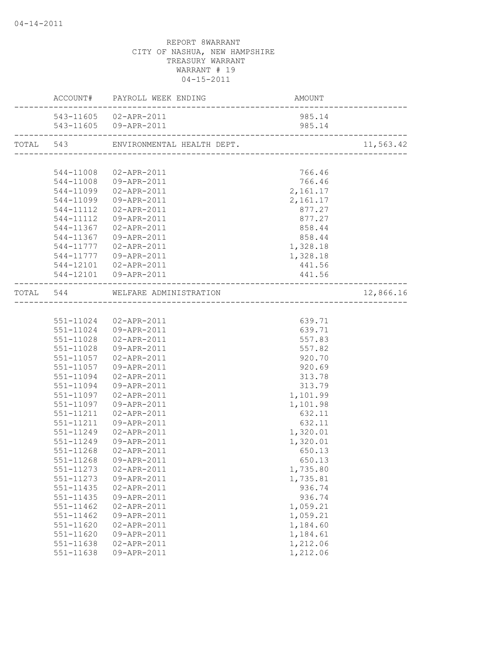|               | ACCOUNT# PAYROLL WEEK ENDING         | <b>AMOUNT</b> |           |
|---------------|--------------------------------------|---------------|-----------|
|               | 543-11605 02-APR-2011                | 985.14        |           |
|               |                                      |               |           |
|               | TOTAL 543 ENVIRONMENTAL HEALTH DEPT. |               | 11,563.42 |
|               |                                      |               |           |
| 544-11008     | 02-APR-2011                          | 766.46        |           |
|               | 544-11008 09-APR-2011                | 766.46        |           |
|               | 544-11099  02-APR-2011               | 2,161.17      |           |
| 544-11099     | 09-APR-2011                          | 2,161.17      |           |
|               | 544-11112  02-APR-2011               | 877.27        |           |
|               | 544-11112  09-APR-2011               | 877.27        |           |
|               | 544-11367 02-APR-2011                | 858.44        |           |
|               | 544-11367 09-APR-2011                | 858.44        |           |
|               | 544-11777  02-APR-2011               | 1,328.18      |           |
|               | 544-11777  09-APR-2011               | 1,328.18      |           |
|               | 544-12101  02-APR-2011               | 441.56        |           |
|               | 544-12101 09-APR-2011                | 441.56        |           |
|               | TOTAL 544 WELFARE ADMINISTRATION     |               | 12,866.16 |
|               |                                      |               |           |
|               | 551-11024 02-APR-2011                | 639.71        |           |
|               | 551-11024 09-APR-2011                | 639.71        |           |
| 551-11028     | 02-APR-2011                          | 557.83        |           |
| 551-11028     | 09-APR-2011                          | 557.82        |           |
| 551-11057     | 02-APR-2011                          | 920.70        |           |
| 551-11057     | 09-APR-2011                          | 920.69        |           |
| 551-11094     | 02-APR-2011                          | 313.78        |           |
| 551-11094     | 09-APR-2011                          | 313.79        |           |
| 551-11097     | 02-APR-2011                          | 1,101.99      |           |
| 551-11097     | 09-APR-2011                          | 1,101.98      |           |
| 551-11211     | 02-APR-2011                          | 632.11        |           |
| 551-11211     | 09-APR-2011                          | 632.11        |           |
| 551-11249     | 02-APR-2011                          | 1,320.01      |           |
| 551-11249     | 09-APR-2011                          | 1,320.01      |           |
| 551-11268     | 02-APR-2011                          | 650.13        |           |
|               | 551-11268 09-APR-2011                | 650.13        |           |
| 551-11273     | 02-APR-2011                          | 1,735.80      |           |
| $551 - 11273$ | 09-APR-2011                          | 1,735.81      |           |
| 551-11435     | 02-APR-2011                          | 936.74        |           |
| 551-11435     | 09-APR-2011                          | 936.74        |           |
| 551-11462     | 02-APR-2011                          | 1,059.21      |           |
| $551 - 11462$ | 09-APR-2011                          | 1,059.21      |           |
| 551-11620     | 02-APR-2011                          | 1,184.60      |           |
| 551-11620     | 09-APR-2011                          | 1,184.61      |           |
| 551-11638     | 02-APR-2011                          | 1,212.06      |           |
| 551-11638     | 09-APR-2011                          | 1,212.06      |           |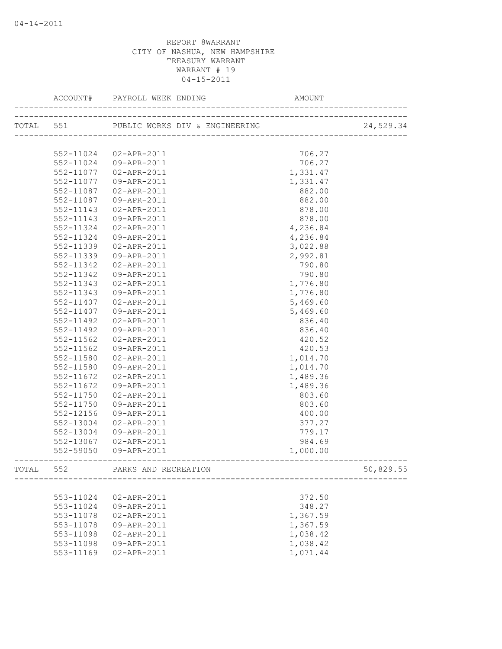|       | ACCOUNT#      | PAYROLL WEEK ENDING AND AN               | AMOUNT   |           |
|-------|---------------|------------------------------------------|----------|-----------|
|       |               | TOTAL 551 PUBLIC WORKS DIV & ENGINEERING |          | 24,529.34 |
|       |               |                                          |          |           |
|       | 552-11024     | 02-APR-2011                              | 706.27   |           |
|       | 552-11024     | 09-APR-2011                              | 706.27   |           |
|       | 552-11077     | 02-APR-2011                              | 1,331.47 |           |
|       | 552-11077     | 09-APR-2011                              | 1,331.47 |           |
|       | 552-11087     | 02-APR-2011                              | 882.00   |           |
|       | 552-11087     | 09-APR-2011                              | 882.00   |           |
|       | 552-11143     | 02-APR-2011                              | 878.00   |           |
|       | 552-11143     | 09-APR-2011                              | 878.00   |           |
|       | 552-11324     | 02-APR-2011                              | 4,236.84 |           |
|       | 552-11324     | 09-APR-2011                              | 4,236.84 |           |
|       | 552-11339     | 02-APR-2011                              | 3,022.88 |           |
|       | 552-11339     | 09-APR-2011                              | 2,992.81 |           |
|       | 552-11342     | 02-APR-2011                              | 790.80   |           |
|       | 552-11342     | 09-APR-2011                              | 790.80   |           |
|       | 552-11343     | 02-APR-2011                              | 1,776.80 |           |
|       | $552 - 11343$ | 09-APR-2011                              | 1,776.80 |           |
|       | 552-11407     | 02-APR-2011                              | 5,469.60 |           |
|       | 552-11407     | 09-APR-2011                              | 5,469.60 |           |
|       | 552-11492     | 02-APR-2011                              | 836.40   |           |
|       | 552-11492     | 09-APR-2011                              | 836.40   |           |
|       | 552-11562     | 02-APR-2011                              | 420.52   |           |
|       | 552-11562     | 09-APR-2011                              | 420.53   |           |
|       | 552-11580     | 02-APR-2011                              | 1,014.70 |           |
|       | 552-11580     | 09-APR-2011                              | 1,014.70 |           |
|       | 552-11672     | 02-APR-2011                              | 1,489.36 |           |
|       | 552-11672     | 09-APR-2011                              | 1,489.36 |           |
|       | 552-11750     | 02-APR-2011                              | 803.60   |           |
|       | 552-11750     | 09-APR-2011                              | 803.60   |           |
|       | 552-12156     | 09-APR-2011                              | 400.00   |           |
|       | 552-13004     | 02-APR-2011                              | 377.27   |           |
|       | 552-13004     | 09-APR-2011                              | 779.17   |           |
|       | 552-13067     | 02-APR-2011                              | 984.69   |           |
|       | 552-59050     | 09-APR-2011                              | 1,000.00 |           |
| TOTAL | 552           | PARKS AND RECREATION                     |          | 50,829.55 |
|       |               |                                          |          |           |
|       | 553-11024     | 02-APR-2011                              | 372.50   |           |
|       | 553-11024     | 09-APR-2011                              | 348.27   |           |
|       | 553-11078     | 02-APR-2011                              | 1,367.59 |           |
|       | 553-11078     | 09-APR-2011                              | 1,367.59 |           |
|       | 553-11098     | 02-APR-2011                              | 1,038.42 |           |
|       | 553-11098     | 09-APR-2011                              | 1,038.42 |           |
|       | 553-11169     | 02-APR-2011                              | 1,071.44 |           |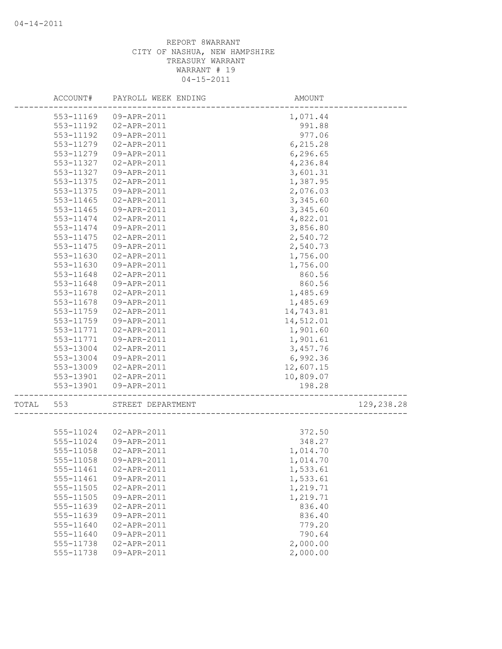|       | ACCOUNT#      | PAYROLL WEEK ENDING   | AMOUNT    |            |
|-------|---------------|-----------------------|-----------|------------|
|       | 553-11169     | 09-APR-2011           | 1,071.44  |            |
|       | 553-11192     | 02-APR-2011           | 991.88    |            |
|       | 553-11192     | 09-APR-2011           | 977.06    |            |
|       | 553-11279     | 02-APR-2011           | 6, 215.28 |            |
|       | 553-11279     | 09-APR-2011           | 6,296.65  |            |
|       | 553-11327     | 02-APR-2011           | 4,236.84  |            |
|       | 553-11327     | 09-APR-2011           | 3,601.31  |            |
|       | 553-11375     | 02-APR-2011           | 1,387.95  |            |
|       | 553-11375     | 09-APR-2011           | 2,076.03  |            |
|       | 553-11465     | 02-APR-2011           | 3,345.60  |            |
|       | 553-11465     | 09-APR-2011           | 3,345.60  |            |
|       | 553-11474     | 02-APR-2011           | 4,822.01  |            |
|       | 553-11474     | 09-APR-2011           | 3,856.80  |            |
|       | 553-11475     | 02-APR-2011           | 2,540.72  |            |
|       | 553-11475     | 09-APR-2011           | 2,540.73  |            |
|       | 553-11630     | 02-APR-2011           | 1,756.00  |            |
|       | 553-11630     | 09-APR-2011           | 1,756.00  |            |
|       | 553-11648     | 02-APR-2011           | 860.56    |            |
|       | 553-11648     | 09-APR-2011           | 860.56    |            |
|       | 553-11678     | 02-APR-2011           | 1,485.69  |            |
|       | 553-11678     | 09-APR-2011           | 1,485.69  |            |
|       | 553-11759     | 02-APR-2011           | 14,743.81 |            |
|       | 553-11759     | 09-APR-2011           | 14,512.01 |            |
|       | 553-11771     | 02-APR-2011           | 1,901.60  |            |
|       | 553-11771     | 09-APR-2011           | 1,901.61  |            |
|       | 553-13004     | 02-APR-2011           | 3,457.76  |            |
|       | 553-13004     | 09-APR-2011           | 6,992.36  |            |
|       | 553-13009     | 02-APR-2011           | 12,607.15 |            |
|       | 553-13901     | 02-APR-2011           | 10,809.07 |            |
|       | 553-13901     | 09-APR-2011           | 198.28    |            |
| TOTAL | 553           | STREET DEPARTMENT     |           | 129,238.28 |
|       |               |                       |           |            |
|       |               | 555-11024 02-APR-2011 | 372.50    |            |
|       | 555-11024     | 09-APR-2011           | 348.27    |            |
|       | 555-11058     | 02-APR-2011           | 1,014.70  |            |
|       | 555-11058     | 09-APR-2011           | 1,014.70  |            |
|       | 555-11461     | 02-APR-2011           | 1,533.61  |            |
|       | 555-11461     | 09-APR-2011           | 1,533.61  |            |
|       | $555 - 11505$ | 02-APR-2011           | 1,219.71  |            |
|       | 555-11505     | 09-APR-2011           | 1,219.71  |            |
|       | 555-11639     | 02-APR-2011           | 836.40    |            |
|       | 555-11639     | 09-APR-2011           | 836.40    |            |
|       | 555-11640     | 02-APR-2011           | 779.20    |            |
|       | 555-11640     | 09-APR-2011           | 790.64    |            |
|       | 555-11738     | 02-APR-2011           | 2,000.00  |            |
|       | 555-11738     | 09-APR-2011           | 2,000.00  |            |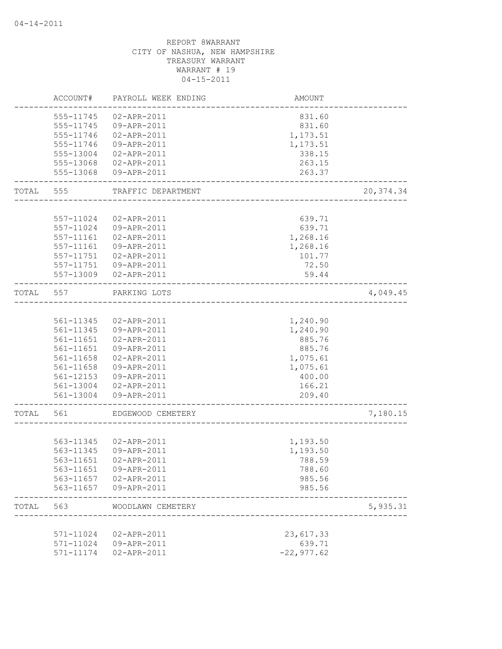|       | ACCOUNT#  | PAYROLL WEEK ENDING   | AMOUNT                           |            |
|-------|-----------|-----------------------|----------------------------------|------------|
|       | 555-11745 | 02-APR-2011           | 831.60                           |            |
|       | 555-11745 | 09-APR-2011           | 831.60                           |            |
|       | 555-11746 | 02-APR-2011           | 1,173.51                         |            |
|       | 555-11746 | 09-APR-2011           | 1,173.51                         |            |
|       | 555-13004 | 02-APR-2011           | 338.15                           |            |
|       |           | 555-13068 02-APR-2011 | 263.15                           |            |
|       | 555-13068 | 09-APR-2011           | 263.37                           |            |
| TOTAL | 555       | TRAFFIC DEPARTMENT    | <u> 2000 - 2000 - 2000 - 200</u> | 20, 374.34 |
|       |           |                       |                                  |            |
|       | 557-11024 | 02-APR-2011           | 639.71                           |            |
|       | 557-11024 | 09-APR-2011           | 639.71                           |            |
|       | 557-11161 | 02-APR-2011           | 1,268.16                         |            |
|       | 557-11161 | 09-APR-2011           | 1,268.16                         |            |
|       | 557-11751 | 02-APR-2011           | 101.77                           |            |
|       | 557-11751 | 09-APR-2011           | 72.50                            |            |
|       | 557-13009 | 02-APR-2011           | 59.44                            |            |
| TOTAL | 557       | PARKING LOTS          |                                  | 4,049.45   |
|       |           |                       |                                  |            |
|       |           | 561-11345 02-APR-2011 | 1,240.90                         |            |
|       | 561-11345 | 09-APR-2011           | 1,240.90                         |            |
|       | 561-11651 | 02-APR-2011           | 885.76                           |            |
|       | 561-11651 | 09-APR-2011           | 885.76                           |            |
|       | 561-11658 | 02-APR-2011           | 1,075.61                         |            |
|       | 561-11658 | 09-APR-2011           | 1,075.61                         |            |
|       | 561-12153 | 09-APR-2011           | 400.00                           |            |
|       | 561-13004 | 02-APR-2011           | 166.21                           |            |
|       |           | 561-13004 09-APR-2011 | 209.40                           |            |
| TOTAL | 561       | EDGEWOOD CEMETERY     |                                  | 7,180.15   |
|       |           |                       |                                  |            |
|       |           | 563-11345 02-APR-2011 | 1,193.50                         |            |
|       |           | 563-11345 09-APR-2011 | 1,193.50                         |            |
|       | 563-11651 | 02-APR-2011           | 788.59                           |            |
|       | 563-11651 | 09-APR-2011           | 788.60                           |            |
|       | 563-11657 | 02-APR-2011           | 985.56                           |            |
|       | 563-11657 | 09-APR-2011           | 985.56                           |            |
| TOTAL | 563       | WOODLAWN CEMETERY     |                                  | 5,935.31   |
|       |           |                       |                                  |            |
|       | 571-11024 | $02 - APR - 2011$     | 23,617.33                        |            |
|       | 571-11024 | 09-APR-2011           | 639.71                           |            |
|       | 571-11174 | 02-APR-2011           | $-22, 977.62$                    |            |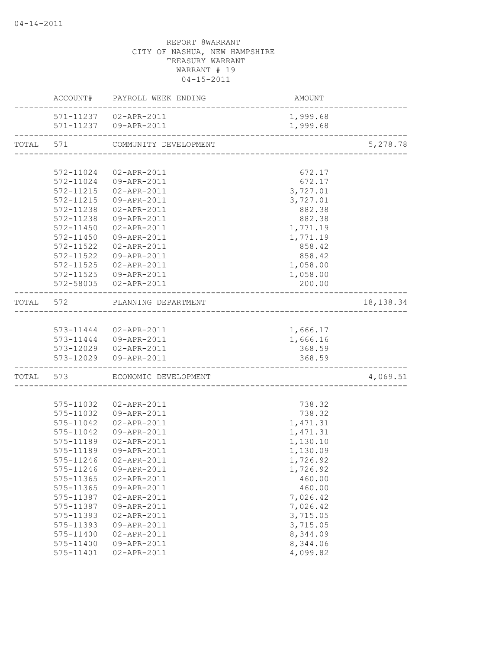|           |                   | ACCOUNT# PAYROLL WEEK ENDING   | AMOUNT   |            |
|-----------|-------------------|--------------------------------|----------|------------|
|           |                   | 571-11237  02-APR-2011         | 1,999.68 |            |
|           |                   | 571-11237   09-APR-2011        | 1,999.68 |            |
| TOTAL 571 |                   | COMMUNITY DEVELOPMENT          |          | 5,278.78   |
|           |                   |                                |          |            |
|           |                   | 572-11024 02-APR-2011          | 672.17   |            |
|           |                   | 572-11024 09-APR-2011          | 672.17   |            |
|           |                   | 572-11215  02-APR-2011         | 3,727.01 |            |
|           |                   | 572-11215  09-APR-2011         | 3,727.01 |            |
|           |                   | 572-11238  02-APR-2011         | 882.38   |            |
|           |                   | 572-11238 09-APR-2011          | 882.38   |            |
|           |                   | 572-11450  02-APR-2011         | 1,771.19 |            |
|           | 572-11450         | 09-APR-2011                    | 1,771.19 |            |
|           | 572-11522         | 02-APR-2011                    | 858.42   |            |
|           | 572-11522         | 09-APR-2011                    | 858.42   |            |
|           | 572-11525         | 02-APR-2011                    | 1,058.00 |            |
|           |                   | 572-11525   09-APR-2011        | 1,058.00 |            |
|           |                   | 572-58005 02-APR-2011          | 200.00   |            |
|           |                   | TOTAL 572 PLANNING DEPARTMENT  |          | 18, 138.34 |
|           |                   |                                |          |            |
|           |                   | 573-11444  02-APR-2011         | 1,666.17 |            |
|           |                   | 573-11444   09-APR-2011        | 1,666.16 |            |
|           |                   | 573-12029  02-APR-2011         | 368.59   |            |
|           | ----------------- | 573-12029 09-APR-2011          | 368.59   |            |
|           |                   | TOTAL 573 ECONOMIC DEVELOPMENT |          | 4,069.51   |
|           |                   |                                |          |            |
|           | 575-11032         | 02-APR-2011                    | 738.32   |            |
|           |                   | 575-11032  09-APR-2011         | 738.32   |            |
|           | 575-11042         | 02-APR-2011                    | 1,471.31 |            |
|           | 575-11042         | 09-APR-2011                    | 1,471.31 |            |
|           | 575-11189         | 02-APR-2011                    | 1,130.10 |            |
|           | 575-11189         | 09-APR-2011                    | 1,130.09 |            |
|           |                   | 575-11246  02-APR-2011         | 1,726.92 |            |
|           | 575-11246         | 09-APR-2011                    | 1,726.92 |            |
|           | 575-11365         | 02-APR-2011                    | 460.00   |            |
|           | 575-11365         | 09-APR-2011                    | 460.00   |            |
|           | 575-11387         | 02-APR-2011                    | 7,026.42 |            |
|           | 575-11387         | 09-APR-2011                    | 7,026.42 |            |
|           | 575-11393         | 02-APR-2011                    | 3,715.05 |            |
|           | 575-11393         | 09-APR-2011                    | 3,715.05 |            |
|           | 575-11400         | 02-APR-2011                    | 8,344.09 |            |
|           | 575-11400         | 09-APR-2011                    | 8,344.06 |            |
|           | 575-11401         | 02-APR-2011                    | 4,099.82 |            |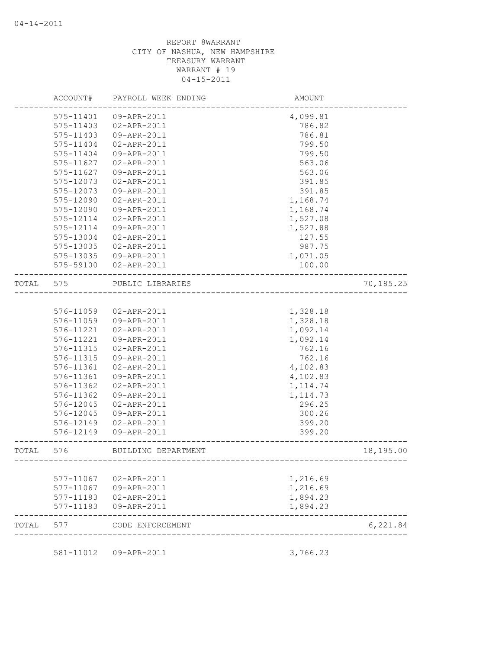|       | ACCOUNT#  | PAYROLL WEEK ENDING | AMOUNT               |           |
|-------|-----------|---------------------|----------------------|-----------|
|       | 575-11401 | 09-APR-2011         | 4,099.81             |           |
|       | 575-11403 | 02-APR-2011         | 786.82               |           |
|       | 575-11403 | 09-APR-2011         | 786.81               |           |
|       | 575-11404 | 02-APR-2011         | 799.50               |           |
|       | 575-11404 | 09-APR-2011         | 799.50               |           |
|       | 575-11627 | 02-APR-2011         | 563.06               |           |
|       | 575-11627 | 09-APR-2011         | 563.06               |           |
|       | 575-12073 | 02-APR-2011         | 391.85               |           |
|       | 575-12073 | 09-APR-2011         | 391.85               |           |
|       | 575-12090 | 02-APR-2011         | 1,168.74             |           |
|       | 575-12090 | 09-APR-2011         | 1,168.74             |           |
|       | 575-12114 | 02-APR-2011         | 1,527.08             |           |
|       | 575-12114 | 09-APR-2011         | 1,527.88             |           |
|       | 575-13004 | 02-APR-2011         | 127.55               |           |
|       | 575-13035 | 02-APR-2011         | 987.75               |           |
|       | 575-13035 | 09-APR-2011         | 1,071.05             |           |
|       | 575-59100 | 02-APR-2011         | 100.00               |           |
| TOTAL | 575       | PUBLIC LIBRARIES    |                      | 70,185.25 |
|       |           |                     |                      |           |
|       | 576-11059 | 02-APR-2011         | 1,328.18             |           |
|       | 576-11059 | 09-APR-2011         | 1,328.18             |           |
|       | 576-11221 | 02-APR-2011         | 1,092.14             |           |
|       | 576-11221 | 09-APR-2011         | 1,092.14             |           |
|       | 576-11315 | 02-APR-2011         | 762.16               |           |
|       | 576-11315 | 09-APR-2011         | 762.16               |           |
|       | 576-11361 | 02-APR-2011         | 4,102.83             |           |
|       | 576-11361 | 09-APR-2011         | 4,102.83             |           |
|       | 576-11362 | 02-APR-2011         | 1, 114.74            |           |
|       | 576-11362 | 09-APR-2011         | 1, 114.73            |           |
|       | 576-12045 | 02-APR-2011         | 296.25               |           |
|       | 576-12045 | 09-APR-2011         | 300.26               |           |
|       | 576-12149 | 02-APR-2011         | 399.20               |           |
|       | 576-12149 | 09-APR-2011         | 399.20               |           |
| TOTAL | 576       | BUILDING DEPARTMENT | ---------------      | 18,195.00 |
|       | 577-11067 | 02-APR-2011         |                      |           |
|       | 577-11067 | 09-APR-2011         | 1,216.69<br>1,216.69 |           |
|       | 577-11183 | 02-APR-2011         | 1,894.23             |           |
|       | 577-11183 | 09-APR-2011         | 1,894.23             |           |
| TOTAL | 577       | CODE ENFORCEMENT    |                      | 6,221.84  |
|       |           |                     |                      |           |
|       | 581-11012 | 09-APR-2011         | 3,766.23             |           |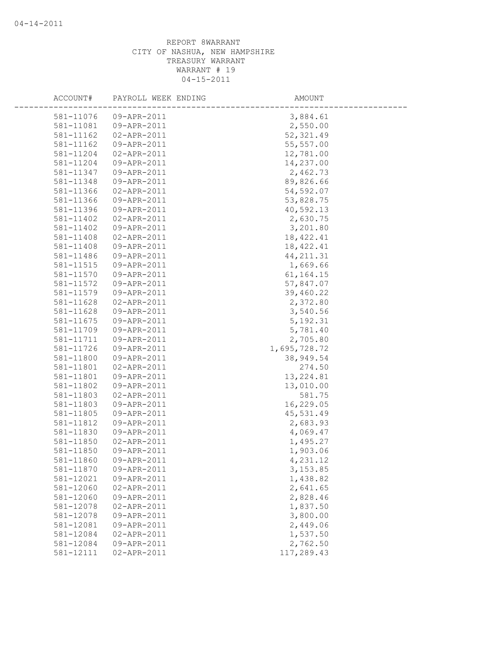| ACCOUNT#               | PAYROLL WEEK ENDING        | AMOUNT               |
|------------------------|----------------------------|----------------------|
| 581-11076              | 09-APR-2011                | 3,884.61             |
| 581-11081              | 09-APR-2011                | 2,550.00             |
| 581-11162              | 02-APR-2011                | 52, 321.49           |
| 581-11162              | 09-APR-2011                | 55,557.00            |
| 581-11204              | 02-APR-2011                | 12,781.00            |
| 581-11204              | 09-APR-2011                | 14,237.00            |
| 581-11347              | 09-APR-2011                | 2,462.73             |
| 581-11348              | 09-APR-2011                | 89,826.66            |
| 581-11366              | 02-APR-2011                | 54,592.07            |
| 581-11366              | 09-APR-2011                | 53,828.75            |
| 581-11396              | 09-APR-2011                | 40,592.13            |
| 581-11402              | 02-APR-2011                | 2,630.75             |
| 581-11402              | 09-APR-2011                | 3,201.80             |
| 581-11408              | 02-APR-2011                | 18, 422.41           |
| 581-11408              | 09-APR-2011                | 18, 422.41           |
| 581-11486              | 09-APR-2011                | 44, 211.31           |
| 581-11515              | 09-APR-2011                | 1,669.66             |
| 581-11570              | 09-APR-2011                | 61, 164. 15          |
| 581-11572              | 09-APR-2011                | 57,847.07            |
| 581-11579              | 09-APR-2011                | 39,460.22            |
| 581-11628              | 02-APR-2011                | 2,372.80             |
| 581-11628              | 09-APR-2011                | 3,540.56             |
| 581-11675              | 09-APR-2011                | 5, 192.31            |
| 581-11709              | 09-APR-2011                | 5,781.40             |
| 581-11711              | 09-APR-2011                | 2,705.80             |
| 581-11726              | 09-APR-2011                | 1,695,728.72         |
| 581-11800              | 09-APR-2011                | 38,949.54            |
| 581-11801              | 02-APR-2011                | 274.50               |
| 581-11801              | 09-APR-2011                | 13,224.81            |
| 581-11802              | 09-APR-2011                | 13,010.00            |
| 581-11803              | 02-APR-2011                | 581.75               |
| 581-11803              | 09-APR-2011                | 16,229.05            |
| 581-11805              | 09-APR-2011                | 45,531.49            |
| 581-11812              | 09-APR-2011                | 2,683.93             |
| 581-11830              | 09-APR-2011                | 4,069.47             |
| 581-11850              | 02-APR-2011                | 1,495.27             |
| 581-11850              | 09-APR-2011                | 1,903.06             |
| 581-11860              | 09-APR-2011                | 4,231.12             |
| 581-11870              | 09-APR-2011<br>09-APR-2011 | 3,153.85             |
| 581-12021<br>581-12060 | 02-APR-2011                | 1,438.82<br>2,641.65 |
| 581-12060              | 09-APR-2011                | 2,828.46             |
| 581-12078              | 02-APR-2011                | 1,837.50             |
| 581-12078              | 09-APR-2011                | 3,800.00             |
| 581-12081              | 09-APR-2011                | 2,449.06             |
| 581-12084              | 02-APR-2011                | 1,537.50             |
| 581-12084              | 09-APR-2011                | 2,762.50             |
| 581-12111              | 02-APR-2011                | 117,289.43           |
|                        |                            |                      |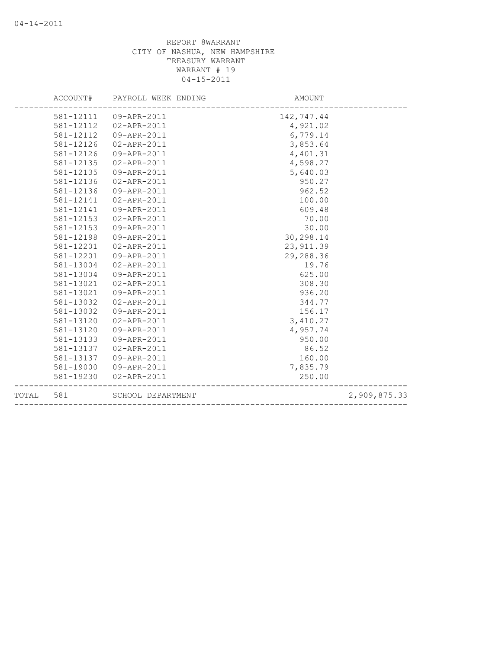|       | ACCOUNT#  | PAYROLL WEEK ENDING | AMOUNT     |              |
|-------|-----------|---------------------|------------|--------------|
|       | 581-12111 | 09-APR-2011         | 142,747.44 |              |
|       | 581-12112 | 02-APR-2011         | 4,921.02   |              |
|       | 581-12112 | 09-APR-2011         | 6,779.14   |              |
|       | 581-12126 | 02-APR-2011         | 3,853.64   |              |
|       | 581-12126 | 09-APR-2011         | 4,401.31   |              |
|       | 581-12135 | 02-APR-2011         | 4,598.27   |              |
|       | 581-12135 | 09-APR-2011         | 5,640.03   |              |
|       | 581-12136 | 02-APR-2011         | 950.27     |              |
|       | 581-12136 | 09-APR-2011         | 962.52     |              |
|       | 581-12141 | 02-APR-2011         | 100.00     |              |
|       | 581-12141 | 09-APR-2011         | 609.48     |              |
|       | 581-12153 | 02-APR-2011         | 70.00      |              |
|       | 581-12153 | 09-APR-2011         | 30.00      |              |
|       | 581-12198 | 09-APR-2011         | 30,298.14  |              |
|       | 581-12201 | 02-APR-2011         | 23, 911.39 |              |
|       | 581-12201 | 09-APR-2011         | 29,288.36  |              |
|       | 581-13004 | 02-APR-2011         | 19.76      |              |
|       | 581-13004 | 09-APR-2011         | 625.00     |              |
|       | 581-13021 | 02-APR-2011         | 308.30     |              |
|       | 581-13021 | 09-APR-2011         | 936.20     |              |
|       | 581-13032 | 02-APR-2011         | 344.77     |              |
|       | 581-13032 | 09-APR-2011         | 156.17     |              |
|       | 581-13120 | 02-APR-2011         | 3,410.27   |              |
|       | 581-13120 | 09-APR-2011         | 4,957.74   |              |
|       | 581-13133 | 09-APR-2011         | 950.00     |              |
|       | 581-13137 | 02-APR-2011         | 86.52      |              |
|       | 581-13137 | 09-APR-2011         | 160.00     |              |
|       | 581-19000 | 09-APR-2011         | 7,835.79   |              |
|       | 581-19230 | 02-APR-2011         | 250.00     |              |
| TOTAL | 581       | SCHOOL DEPARTMENT   |            | 2,909,875.33 |
|       |           |                     |            |              |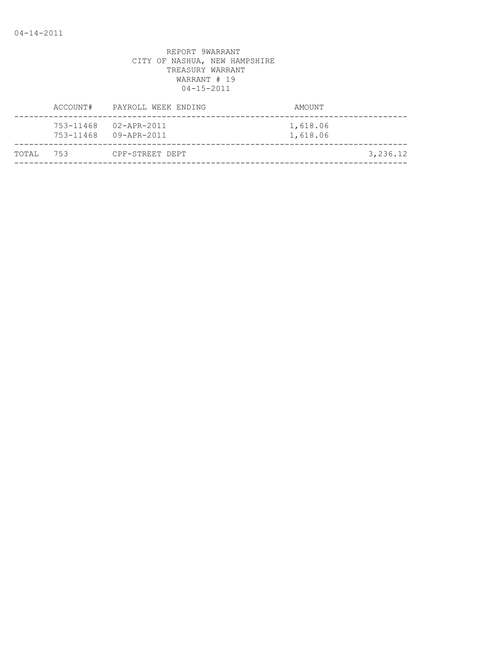| ACCOUNT#      | PAYROLL WEEK ENDING                  | AMOUNT               |
|---------------|--------------------------------------|----------------------|
| 753-11468     | 02-APR-2011<br>753-11468 09-APR-2011 | 1,618.06<br>1,618.06 |
| 753<br>TOTAI, | CPF-STREET DEPT                      | 3,236.12             |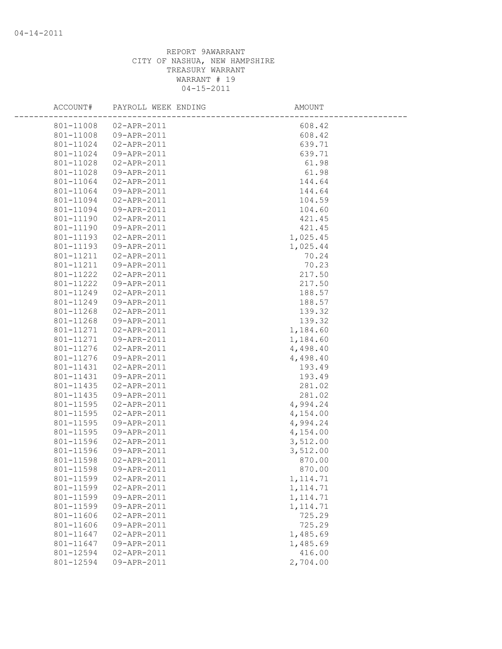| ACCOUNT#  | PAYROLL WEEK ENDING | AMOUNT    |  |
|-----------|---------------------|-----------|--|
| 801-11008 | 02-APR-2011         | 608.42    |  |
| 801-11008 | 09-APR-2011         | 608.42    |  |
| 801-11024 | 02-APR-2011         | 639.71    |  |
| 801-11024 | 09-APR-2011         | 639.71    |  |
| 801-11028 | 02-APR-2011         | 61.98     |  |
| 801-11028 | 09-APR-2011         | 61.98     |  |
| 801-11064 | 02-APR-2011         | 144.64    |  |
| 801-11064 | 09-APR-2011         | 144.64    |  |
| 801-11094 | 02-APR-2011         | 104.59    |  |
| 801-11094 | 09-APR-2011         | 104.60    |  |
| 801-11190 | 02-APR-2011         | 421.45    |  |
| 801-11190 | 09-APR-2011         | 421.45    |  |
| 801-11193 | 02-APR-2011         | 1,025.45  |  |
| 801-11193 | 09-APR-2011         | 1,025.44  |  |
| 801-11211 | 02-APR-2011         | 70.24     |  |
| 801-11211 | 09-APR-2011         | 70.23     |  |
| 801-11222 | 02-APR-2011         | 217.50    |  |
| 801-11222 | 09-APR-2011         | 217.50    |  |
| 801-11249 | $02 - APR - 2011$   | 188.57    |  |
| 801-11249 | 09-APR-2011         | 188.57    |  |
| 801-11268 | 02-APR-2011         | 139.32    |  |
| 801-11268 | 09-APR-2011         | 139.32    |  |
| 801-11271 | 02-APR-2011         | 1,184.60  |  |
| 801-11271 | 09-APR-2011         | 1,184.60  |  |
| 801-11276 | 02-APR-2011         | 4,498.40  |  |
| 801-11276 | 09-APR-2011         | 4,498.40  |  |
| 801-11431 | 02-APR-2011         | 193.49    |  |
| 801-11431 | 09-APR-2011         | 193.49    |  |
| 801-11435 | 02-APR-2011         | 281.02    |  |
| 801-11435 | 09-APR-2011         | 281.02    |  |
| 801-11595 | 02-APR-2011         | 4,994.24  |  |
| 801-11595 | 02-APR-2011         | 4,154.00  |  |
| 801-11595 | 09-APR-2011         | 4,994.24  |  |
| 801-11595 | 09-APR-2011         | 4,154.00  |  |
| 801-11596 | 02-APR-2011         | 3,512.00  |  |
| 801-11596 | 09-APR-2011         | 3,512.00  |  |
| 801-11598 | 02-APR-2011         | 870.00    |  |
| 801-11598 | 09-APR-2011         | 870.00    |  |
| 801-11599 | 02-APR-2011         | 1, 114.71 |  |
| 801-11599 | 02-APR-2011         | 1, 114.71 |  |
| 801-11599 | 09-APR-2011         | 1, 114.71 |  |
| 801-11599 | 09-APR-2011         | 1, 114.71 |  |
| 801-11606 | 02-APR-2011         | 725.29    |  |
| 801-11606 | 09-APR-2011         | 725.29    |  |
| 801-11647 | 02-APR-2011         | 1,485.69  |  |
| 801-11647 | 09-APR-2011         | 1,485.69  |  |
| 801-12594 | 02-APR-2011         | 416.00    |  |
| 801-12594 | 09-APR-2011         | 2,704.00  |  |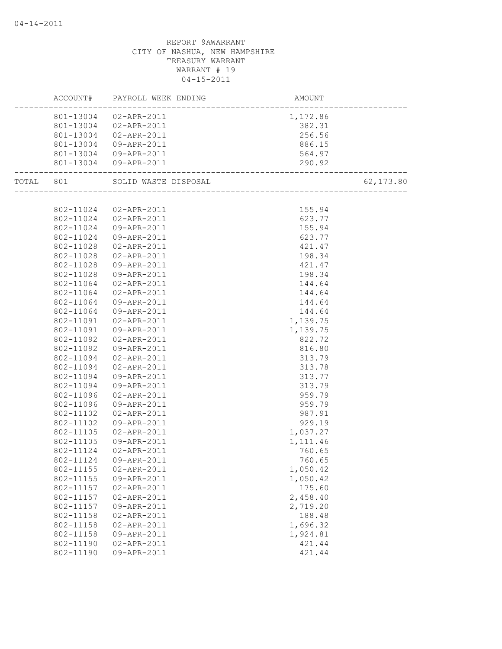|           |                        | ACCOUNT# PAYROLL WEEK ENDING | AMOUNT<br>------------------------         |            |
|-----------|------------------------|------------------------------|--------------------------------------------|------------|
|           |                        | 801-13004 02-APR-2011        | 1,172.86                                   |            |
|           |                        | 801-13004 02-APR-2011        | 382.31                                     |            |
|           |                        | 801-13004 02-APR-2011        | 256.56                                     |            |
|           | 801-13004              | 09-APR-2011                  | 886.15                                     |            |
|           |                        | 801-13004 09-APR-2011        | 564.97                                     |            |
|           |                        | 801-13004 09-APR-2011        | 290.92                                     |            |
| TOTAL 801 |                        | SOLID WASTE DISPOSAL         | SAL<br> ---------------------------------- | 62, 173.80 |
|           |                        |                              |                                            |            |
|           | 802-11024              | 02-APR-2011                  | 155.94                                     |            |
|           |                        | 802-11024  02-APR-2011       | 623.77                                     |            |
|           | 802-11024              | 09-APR-2011                  | 155.94                                     |            |
|           | 802-11024              | 09-APR-2011                  | 623.77                                     |            |
|           | 802-11028              | 02-APR-2011                  | 421.47                                     |            |
|           | 802-11028              | 02-APR-2011                  | 198.34                                     |            |
|           | 802-11028              | 09-APR-2011                  | 421.47                                     |            |
|           | 802-11028              | 09-APR-2011                  | 198.34                                     |            |
|           | 802-11064              | $02 - APR - 2011$            | 144.64                                     |            |
|           | 802-11064              | 02-APR-2011                  | 144.64                                     |            |
|           | 802-11064              | 09-APR-2011                  | 144.64                                     |            |
|           | 802-11064              | 09-APR-2011                  | 144.64                                     |            |
|           | 802-11091              | 02-APR-2011                  | 1,139.75                                   |            |
|           | 802-11091              | 09-APR-2011                  | 1,139.75                                   |            |
|           | 802-11092              | 02-APR-2011                  | 822.72                                     |            |
|           | 802-11092              | 09-APR-2011                  | 816.80                                     |            |
|           | 802-11094              | 02-APR-2011                  | 313.79                                     |            |
|           | 802-11094              | 02-APR-2011                  | 313.78                                     |            |
|           | 802-11094              | 09-APR-2011                  | 313.77                                     |            |
|           | 802-11094              | 09-APR-2011                  | 313.79                                     |            |
|           | 802-11096              | 02-APR-2011                  | 959.79                                     |            |
|           | 802-11096              | 09-APR-2011                  | 959.79                                     |            |
|           | 802-11102              | 02-APR-2011                  | 987.91                                     |            |
|           | 802-11102              | 09-APR-2011                  | 929.19                                     |            |
|           | 802-11105              | 02-APR-2011                  | 1,037.27                                   |            |
|           | 802-11105              | 09-APR-2011                  | 1,111.46                                   |            |
|           | 802-11124              | 02-APR-2011                  | 760.65                                     |            |
|           | 802-11124              | 09-APR-2011                  | 760.65                                     |            |
|           | 802-11155<br>802-11155 | 02-APR-2011                  | 1,050.42                                   |            |
|           |                        | 09-APR-2011                  | 1,050.42<br>175.60                         |            |
|           | 802-11157<br>802-11157 | 02-APR-2011<br>02-APR-2011   | 2,458.40                                   |            |
|           | 802-11157              |                              | 2,719.20                                   |            |
|           | 802-11158              | 09-APR-2011                  |                                            |            |
|           | 802-11158              | 02-APR-2011<br>02-APR-2011   | 188.48<br>1,696.32                         |            |
|           | 802-11158              | 09-APR-2011                  | 1,924.81                                   |            |
|           | 802-11190              | 02-APR-2011                  | 421.44                                     |            |
|           | 802-11190              | 09-APR-2011                  | 421.44                                     |            |
|           |                        |                              |                                            |            |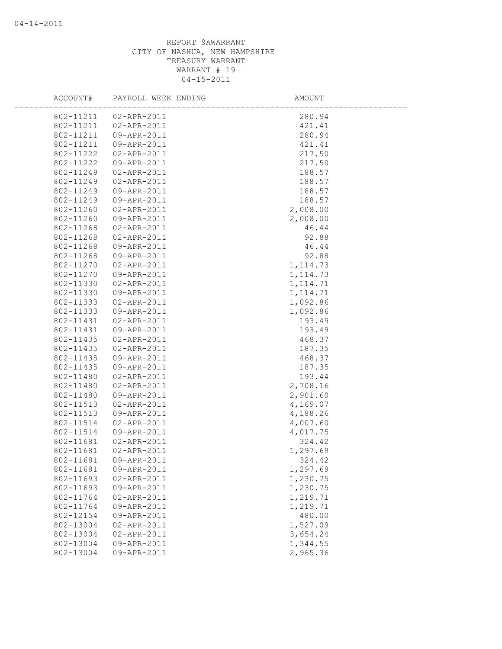| ACCOUNT#  | PAYROLL WEEK ENDING | AMOUNT    |
|-----------|---------------------|-----------|
| 802-11211 | 02-APR-2011         | 280.94    |
| 802-11211 | 02-APR-2011         | 421.41    |
| 802-11211 | 09-APR-2011         | 280.94    |
| 802-11211 | 09-APR-2011         | 421.41    |
| 802-11222 | 02-APR-2011         | 217.50    |
| 802-11222 | 09-APR-2011         | 217.50    |
| 802-11249 | 02-APR-2011         | 188.57    |
| 802-11249 | 02-APR-2011         | 188.57    |
| 802-11249 | 09-APR-2011         | 188.57    |
| 802-11249 | 09-APR-2011         | 188.57    |
| 802-11260 | 02-APR-2011         | 2,008.00  |
| 802-11260 | 09-APR-2011         | 2,008.00  |
| 802-11268 | 02-APR-2011         | 46.44     |
| 802-11268 | 02-APR-2011         | 92.88     |
| 802-11268 | 09-APR-2011         | 46.44     |
| 802-11268 | 09-APR-2011         | 92.88     |
| 802-11270 | 02-APR-2011         | 1, 114.73 |
| 802-11270 | 09-APR-2011         | 1, 114.73 |
| 802-11330 | 02-APR-2011         | 1, 114.71 |
| 802-11330 | 09-APR-2011         | 1, 114.71 |
| 802-11333 | 02-APR-2011         | 1,092.86  |
| 802-11333 | 09-APR-2011         | 1,092.86  |
| 802-11431 | 02-APR-2011         | 193.49    |
| 802-11431 | 09-APR-2011         | 193.49    |
| 802-11435 | 02-APR-2011         | 468.37    |
| 802-11435 | 02-APR-2011         | 187.35    |
| 802-11435 | 09-APR-2011         | 468.37    |
| 802-11435 | 09-APR-2011         | 187.35    |
| 802-11480 | 02-APR-2011         | 193.44    |
| 802-11480 | 02-APR-2011         | 2,708.16  |
| 802-11480 | 09-APR-2011         | 2,901.60  |
| 802-11513 | 02-APR-2011         | 4,169.07  |
| 802-11513 | 09-APR-2011         | 4,188.26  |
| 802-11514 | 02-APR-2011         | 4,007.60  |
| 802-11514 | 09-APR-2011         | 4,017.75  |
| 802-11681 | 02-APR-2011         | 324.42    |
| 802-11681 | 02-APR-2011         | 1,297.69  |
| 802-11681 | 09-APR-2011         | 324.42    |
| 802-11681 | 09-APR-2011         | 1,297.69  |
| 802-11693 | 02-APR-2011         | 1,230.75  |
| 802-11693 | 09-APR-2011         | 1,230.75  |
| 802-11764 | 02-APR-2011         | 1,219.71  |
| 802-11764 | 09-APR-2011         | 1,219.71  |
| 802-12154 | 09-APR-2011         | 480.00    |
| 802-13004 | 02-APR-2011         | 1,527.09  |
| 802-13004 | 02-APR-2011         | 3,654.24  |
| 802-13004 | 09-APR-2011         | 1,344.55  |
| 802-13004 | 09-APR-2011         | 2,965.36  |